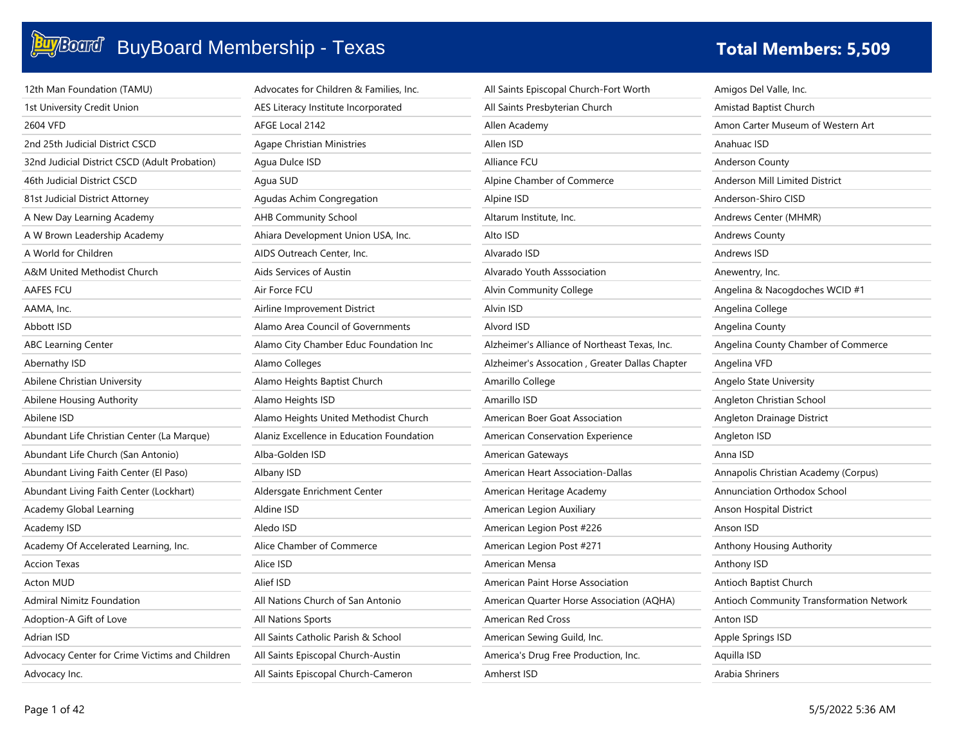| 12th Man Foundation (TAMU)                     | Advocates for Children & Families, Inc.   | All Saints Episcopal Church-Fort Worth         | Amigos Del Valle, Inc.                   |
|------------------------------------------------|-------------------------------------------|------------------------------------------------|------------------------------------------|
| 1st University Credit Union                    | AES Literacy Institute Incorporated       | All Saints Presbyterian Church                 | Amistad Baptist Church                   |
| 2604 VFD                                       | AFGE Local 2142                           | Allen Academy                                  | Amon Carter Museum of Western Art        |
| 2nd 25th Judicial District CSCD                | <b>Agape Christian Ministries</b>         | Allen ISD                                      | Anahuac ISD                              |
| 32nd Judicial District CSCD (Adult Probation)  | Agua Dulce ISD                            | Alliance FCU                                   | <b>Anderson County</b>                   |
| 46th Judicial District CSCD                    | Agua SUD                                  | Alpine Chamber of Commerce                     | Anderson Mill Limited District           |
| 81st Judicial District Attorney                | Agudas Achim Congregation                 | Alpine ISD                                     | Anderson-Shiro CISD                      |
| A New Day Learning Academy                     | <b>AHB Community School</b>               | Altarum Institute, Inc.                        | Andrews Center (MHMR)                    |
| A W Brown Leadership Academy                   | Ahiara Development Union USA, Inc.        | Alto ISD                                       | <b>Andrews County</b>                    |
| A World for Children                           | AIDS Outreach Center, Inc.                | Alvarado ISD                                   | Andrews ISD                              |
| A&M United Methodist Church                    | Aids Services of Austin                   | Alvarado Youth Asssociation                    | Anewentry, Inc.                          |
| <b>AAFES FCU</b>                               | Air Force FCU                             | Alvin Community College                        | Angelina & Nacogdoches WCID #1           |
| AAMA, Inc.                                     | Airline Improvement District              | Alvin ISD                                      | Angelina College                         |
| Abbott ISD                                     | Alamo Area Council of Governments         | Alvord ISD                                     | Angelina County                          |
| <b>ABC Learning Center</b>                     | Alamo City Chamber Educ Foundation Inc    | Alzheimer's Alliance of Northeast Texas, Inc.  | Angelina County Chamber of Commerce      |
| Abernathy ISD                                  | Alamo Colleges                            | Alzheimer's Assocation, Greater Dallas Chapter | Angelina VFD                             |
| Abilene Christian University                   | Alamo Heights Baptist Church              | Amarillo College                               | Angelo State University                  |
| Abilene Housing Authority                      | Alamo Heights ISD                         | Amarillo ISD                                   | Angleton Christian School                |
| Abilene ISD                                    | Alamo Heights United Methodist Church     | American Boer Goat Association                 | Angleton Drainage District               |
| Abundant Life Christian Center (La Marque)     | Alaniz Excellence in Education Foundation | American Conservation Experience               | Angleton ISD                             |
| Abundant Life Church (San Antonio)             | Alba-Golden ISD                           | American Gateways                              | Anna ISD                                 |
| Abundant Living Faith Center (El Paso)         | Albany ISD                                | American Heart Association-Dallas              | Annapolis Christian Academy (Corpus)     |
| Abundant Living Faith Center (Lockhart)        | Aldersgate Enrichment Center              | American Heritage Academy                      | Annunciation Orthodox School             |
| Academy Global Learning                        | Aldine ISD                                | American Legion Auxiliary                      | Anson Hospital District                  |
| Academy ISD                                    | Aledo ISD                                 | American Legion Post #226                      | Anson ISD                                |
| Academy Of Accelerated Learning, Inc.          | Alice Chamber of Commerce                 | American Legion Post #271                      | Anthony Housing Authority                |
| <b>Accion Texas</b>                            | Alice ISD                                 | American Mensa                                 | Anthony ISD                              |
| <b>Acton MUD</b>                               | Alief ISD                                 | American Paint Horse Association               | Antioch Baptist Church                   |
| <b>Admiral Nimitz Foundation</b>               | All Nations Church of San Antonio         | American Quarter Horse Association (AQHA)      | Antioch Community Transformation Network |
| Adoption-A Gift of Love                        | All Nations Sports                        | <b>American Red Cross</b>                      | Anton ISD                                |
| Adrian ISD                                     | All Saints Catholic Parish & School       | American Sewing Guild, Inc.                    | Apple Springs ISD                        |
| Advocacy Center for Crime Victims and Children | All Saints Episcopal Church-Austin        | America's Drug Free Production, Inc.           | Aquilla ISD                              |
| Advocacy Inc.                                  | All Saints Episcopal Church-Cameron       | Amherst ISD                                    | Arabia Shriners                          |
|                                                |                                           |                                                |                                          |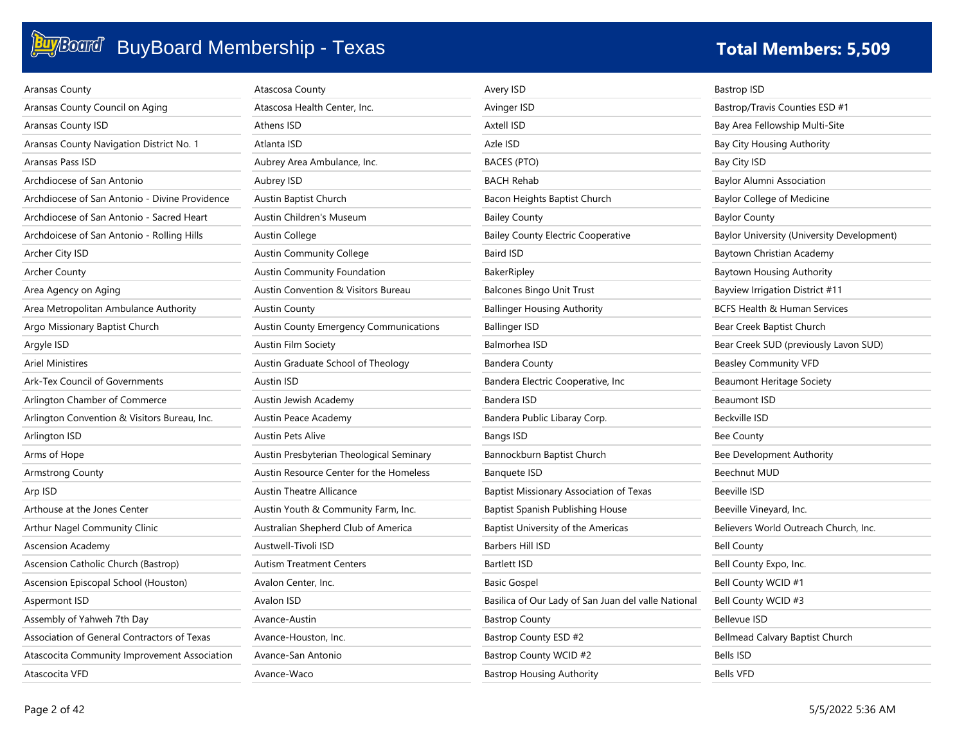| Aransas County                                 | Atascosa County                               | Avery ISD                                           | <b>Bastrop ISD</b>                         |
|------------------------------------------------|-----------------------------------------------|-----------------------------------------------------|--------------------------------------------|
| Aransas County Council on Aging                | Atascosa Health Center, Inc.                  | Avinger ISD                                         | Bastrop/Travis Counties ESD #1             |
| <b>Aransas County ISD</b>                      | Athens ISD                                    | <b>Axtell ISD</b>                                   | Bay Area Fellowship Multi-Site             |
| Aransas County Navigation District No. 1       | Atlanta ISD                                   | Azle ISD                                            | Bay City Housing Authority                 |
| Aransas Pass ISD                               | Aubrey Area Ambulance, Inc.                   | <b>BACES (PTO)</b>                                  | Bay City ISD                               |
| Archdiocese of San Antonio                     | Aubrey ISD                                    | <b>BACH Rehab</b>                                   | Baylor Alumni Association                  |
| Archdiocese of San Antonio - Divine Providence | Austin Baptist Church                         | Bacon Heights Baptist Church                        | <b>Baylor College of Medicine</b>          |
| Archdiocese of San Antonio - Sacred Heart      | Austin Children's Museum                      | <b>Bailey County</b>                                | <b>Baylor County</b>                       |
| Archdoicese of San Antonio - Rolling Hills     | Austin College                                | <b>Bailey County Electric Cooperative</b>           | Baylor University (University Development) |
| Archer City ISD                                | <b>Austin Community College</b>               | Baird ISD                                           | Baytown Christian Academy                  |
| <b>Archer County</b>                           | <b>Austin Community Foundation</b>            | BakerRipley                                         | Baytown Housing Authority                  |
| Area Agency on Aging                           | Austin Convention & Visitors Bureau           | <b>Balcones Bingo Unit Trust</b>                    | <b>Bayview Irrigation District #11</b>     |
| Area Metropolitan Ambulance Authority          | <b>Austin County</b>                          | <b>Ballinger Housing Authority</b>                  | BCFS Health & Human Services               |
| Argo Missionary Baptist Church                 | <b>Austin County Emergency Communications</b> | <b>Ballinger ISD</b>                                | Bear Creek Baptist Church                  |
| Argyle ISD                                     | Austin Film Society                           | Balmorhea ISD                                       | Bear Creek SUD (previously Lavon SUD)      |
| <b>Ariel Ministires</b>                        | Austin Graduate School of Theology            | <b>Bandera County</b>                               | <b>Beasley Community VFD</b>               |
| Ark-Tex Council of Governments                 | <b>Austin ISD</b>                             | Bandera Electric Cooperative, Inc.                  | <b>Beaumont Heritage Society</b>           |
| Arlington Chamber of Commerce                  | Austin Jewish Academy                         | Bandera ISD                                         | <b>Beaumont ISD</b>                        |
| Arlington Convention & Visitors Bureau, Inc.   | Austin Peace Academy                          | Bandera Public Libaray Corp.                        | Beckville ISD                              |
| Arlington ISD                                  | <b>Austin Pets Alive</b>                      | <b>Bangs ISD</b>                                    | <b>Bee County</b>                          |
| Arms of Hope                                   | Austin Presbyterian Theological Seminary      | Bannockburn Baptist Church                          | Bee Development Authority                  |
| <b>Armstrong County</b>                        | Austin Resource Center for the Homeless       | <b>Banquete ISD</b>                                 | Beechnut MUD                               |
| Arp ISD                                        | <b>Austin Theatre Allicance</b>               | <b>Baptist Missionary Association of Texas</b>      | <b>Beeville ISD</b>                        |
| Arthouse at the Jones Center                   | Austin Youth & Community Farm, Inc.           | Baptist Spanish Publishing House                    | Beeville Vineyard, Inc.                    |
| Arthur Nagel Community Clinic                  | Australian Shepherd Club of America           | Baptist University of the Americas                  | Believers World Outreach Church, Inc.      |
| <b>Ascension Academy</b>                       | Austwell-Tivoli ISD                           | Barbers Hill ISD                                    | <b>Bell County</b>                         |
| Ascension Catholic Church (Bastrop)            | <b>Autism Treatment Centers</b>               | <b>Bartlett ISD</b>                                 | Bell County Expo, Inc.                     |
| Ascension Episcopal School (Houston)           | Avalon Center, Inc.                           | <b>Basic Gospel</b>                                 | Bell County WCID #1                        |
| Aspermont ISD                                  | Avalon ISD                                    | Basilica of Our Lady of San Juan del valle National | Bell County WCID #3                        |
| Assembly of Yahweh 7th Day                     | Avance-Austin                                 | <b>Bastrop County</b>                               | <b>Bellevue ISD</b>                        |
| Association of General Contractors of Texas    | Avance-Houston, Inc.                          | Bastrop County ESD #2                               | Bellmead Calvary Baptist Church            |
| Atascocita Community Improvement Association   | Avance-San Antonio                            | Bastrop County WCID #2                              | <b>Bells ISD</b>                           |
| Atascocita VFD                                 | Avance-Waco                                   | <b>Bastrop Housing Authority</b>                    | <b>Bells VFD</b>                           |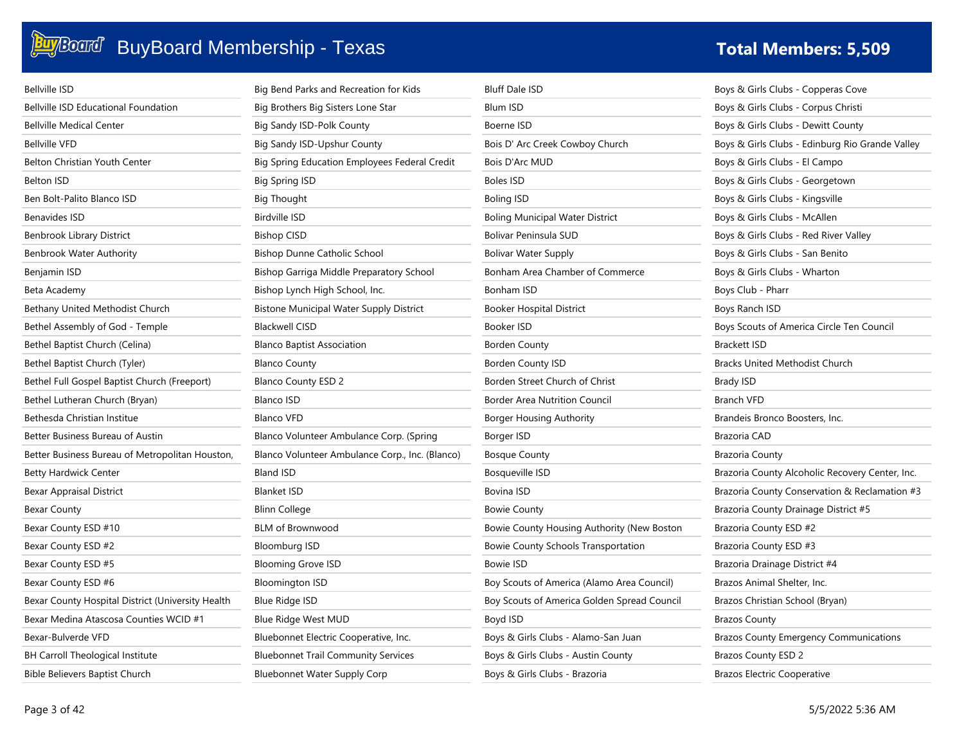

| <b>Bellville ISD</b>                              | Big Bend Parks and Recreation for Kids          | <b>Bluff Dale ISD</b>                       | Boys & Girls Clubs - Copperas Cove              |
|---------------------------------------------------|-------------------------------------------------|---------------------------------------------|-------------------------------------------------|
| <b>Bellville ISD Educational Foundation</b>       | Big Brothers Big Sisters Lone Star              | Blum ISD                                    | Boys & Girls Clubs - Corpus Christi             |
| <b>Bellville Medical Center</b>                   | Big Sandy ISD-Polk County                       | Boerne ISD                                  | Boys & Girls Clubs - Dewitt County              |
| <b>Bellville VFD</b>                              | Big Sandy ISD-Upshur County                     | Bois D' Arc Creek Cowboy Church             | Boys & Girls Clubs - Edinburg Rio Grande Valley |
| <b>Belton Christian Youth Center</b>              | Big Spring Education Employees Federal Credit   | Bois D'Arc MUD                              | Boys & Girls Clubs - El Campo                   |
| <b>Belton ISD</b>                                 | Big Spring ISD                                  | Boles ISD                                   | Boys & Girls Clubs - Georgetown                 |
| Ben Bolt-Palito Blanco ISD                        | <b>Big Thought</b>                              | <b>Boling ISD</b>                           | Boys & Girls Clubs - Kingsville                 |
| <b>Benavides ISD</b>                              | <b>Birdville ISD</b>                            | Boling Municipal Water District             | Boys & Girls Clubs - McAllen                    |
| Benbrook Library District                         | <b>Bishop CISD</b>                              | Bolivar Peninsula SUD                       | Boys & Girls Clubs - Red River Valley           |
| <b>Benbrook Water Authority</b>                   | Bishop Dunne Catholic School                    | Bolivar Water Supply                        | Boys & Girls Clubs - San Benito                 |
| Benjamin ISD                                      | Bishop Garriga Middle Preparatory School        | Bonham Area Chamber of Commerce             | Boys & Girls Clubs - Wharton                    |
| Beta Academy                                      | Bishop Lynch High School, Inc.                  | Bonham ISD                                  | Boys Club - Pharr                               |
| Bethany United Methodist Church                   | <b>Bistone Municipal Water Supply District</b>  | Booker Hospital District                    | Boys Ranch ISD                                  |
| Bethel Assembly of God - Temple                   | <b>Blackwell CISD</b>                           | <b>Booker ISD</b>                           | Boys Scouts of America Circle Ten Council       |
| Bethel Baptist Church (Celina)                    | <b>Blanco Baptist Association</b>               | <b>Borden County</b>                        | <b>Brackett ISD</b>                             |
| Bethel Baptist Church (Tyler)                     | <b>Blanco County</b>                            | Borden County ISD                           | <b>Bracks United Methodist Church</b>           |
| Bethel Full Gospel Baptist Church (Freeport)      | <b>Blanco County ESD 2</b>                      | Borden Street Church of Christ              | <b>Brady ISD</b>                                |
| Bethel Lutheran Church (Bryan)                    | <b>Blanco ISD</b>                               | Border Area Nutrition Council               | <b>Branch VFD</b>                               |
| Bethesda Christian Institue                       | <b>Blanco VFD</b>                               | Borger Housing Authority                    | Brandeis Bronco Boosters, Inc.                  |
| Better Business Bureau of Austin                  | Blanco Volunteer Ambulance Corp. (Spring        | Borger ISD                                  | Brazoria CAD                                    |
| Better Business Bureau of Metropolitan Houston,   | Blanco Volunteer Ambulance Corp., Inc. (Blanco) | <b>Bosque County</b>                        | Brazoria County                                 |
| <b>Betty Hardwick Center</b>                      | <b>Bland ISD</b>                                | <b>Bosqueville ISD</b>                      | Brazoria County Alcoholic Recovery Center, Inc. |
| <b>Bexar Appraisal District</b>                   | <b>Blanket ISD</b>                              | Bovina ISD                                  | Brazoria County Conservation & Reclamation #3   |
| <b>Bexar County</b>                               | <b>Blinn College</b>                            | <b>Bowie County</b>                         | Brazoria County Drainage District #5            |
| Bexar County ESD #10                              | <b>BLM of Brownwood</b>                         | Bowie County Housing Authority (New Boston  | Brazoria County ESD #2                          |
| Bexar County ESD #2                               | <b>Bloomburg ISD</b>                            | <b>Bowie County Schools Transportation</b>  | Brazoria County ESD #3                          |
| Bexar County ESD #5                               | <b>Blooming Grove ISD</b>                       | <b>Bowie ISD</b>                            | Brazoria Drainage District #4                   |
| Bexar County ESD #6                               | <b>Bloomington ISD</b>                          | Boy Scouts of America (Alamo Area Council)  | Brazos Animal Shelter, Inc.                     |
| Bexar County Hospital District (University Health | Blue Ridge ISD                                  | Boy Scouts of America Golden Spread Council | Brazos Christian School (Bryan)                 |
| Bexar Medina Atascosa Counties WCID #1            | Blue Ridge West MUD                             | Boyd ISD                                    | <b>Brazos County</b>                            |
| Bexar-Bulverde VFD                                | Bluebonnet Electric Cooperative, Inc.           | Boys & Girls Clubs - Alamo-San Juan         | <b>Brazos County Emergency Communications</b>   |
| <b>BH Carroll Theological Institute</b>           | <b>Bluebonnet Trail Community Services</b>      | Boys & Girls Clubs - Austin County          | <b>Brazos County ESD 2</b>                      |
| Bible Believers Baptist Church                    | Bluebonnet Water Supply Corp                    | Boys & Girls Clubs - Brazoria               | <b>Brazos Electric Cooperative</b>              |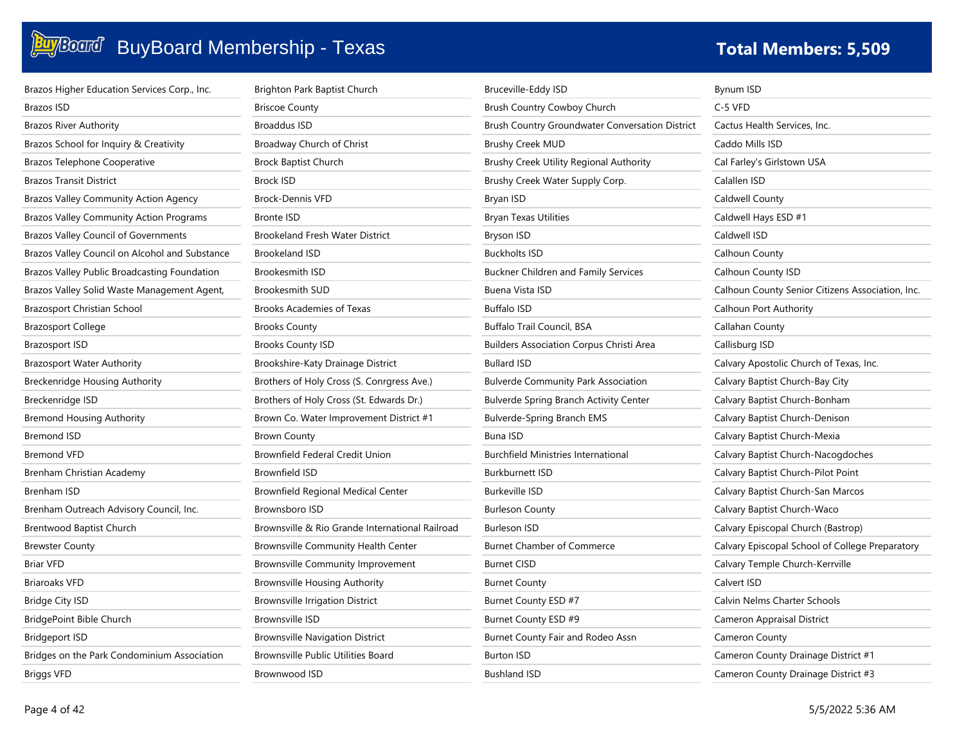| Brazos Higher Education Services Corp., Inc.   | Brighton Park Baptist Church                    | Bruceville-Eddy ISD                             | Bynum ISD                                        |
|------------------------------------------------|-------------------------------------------------|-------------------------------------------------|--------------------------------------------------|
| Brazos ISD                                     | <b>Briscoe County</b>                           | Brush Country Cowboy Church                     | C-5 VFD                                          |
| <b>Brazos River Authority</b>                  | <b>Broaddus ISD</b>                             | Brush Country Groundwater Conversation District | Cactus Health Services, Inc.                     |
| Brazos School for Inquiry & Creativity         | Broadway Church of Christ                       | <b>Brushy Creek MUD</b>                         | Caddo Mills ISD                                  |
| <b>Brazos Telephone Cooperative</b>            | Brock Baptist Church                            | Brushy Creek Utility Regional Authority         | Cal Farley's Girlstown USA                       |
| <b>Brazos Transit District</b>                 | Brock ISD                                       | Brushy Creek Water Supply Corp.                 | Calallen ISD                                     |
| <b>Brazos Valley Community Action Agency</b>   | <b>Brock-Dennis VFD</b>                         | Bryan ISD                                       | <b>Caldwell County</b>                           |
| <b>Brazos Valley Community Action Programs</b> | <b>Bronte ISD</b>                               | <b>Bryan Texas Utilities</b>                    | Caldwell Hays ESD #1                             |
| <b>Brazos Valley Council of Governments</b>    | <b>Brookeland Fresh Water District</b>          | Bryson ISD                                      | Caldwell ISD                                     |
| Brazos Valley Council on Alcohol and Substance | <b>Brookeland ISD</b>                           | <b>Buckholts ISD</b>                            | Calhoun County                                   |
| Brazos Valley Public Broadcasting Foundation   | <b>Brookesmith ISD</b>                          | Buckner Children and Family Services            | Calhoun County ISD                               |
| Brazos Valley Solid Waste Management Agent,    | <b>Brookesmith SUD</b>                          | Buena Vista ISD                                 | Calhoun County Senior Citizens Association, Inc. |
| <b>Brazosport Christian School</b>             | Brooks Academies of Texas                       | <b>Buffalo ISD</b>                              | Calhoun Port Authority                           |
| <b>Brazosport College</b>                      | <b>Brooks County</b>                            | Buffalo Trail Council, BSA                      | Callahan County                                  |
| <b>Brazosport ISD</b>                          | <b>Brooks County ISD</b>                        | <b>Builders Association Corpus Christi Area</b> | Callisburg ISD                                   |
| Brazosport Water Authority                     | Brookshire-Katy Drainage District               | <b>Bullard ISD</b>                              | Calvary Apostolic Church of Texas, Inc.          |
| <b>Breckenridge Housing Authority</b>          | Brothers of Holy Cross (S. Conrgress Ave.)      | <b>Bulverde Community Park Association</b>      | Calvary Baptist Church-Bay City                  |
| Breckenridge ISD                               | Brothers of Holy Cross (St. Edwards Dr.)        | <b>Bulverde Spring Branch Activity Center</b>   | Calvary Baptist Church-Bonham                    |
| Bremond Housing Authority                      | Brown Co. Water Improvement District #1         | <b>Bulverde-Spring Branch EMS</b>               | Calvary Baptist Church-Denison                   |
| <b>Bremond ISD</b>                             | <b>Brown County</b>                             | <b>Buna ISD</b>                                 | Calvary Baptist Church-Mexia                     |
| <b>Bremond VFD</b>                             | Brownfield Federal Credit Union                 | Burchfield Ministries International             | Calvary Baptist Church-Nacogdoches               |
| Brenham Christian Academy                      | <b>Brownfield ISD</b>                           | <b>Burkburnett ISD</b>                          | Calvary Baptist Church-Pilot Point               |
| Brenham ISD                                    | Brownfield Regional Medical Center              | <b>Burkeville ISD</b>                           | Calvary Baptist Church-San Marcos                |
| Brenham Outreach Advisory Council, Inc.        | Brownsboro ISD                                  | <b>Burleson County</b>                          | Calvary Baptist Church-Waco                      |
| Brentwood Baptist Church                       | Brownsville & Rio Grande International Railroad | <b>Burleson ISD</b>                             | Calvary Episcopal Church (Bastrop)               |
| Brewster County                                | Brownsville Community Health Center             | <b>Burnet Chamber of Commerce</b>               | Calvary Episcopal School of College Preparatory  |
| <b>Briar VFD</b>                               | <b>Brownsville Community Improvement</b>        | <b>Burnet CISD</b>                              | Calvary Temple Church-Kerrville                  |
| <b>Briaroaks VFD</b>                           | <b>Brownsville Housing Authority</b>            | <b>Burnet County</b>                            | Calvert ISD                                      |
| <b>Bridge City ISD</b>                         | <b>Brownsville Irrigation District</b>          | Burnet County ESD #7                            | Calvin Nelms Charter Schools                     |
| BridgePoint Bible Church                       | Brownsville ISD                                 | Burnet County ESD #9                            | Cameron Appraisal District                       |
| <b>Bridgeport ISD</b>                          | <b>Brownsville Navigation District</b>          | Burnet County Fair and Rodeo Assn               | Cameron County                                   |
| Bridges on the Park Condominium Association    | Brownsville Public Utilities Board              | <b>Burton ISD</b>                               | Cameron County Drainage District #1              |
| <b>Briggs VFD</b>                              | Brownwood ISD                                   | Bushland ISD                                    | Cameron County Drainage District #3              |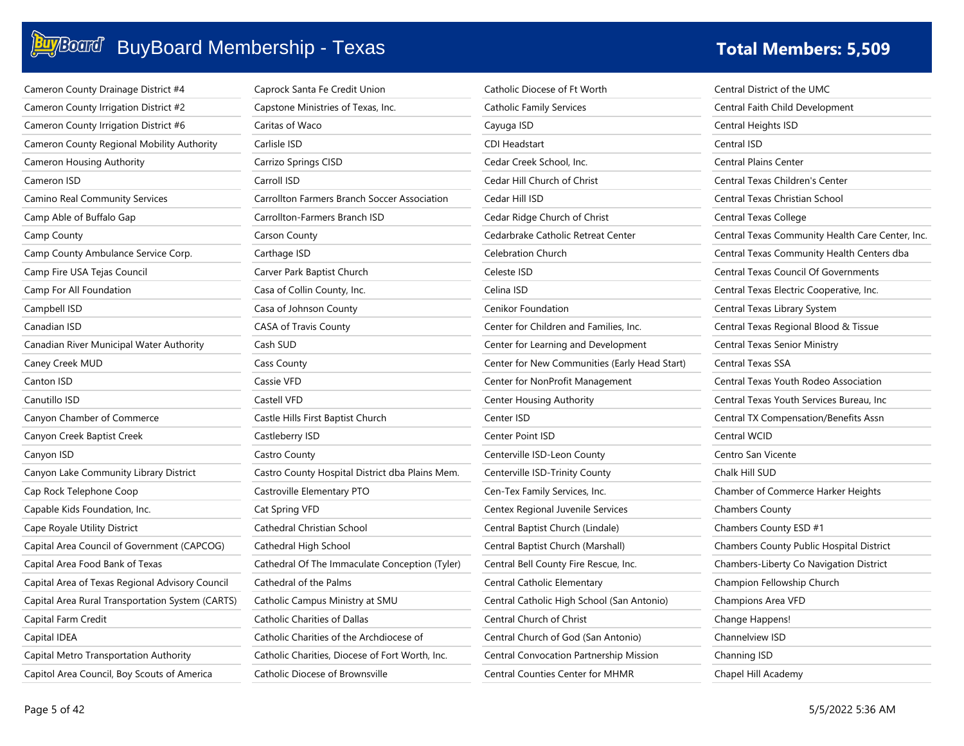| Cameron County Drainage District #4              | Caprock Santa Fe Credit Union                       | Catholic Diocese of Ft Worth                  | Central District of the UMC                      |
|--------------------------------------------------|-----------------------------------------------------|-----------------------------------------------|--------------------------------------------------|
| Cameron County Irrigation District #2            | Capstone Ministries of Texas, Inc.                  | Catholic Family Services                      | Central Faith Child Development                  |
| Cameron County Irrigation District #6            | Caritas of Waco                                     | Cayuga ISD                                    | Central Heights ISD                              |
| Cameron County Regional Mobility Authority       | Carlisle ISD                                        | <b>CDI Headstart</b>                          | Central ISD                                      |
| Cameron Housing Authority                        | Carrizo Springs CISD                                | Cedar Creek School, Inc.                      | <b>Central Plains Center</b>                     |
| Cameron ISD                                      | Carroll ISD                                         | Cedar Hill Church of Christ                   | Central Texas Children's Center                  |
| Camino Real Community Services                   | <b>Carrollton Farmers Branch Soccer Association</b> | Cedar Hill ISD                                | Central Texas Christian School                   |
| Camp Able of Buffalo Gap                         | Carrollton-Farmers Branch ISD                       | Cedar Ridge Church of Christ                  | Central Texas College                            |
| Camp County                                      | Carson County                                       | Cedarbrake Catholic Retreat Center            | Central Texas Community Health Care Center, Inc. |
| Camp County Ambulance Service Corp.              | Carthage ISD                                        | <b>Celebration Church</b>                     | Central Texas Community Health Centers dba       |
| Camp Fire USA Tejas Council                      | Carver Park Baptist Church                          | Celeste ISD                                   | <b>Central Texas Council Of Governments</b>      |
| Camp For All Foundation                          | Casa of Collin County, Inc.                         | Celina ISD                                    | Central Texas Electric Cooperative, Inc.         |
| Campbell ISD                                     | Casa of Johnson County                              | Cenikor Foundation                            | Central Texas Library System                     |
| Canadian ISD                                     | <b>CASA of Travis County</b>                        | Center for Children and Families, Inc.        | Central Texas Regional Blood & Tissue            |
| Canadian River Municipal Water Authority         | Cash SUD                                            | Center for Learning and Development           | Central Texas Senior Ministry                    |
| Caney Creek MUD                                  | <b>Cass County</b>                                  | Center for New Communities (Early Head Start) | Central Texas SSA                                |
| Canton ISD                                       | Cassie VFD                                          | Center for NonProfit Management               | Central Texas Youth Rodeo Association            |
| Canutillo ISD                                    | Castell VFD                                         | Center Housing Authority                      | Central Texas Youth Services Bureau, Inc.        |
| Canyon Chamber of Commerce                       | Castle Hills First Baptist Church                   | Center ISD                                    | Central TX Compensation/Benefits Assn            |
| Canyon Creek Baptist Creek                       | Castleberry ISD                                     | Center Point ISD                              | Central WCID                                     |
| Canyon ISD                                       | Castro County                                       | Centerville ISD-Leon County                   | Centro San Vicente                               |
| Canyon Lake Community Library District           | Castro County Hospital District dba Plains Mem.     | Centerville ISD-Trinity County                | Chalk Hill SUD                                   |
| Cap Rock Telephone Coop                          | Castroville Elementary PTO                          | Cen-Tex Family Services, Inc.                 | Chamber of Commerce Harker Heights               |
| Capable Kids Foundation, Inc.                    | Cat Spring VFD                                      | Centex Regional Juvenile Services             | <b>Chambers County</b>                           |
| Cape Royale Utility District                     | Cathedral Christian School                          | Central Baptist Church (Lindale)              | Chambers County ESD #1                           |
| Capital Area Council of Government (CAPCOG)      | Cathedral High School                               | Central Baptist Church (Marshall)             | Chambers County Public Hospital District         |
| Capital Area Food Bank of Texas                  | Cathedral Of The Immaculate Conception (Tyler)      | Central Bell County Fire Rescue, Inc.         | Chambers-Liberty Co Navigation District          |
| Capital Area of Texas Regional Advisory Council  | Cathedral of the Palms                              | Central Catholic Elementary                   | Champion Fellowship Church                       |
| Capital Area Rural Transportation System (CARTS) | Catholic Campus Ministry at SMU                     | Central Catholic High School (San Antonio)    | Champions Area VFD                               |
| Capital Farm Credit                              | <b>Catholic Charities of Dallas</b>                 | Central Church of Christ                      | Change Happens!                                  |
| Capital IDEA                                     | Catholic Charities of the Archdiocese of            | Central Church of God (San Antonio)           | Channelview ISD                                  |
| Capital Metro Transportation Authority           | Catholic Charities, Diocese of Fort Worth, Inc.     | Central Convocation Partnership Mission       | Channing ISD                                     |
| Capitol Area Council, Boy Scouts of America      | Catholic Diocese of Brownsville                     | <b>Central Counties Center for MHMR</b>       | Chapel Hill Academy                              |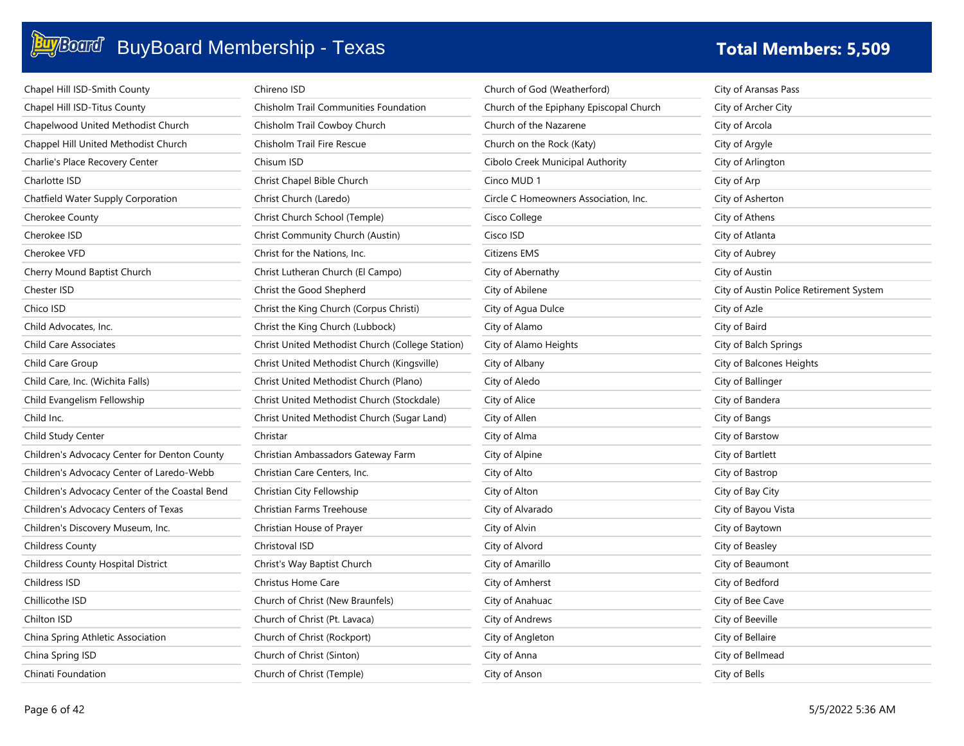| Chapel Hill ISD-Smith County                   | Chireno ISD                                      | Church of God (Weatherford)             | City of Aransas Pass                    |
|------------------------------------------------|--------------------------------------------------|-----------------------------------------|-----------------------------------------|
| Chapel Hill ISD-Titus County                   | <b>Chisholm Trail Communities Foundation</b>     | Church of the Epiphany Episcopal Church | City of Archer City                     |
| Chapelwood United Methodist Church             | Chisholm Trail Cowboy Church                     | Church of the Nazarene                  | City of Arcola                          |
| Chappel Hill United Methodist Church           | Chisholm Trail Fire Rescue                       | Church on the Rock (Katy)               | City of Argyle                          |
| Charlie's Place Recovery Center                | Chisum ISD                                       | Cibolo Creek Municipal Authority        | City of Arlington                       |
| Charlotte ISD                                  | Christ Chapel Bible Church                       | Cinco MUD 1                             | City of Arp                             |
| Chatfield Water Supply Corporation             | Christ Church (Laredo)                           | Circle C Homeowners Association, Inc.   | City of Asherton                        |
| Cherokee County                                | Christ Church School (Temple)                    | Cisco College                           | City of Athens                          |
| Cherokee ISD                                   | Christ Community Church (Austin)                 | Cisco ISD                               | City of Atlanta                         |
| Cherokee VFD                                   | Christ for the Nations, Inc.                     | <b>Citizens EMS</b>                     | City of Aubrey                          |
| Cherry Mound Baptist Church                    | Christ Lutheran Church (El Campo)                | City of Abernathy                       | City of Austin                          |
| Chester ISD                                    | Christ the Good Shepherd                         | City of Abilene                         | City of Austin Police Retirement System |
| Chico ISD                                      | Christ the King Church (Corpus Christi)          | City of Agua Dulce                      | City of Azle                            |
| Child Advocates, Inc.                          | Christ the King Church (Lubbock)                 | City of Alamo                           | City of Baird                           |
| Child Care Associates                          | Christ United Methodist Church (College Station) | City of Alamo Heights                   | City of Balch Springs                   |
| Child Care Group                               | Christ United Methodist Church (Kingsville)      | City of Albany                          | City of Balcones Heights                |
| Child Care, Inc. (Wichita Falls)               | Christ United Methodist Church (Plano)           | City of Aledo                           | City of Ballinger                       |
| Child Evangelism Fellowship                    | Christ United Methodist Church (Stockdale)       | City of Alice                           | City of Bandera                         |
| Child Inc.                                     | Christ United Methodist Church (Sugar Land)      | City of Allen                           | City of Bangs                           |
| Child Study Center                             | Christar                                         | City of Alma                            | City of Barstow                         |
| Children's Advocacy Center for Denton County   | Christian Ambassadors Gateway Farm               | City of Alpine                          | City of Bartlett                        |
| Children's Advocacy Center of Laredo-Webb      | Christian Care Centers, Inc.                     | City of Alto                            | City of Bastrop                         |
| Children's Advocacy Center of the Coastal Bend | Christian City Fellowship                        | City of Alton                           | City of Bay City                        |
| Children's Advocacy Centers of Texas           | Christian Farms Treehouse                        | City of Alvarado                        | City of Bayou Vista                     |
| Children's Discovery Museum, Inc.              | Christian House of Prayer                        | City of Alvin                           | City of Baytown                         |
| <b>Childress County</b>                        | Christoval ISD                                   | City of Alvord                          | City of Beasley                         |
| <b>Childress County Hospital District</b>      | Christ's Way Baptist Church                      | City of Amarillo                        | City of Beaumont                        |
| Childress ISD                                  | Christus Home Care                               | City of Amherst                         | City of Bedford                         |
| Chillicothe ISD                                | Church of Christ (New Braunfels)                 | City of Anahuac                         | City of Bee Cave                        |
| Chilton ISD                                    | Church of Christ (Pt. Lavaca)                    | City of Andrews                         | City of Beeville                        |
| China Spring Athletic Association              | Church of Christ (Rockport)                      | City of Angleton                        | City of Bellaire                        |
| China Spring ISD                               | Church of Christ (Sinton)                        | City of Anna                            | City of Bellmead                        |
| Chinati Foundation                             | Church of Christ (Temple)                        | City of Anson                           | City of Bells                           |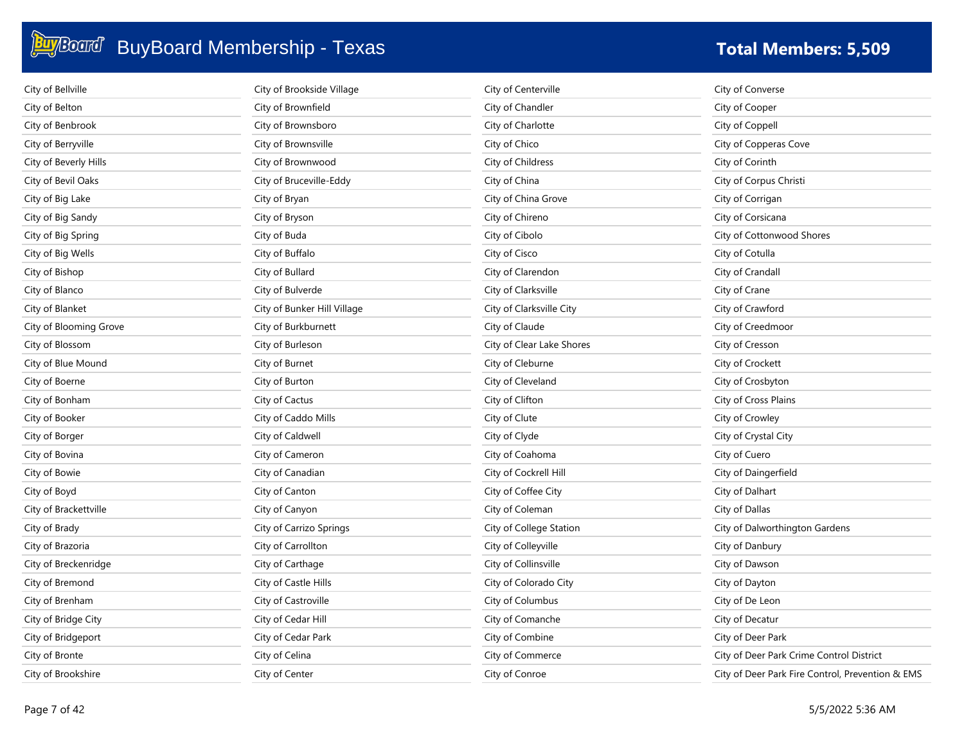| City of Bellville      | City of Brookside Village   | City of Centerville       | City of Converse                                 |
|------------------------|-----------------------------|---------------------------|--------------------------------------------------|
| City of Belton         | City of Brownfield          | City of Chandler          | City of Cooper                                   |
| City of Benbrook       | City of Brownsboro          | City of Charlotte         | City of Coppell                                  |
| City of Berryville     | City of Brownsville         | City of Chico             | City of Copperas Cove                            |
| City of Beverly Hills  | City of Brownwood           | City of Childress         | City of Corinth                                  |
| City of Bevil Oaks     | City of Bruceville-Eddy     | City of China             | City of Corpus Christi                           |
| City of Big Lake       | City of Bryan               | City of China Grove       | City of Corrigan                                 |
| City of Big Sandy      | City of Bryson              | City of Chireno           | City of Corsicana                                |
| City of Big Spring     | City of Buda                | City of Cibolo            | City of Cottonwood Shores                        |
| City of Big Wells      | City of Buffalo             | City of Cisco             | City of Cotulla                                  |
| City of Bishop         | City of Bullard             | City of Clarendon         | City of Crandall                                 |
| City of Blanco         | City of Bulverde            | City of Clarksville       | City of Crane                                    |
| City of Blanket        | City of Bunker Hill Village | City of Clarksville City  | City of Crawford                                 |
| City of Blooming Grove | City of Burkburnett         | City of Claude            | City of Creedmoor                                |
| City of Blossom        | City of Burleson            | City of Clear Lake Shores | City of Cresson                                  |
| City of Blue Mound     | City of Burnet              | City of Cleburne          | City of Crockett                                 |
| City of Boerne         | City of Burton              | City of Cleveland         | City of Crosbyton                                |
| City of Bonham         | City of Cactus              | City of Clifton           | City of Cross Plains                             |
| City of Booker         | City of Caddo Mills         | City of Clute             | City of Crowley                                  |
| City of Borger         | City of Caldwell            | City of Clyde             | City of Crystal City                             |
| City of Bovina         | City of Cameron             | City of Coahoma           | City of Cuero                                    |
| City of Bowie          | City of Canadian            | City of Cockrell Hill     | City of Daingerfield                             |
| City of Boyd           | City of Canton              | City of Coffee City       | City of Dalhart                                  |
| City of Brackettville  | City of Canyon              | City of Coleman           | City of Dallas                                   |
| City of Brady          | City of Carrizo Springs     | City of College Station   | City of Dalworthington Gardens                   |
| City of Brazoria       | City of Carrollton          | City of Colleyville       | City of Danbury                                  |
| City of Breckenridge   | City of Carthage            | City of Collinsville      | City of Dawson                                   |
| City of Bremond        | City of Castle Hills        | City of Colorado City     | City of Dayton                                   |
| City of Brenham        | City of Castroville         | City of Columbus          | City of De Leon                                  |
| City of Bridge City    | City of Cedar Hill          | City of Comanche          | City of Decatur                                  |
| City of Bridgeport     | City of Cedar Park          | City of Combine           | City of Deer Park                                |
| City of Bronte         | City of Celina              | City of Commerce          | City of Deer Park Crime Control District         |
| City of Brookshire     | City of Center              | City of Conroe            | City of Deer Park Fire Control, Prevention & EMS |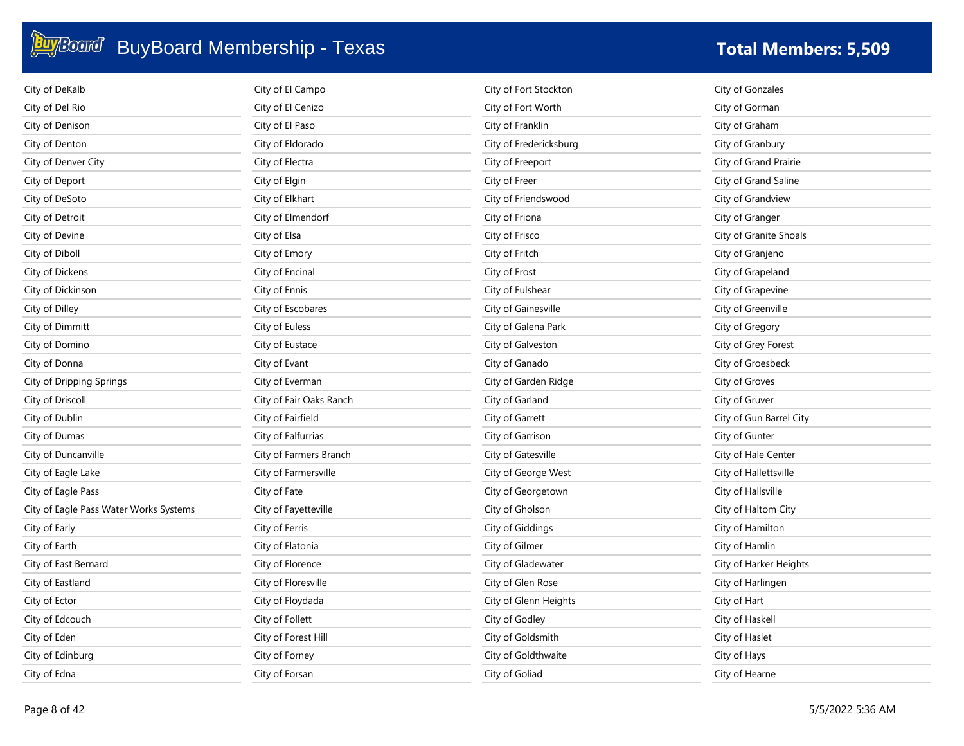| City of DeKalb                         | City of El Campo        | City of Fort Stockton  | City of Gonzales        |
|----------------------------------------|-------------------------|------------------------|-------------------------|
| City of Del Rio                        | City of El Cenizo       | City of Fort Worth     | City of Gorman          |
| City of Denison                        | City of El Paso         | City of Franklin       | City of Graham          |
| City of Denton                         | City of Eldorado        | City of Fredericksburg | City of Granbury        |
| City of Denver City                    | City of Electra         | City of Freeport       | City of Grand Prairie   |
| City of Deport                         | City of Elgin           | City of Freer          | City of Grand Saline    |
| City of DeSoto                         | City of Elkhart         | City of Friendswood    | City of Grandview       |
| City of Detroit                        | City of Elmendorf       | City of Friona         | City of Granger         |
| City of Devine                         | City of Elsa            | City of Frisco         | City of Granite Shoals  |
| City of Diboll                         | City of Emory           | City of Fritch         | City of Granjeno        |
| City of Dickens                        | City of Encinal         | City of Frost          | City of Grapeland       |
| City of Dickinson                      | City of Ennis           | City of Fulshear       | City of Grapevine       |
| City of Dilley                         | City of Escobares       | City of Gainesville    | City of Greenville      |
| City of Dimmitt                        | City of Euless          | City of Galena Park    | City of Gregory         |
| City of Domino                         | City of Eustace         | City of Galveston      | City of Grey Forest     |
| City of Donna                          | City of Evant           | City of Ganado         | City of Groesbeck       |
| City of Dripping Springs               | City of Everman         | City of Garden Ridge   | City of Groves          |
| City of Driscoll                       | City of Fair Oaks Ranch | City of Garland        | City of Gruver          |
| City of Dublin                         | City of Fairfield       | City of Garrett        | City of Gun Barrel City |
| City of Dumas                          | City of Falfurrias      | City of Garrison       | City of Gunter          |
| City of Duncanville                    | City of Farmers Branch  | City of Gatesville     | City of Hale Center     |
| City of Eagle Lake                     | City of Farmersville    | City of George West    | City of Hallettsville   |
| City of Eagle Pass                     | City of Fate            | City of Georgetown     | City of Hallsville      |
| City of Eagle Pass Water Works Systems | City of Fayetteville    | City of Gholson        | City of Haltom City     |
| City of Early                          | City of Ferris          | City of Giddings       | City of Hamilton        |
| City of Earth                          | City of Flatonia        | City of Gilmer         | City of Hamlin          |
| City of East Bernard                   | City of Florence        | City of Gladewater     | City of Harker Heights  |
| City of Eastland                       | City of Floresville     | City of Glen Rose      | City of Harlingen       |
| City of Ector                          | City of Floydada        | City of Glenn Heights  | City of Hart            |
| City of Edcouch                        | City of Follett         | City of Godley         | City of Haskell         |
| City of Eden                           | City of Forest Hill     | City of Goldsmith      | City of Haslet          |
| City of Edinburg                       | City of Forney          | City of Goldthwaite    | City of Hays            |
| City of Edna                           | City of Forsan          | City of Goliad         | City of Hearne          |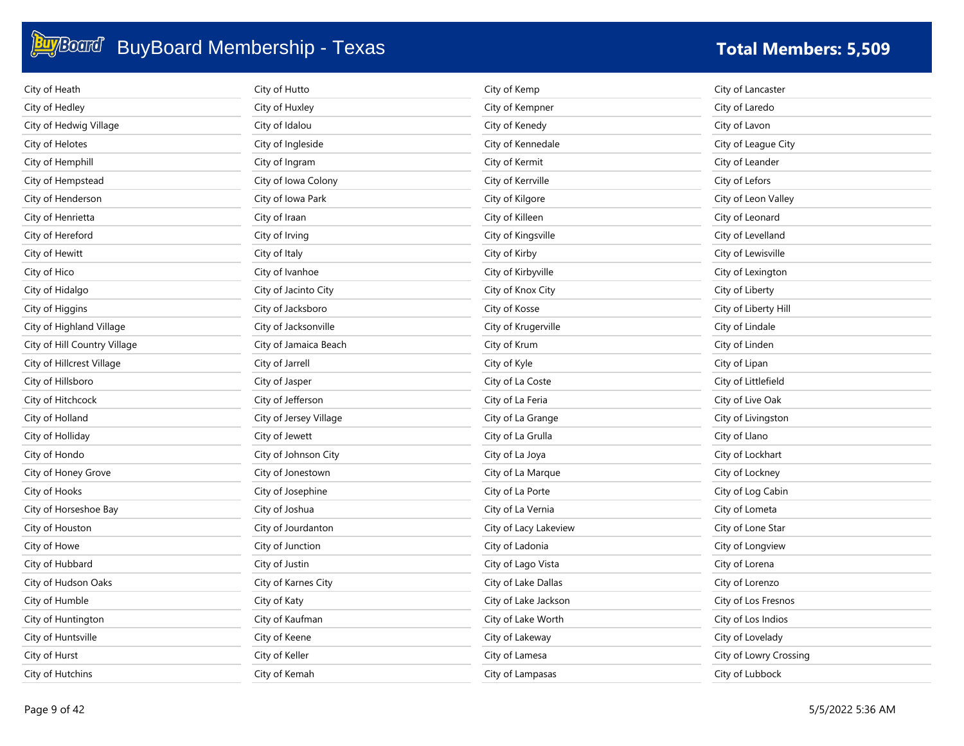| City of Heath                | City of Hutto          | City of Kemp          | City of Lancaster      |
|------------------------------|------------------------|-----------------------|------------------------|
| City of Hedley               | City of Huxley         | City of Kempner       | City of Laredo         |
| City of Hedwig Village       | City of Idalou         | City of Kenedy        | City of Lavon          |
| City of Helotes              | City of Ingleside      | City of Kennedale     | City of League City    |
| City of Hemphill             | City of Ingram         | City of Kermit        | City of Leander        |
| City of Hempstead            | City of Iowa Colony    | City of Kerrville     | City of Lefors         |
| City of Henderson            | City of Iowa Park      | City of Kilgore       | City of Leon Valley    |
| City of Henrietta            | City of Iraan          | City of Killeen       | City of Leonard        |
| City of Hereford             | City of Irving         | City of Kingsville    | City of Levelland      |
| City of Hewitt               | City of Italy          | City of Kirby         | City of Lewisville     |
| City of Hico                 | City of Ivanhoe        | City of Kirbyville    | City of Lexington      |
| City of Hidalgo              | City of Jacinto City   | City of Knox City     | City of Liberty        |
| City of Higgins              | City of Jacksboro      | City of Kosse         | City of Liberty Hill   |
| City of Highland Village     | City of Jacksonville   | City of Krugerville   | City of Lindale        |
| City of Hill Country Village | City of Jamaica Beach  | City of Krum          | City of Linden         |
| City of Hillcrest Village    | City of Jarrell        | City of Kyle          | City of Lipan          |
| City of Hillsboro            | City of Jasper         | City of La Coste      | City of Littlefield    |
| City of Hitchcock            | City of Jefferson      | City of La Feria      | City of Live Oak       |
| City of Holland              | City of Jersey Village | City of La Grange     | City of Livingston     |
| City of Holliday             | City of Jewett         | City of La Grulla     | City of Llano          |
| City of Hondo                | City of Johnson City   | City of La Joya       | City of Lockhart       |
| City of Honey Grove          | City of Jonestown      | City of La Marque     | City of Lockney        |
| City of Hooks                | City of Josephine      | City of La Porte      | City of Log Cabin      |
| City of Horseshoe Bay        | City of Joshua         | City of La Vernia     | City of Lometa         |
| City of Houston              | City of Jourdanton     | City of Lacy Lakeview | City of Lone Star      |
| City of Howe                 | City of Junction       | City of Ladonia       | City of Longview       |
| City of Hubbard              | City of Justin         | City of Lago Vista    | City of Lorena         |
| City of Hudson Oaks          | City of Karnes City    | City of Lake Dallas   | City of Lorenzo        |
| City of Humble               | City of Katy           | City of Lake Jackson  | City of Los Fresnos    |
| City of Huntington           | City of Kaufman        | City of Lake Worth    | City of Los Indios     |
| City of Huntsville           | City of Keene          | City of Lakeway       | City of Lovelady       |
| City of Hurst                | City of Keller         | City of Lamesa        | City of Lowry Crossing |
| City of Hutchins             | City of Kemah          | City of Lampasas      | City of Lubbock        |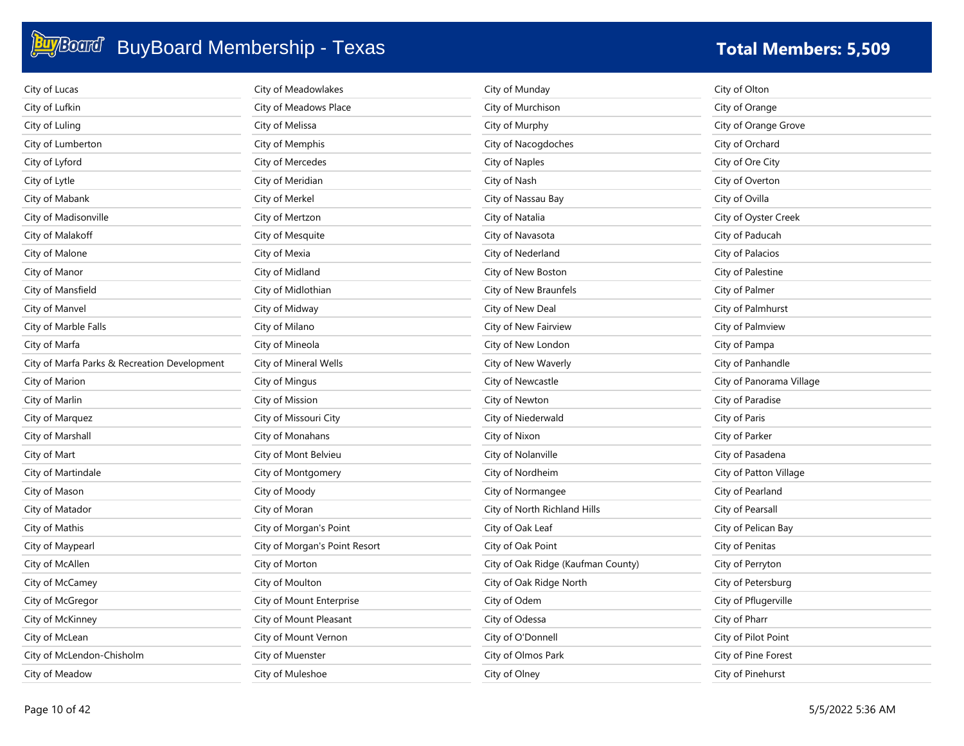| City of Lucas                                | City of Meadowlakes           | City of Munday                     | City of Olton            |
|----------------------------------------------|-------------------------------|------------------------------------|--------------------------|
| City of Lufkin                               | City of Meadows Place         | City of Murchison                  | City of Orange           |
| City of Luling                               | City of Melissa               | City of Murphy                     | City of Orange Grove     |
| City of Lumberton                            | City of Memphis               | City of Nacogdoches                | City of Orchard          |
| City of Lyford                               | City of Mercedes              | City of Naples                     | City of Ore City         |
| City of Lytle                                | City of Meridian              | City of Nash                       | City of Overton          |
| City of Mabank                               | City of Merkel                | City of Nassau Bay                 | City of Ovilla           |
| City of Madisonville                         | City of Mertzon               | City of Natalia                    | City of Oyster Creek     |
| City of Malakoff                             | City of Mesquite              | City of Navasota                   | City of Paducah          |
| City of Malone                               | City of Mexia                 | City of Nederland                  | City of Palacios         |
| City of Manor                                | City of Midland               | City of New Boston                 | City of Palestine        |
| City of Mansfield                            | City of Midlothian            | City of New Braunfels              | City of Palmer           |
| City of Manvel                               | City of Midway                | City of New Deal                   | City of Palmhurst        |
| City of Marble Falls                         | City of Milano                | City of New Fairview               | City of Palmview         |
| City of Marfa                                | City of Mineola               | City of New London                 | City of Pampa            |
| City of Marfa Parks & Recreation Development | City of Mineral Wells         | City of New Waverly                | City of Panhandle        |
| City of Marion                               | City of Mingus                | City of Newcastle                  | City of Panorama Village |
| City of Marlin                               | City of Mission               | City of Newton                     | City of Paradise         |
| City of Marquez                              | City of Missouri City         | City of Niederwald                 | City of Paris            |
| City of Marshall                             | City of Monahans              | City of Nixon                      | City of Parker           |
| City of Mart                                 | City of Mont Belvieu          | City of Nolanville                 | City of Pasadena         |
| City of Martindale                           | City of Montgomery            | City of Nordheim                   | City of Patton Village   |
| City of Mason                                | City of Moody                 | City of Normangee                  | City of Pearland         |
| City of Matador                              | City of Moran                 | City of North Richland Hills       | City of Pearsall         |
| City of Mathis                               | City of Morgan's Point        | City of Oak Leaf                   | City of Pelican Bay      |
| City of Maypearl                             | City of Morgan's Point Resort | City of Oak Point                  | City of Penitas          |
| City of McAllen                              | City of Morton                | City of Oak Ridge (Kaufman County) | City of Perryton         |
| City of McCamey                              | City of Moulton               | City of Oak Ridge North            | City of Petersburg       |
| City of McGregor                             | City of Mount Enterprise      | City of Odem                       | City of Pflugerville     |
| City of McKinney                             | City of Mount Pleasant        | City of Odessa                     | City of Pharr            |
| City of McLean                               | City of Mount Vernon          | City of O'Donnell                  | City of Pilot Point      |
| City of McLendon-Chisholm                    | City of Muenster              | City of Olmos Park                 | City of Pine Forest      |
| City of Meadow                               | City of Muleshoe              | City of Olney                      | City of Pinehurst        |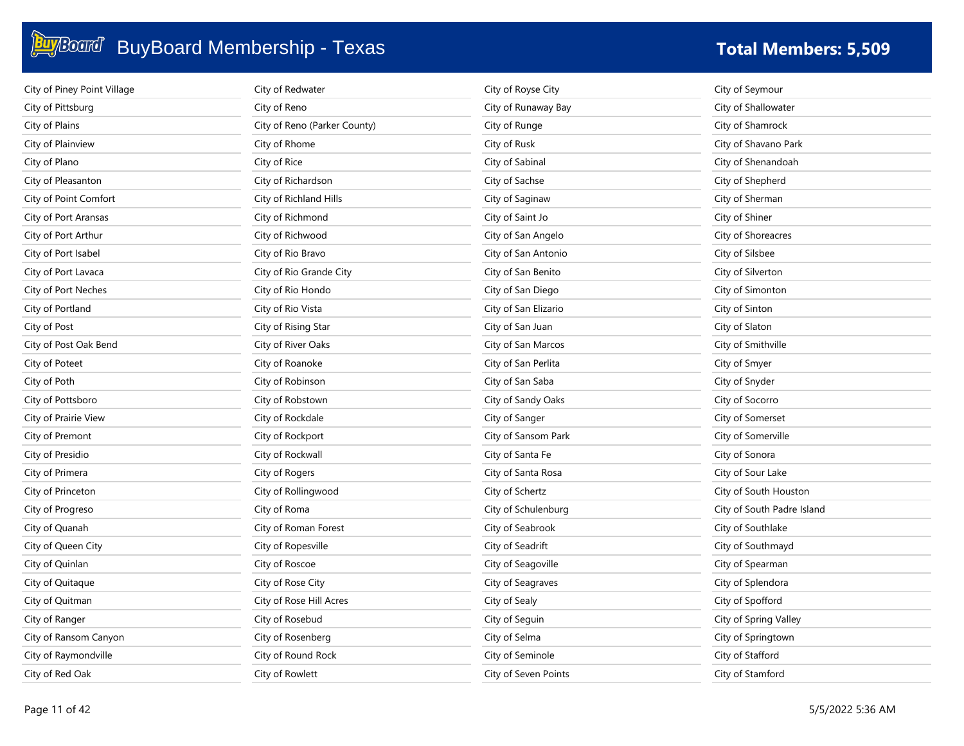| City of Piney Point Village | City of Redwater             | City of Royse City   | City of Seymour            |
|-----------------------------|------------------------------|----------------------|----------------------------|
| City of Pittsburg           | City of Reno                 | City of Runaway Bay  | City of Shallowater        |
| City of Plains              | City of Reno (Parker County) | City of Runge        | City of Shamrock           |
| City of Plainview           | City of Rhome                | City of Rusk         | City of Shavano Park       |
| City of Plano               | City of Rice                 | City of Sabinal      | City of Shenandoah         |
| City of Pleasanton          | City of Richardson           | City of Sachse       | City of Shepherd           |
| City of Point Comfort       | City of Richland Hills       | City of Saginaw      | City of Sherman            |
| City of Port Aransas        | City of Richmond             | City of Saint Jo     | City of Shiner             |
| City of Port Arthur         | City of Richwood             | City of San Angelo   | City of Shoreacres         |
| City of Port Isabel         | City of Rio Bravo            | City of San Antonio  | City of Silsbee            |
| City of Port Lavaca         | City of Rio Grande City      | City of San Benito   | City of Silverton          |
| City of Port Neches         | City of Rio Hondo            | City of San Diego    | City of Simonton           |
| City of Portland            | City of Rio Vista            | City of San Elizario | City of Sinton             |
| City of Post                | City of Rising Star          | City of San Juan     | City of Slaton             |
| City of Post Oak Bend       | City of River Oaks           | City of San Marcos   | City of Smithville         |
| City of Poteet              | City of Roanoke              | City of San Perlita  | City of Smyer              |
| City of Poth                | City of Robinson             | City of San Saba     | City of Snyder             |
| City of Pottsboro           | City of Robstown             | City of Sandy Oaks   | City of Socorro            |
| City of Prairie View        | City of Rockdale             | City of Sanger       | City of Somerset           |
| City of Premont             | City of Rockport             | City of Sansom Park  | City of Somerville         |
| City of Presidio            | City of Rockwall             | City of Santa Fe     | City of Sonora             |
| City of Primera             | City of Rogers               | City of Santa Rosa   | City of Sour Lake          |
| City of Princeton           | City of Rollingwood          | City of Schertz      | City of South Houston      |
| City of Progreso            | City of Roma                 | City of Schulenburg  | City of South Padre Island |
| City of Quanah              | City of Roman Forest         | City of Seabrook     | City of Southlake          |
| City of Queen City          | City of Ropesville           | City of Seadrift     | City of Southmayd          |
| City of Quinlan             | City of Roscoe               | City of Seagoville   | City of Spearman           |
| City of Quitaque            | City of Rose City            | City of Seagraves    | City of Splendora          |
| City of Quitman             | City of Rose Hill Acres      | City of Sealy        | City of Spofford           |
| City of Ranger              | City of Rosebud              | City of Seguin       | City of Spring Valley      |
| City of Ransom Canyon       | City of Rosenberg            | City of Selma        | City of Springtown         |
| City of Raymondville        | City of Round Rock           | City of Seminole     | City of Stafford           |
| City of Red Oak             | City of Rowlett              | City of Seven Points | City of Stamford           |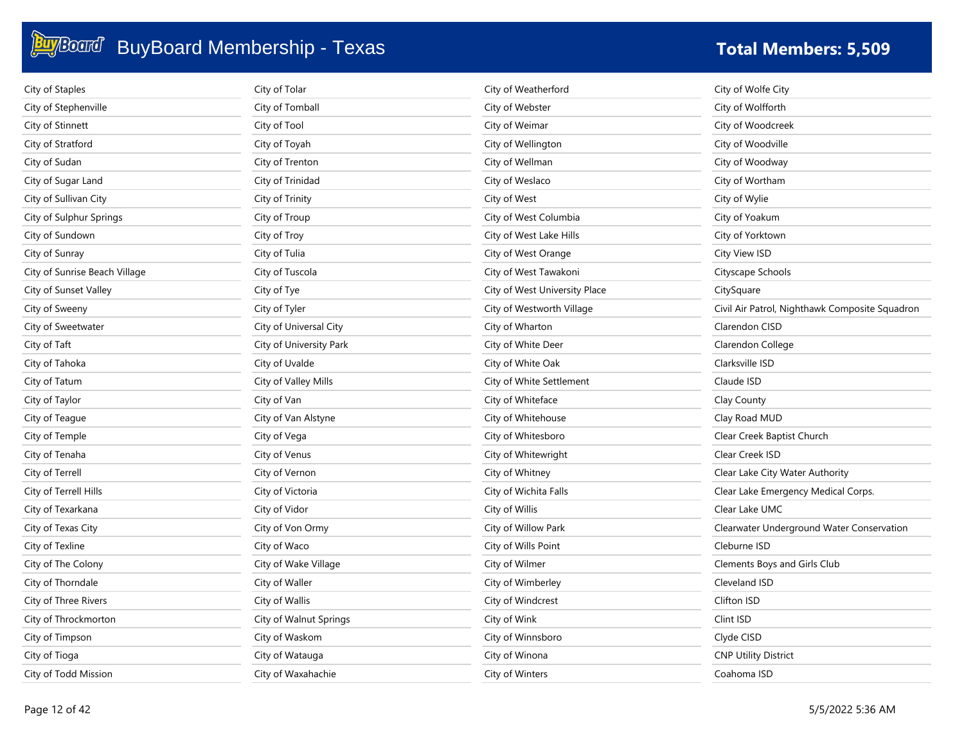| City of Staples               | City of Tolar           | City of Weatherford           | City of Wolfe City                             |
|-------------------------------|-------------------------|-------------------------------|------------------------------------------------|
| City of Stephenville          | City of Tomball         | City of Webster               | City of Wolfforth                              |
| City of Stinnett              | City of Tool            | City of Weimar                | City of Woodcreek                              |
| City of Stratford             | City of Toyah           | City of Wellington            | City of Woodville                              |
| City of Sudan                 | City of Trenton         | City of Wellman               | City of Woodway                                |
| City of Sugar Land            | City of Trinidad        | City of Weslaco               | City of Wortham                                |
| City of Sullivan City         | City of Trinity         | City of West                  | City of Wylie                                  |
| City of Sulphur Springs       | City of Troup           | City of West Columbia         | City of Yoakum                                 |
| City of Sundown               | City of Troy            | City of West Lake Hills       | City of Yorktown                               |
| City of Sunray                | City of Tulia           | City of West Orange           | City View ISD                                  |
| City of Sunrise Beach Village | City of Tuscola         | City of West Tawakoni         | Cityscape Schools                              |
| City of Sunset Valley         | City of Tye             | City of West University Place | CitySquare                                     |
| City of Sweeny                | City of Tyler           | City of Westworth Village     | Civil Air Patrol, Nighthawk Composite Squadron |
| City of Sweetwater            | City of Universal City  | City of Wharton               | Clarendon CISD                                 |
| City of Taft                  | City of University Park | City of White Deer            | Clarendon College                              |
| City of Tahoka                | City of Uvalde          | City of White Oak             | Clarksville ISD                                |
| City of Tatum                 | City of Valley Mills    | City of White Settlement      | Claude ISD                                     |
| City of Taylor                | City of Van             | City of Whiteface             | Clay County                                    |
| City of Teague                | City of Van Alstyne     | City of Whitehouse            | Clay Road MUD                                  |
| City of Temple                | City of Vega            | City of Whitesboro            | Clear Creek Baptist Church                     |
| City of Tenaha                | City of Venus           | City of Whitewright           | Clear Creek ISD                                |
| City of Terrell               | City of Vernon          | City of Whitney               | Clear Lake City Water Authority                |
| City of Terrell Hills         | City of Victoria        | City of Wichita Falls         | Clear Lake Emergency Medical Corps.            |
| City of Texarkana             | City of Vidor           | City of Willis                | Clear Lake UMC                                 |
| City of Texas City            | City of Von Ormy        | City of Willow Park           | Clearwater Underground Water Conservation      |
| City of Texline               | City of Waco            | City of Wills Point           | Cleburne ISD                                   |
| City of The Colony            | City of Wake Village    | City of Wilmer                | Clements Boys and Girls Club                   |
| City of Thorndale             | City of Waller          | City of Wimberley             | Cleveland ISD                                  |
| City of Three Rivers          | City of Wallis          | City of Windcrest             | Clifton ISD                                    |
| City of Throckmorton          | City of Walnut Springs  | City of Wink                  | Clint ISD                                      |
| City of Timpson               | City of Waskom          | City of Winnsboro             | Clyde CISD                                     |
| City of Tioga                 | City of Watauga         | City of Winona                | <b>CNP Utility District</b>                    |
| City of Todd Mission          | City of Waxahachie      | City of Winters               | Coahoma ISD                                    |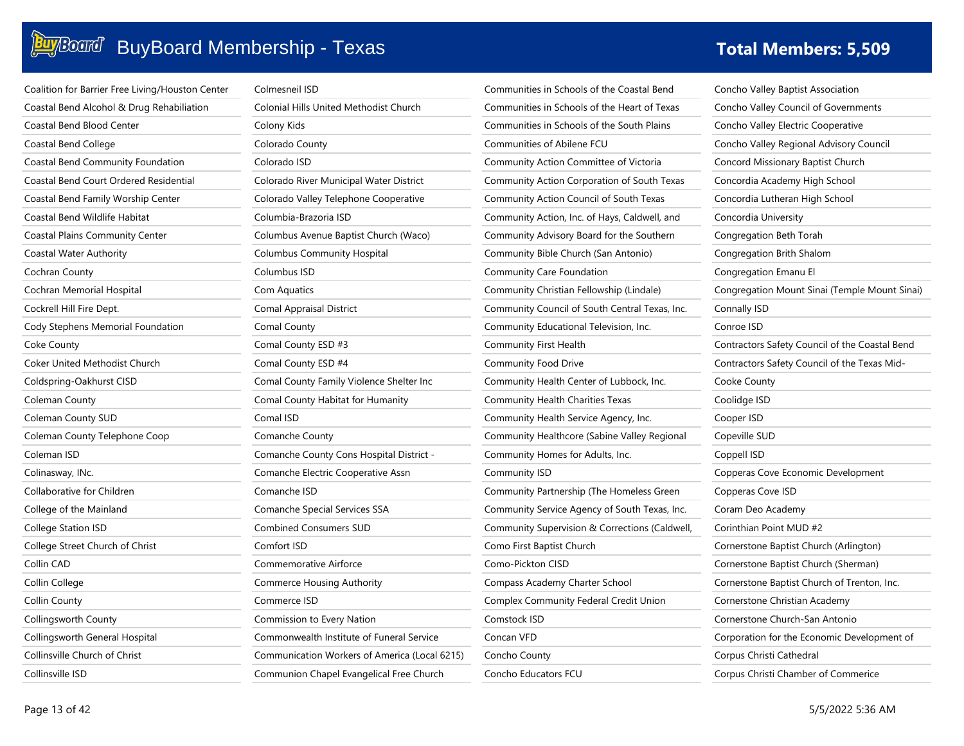| Coalition for Barrier Free Living/Houston Center | Colmesneil ISD                                | Communities in Schools of the Coastal Bend     | Concho Valley Baptist Association              |
|--------------------------------------------------|-----------------------------------------------|------------------------------------------------|------------------------------------------------|
| Coastal Bend Alcohol & Drug Rehabiliation        | Colonial Hills United Methodist Church        | Communities in Schools of the Heart of Texas   | Concho Valley Council of Governments           |
| Coastal Bend Blood Center                        | Colony Kids                                   | Communities in Schools of the South Plains     | Concho Valley Electric Cooperative             |
| Coastal Bend College                             | Colorado County                               | Communities of Abilene FCU                     | Concho Valley Regional Advisory Council        |
| Coastal Bend Community Foundation                | Colorado ISD                                  | Community Action Committee of Victoria         | Concord Missionary Baptist Church              |
| Coastal Bend Court Ordered Residential           | Colorado River Municipal Water District       | Community Action Corporation of South Texas    | Concordia Academy High School                  |
| Coastal Bend Family Worship Center               | Colorado Valley Telephone Cooperative         | Community Action Council of South Texas        | Concordia Lutheran High School                 |
| Coastal Bend Wildlife Habitat                    | Columbia-Brazoria ISD                         | Community Action, Inc. of Hays, Caldwell, and  | Concordia University                           |
| <b>Coastal Plains Community Center</b>           | Columbus Avenue Baptist Church (Waco)         | Community Advisory Board for the Southern      | Congregation Beth Torah                        |
| Coastal Water Authority                          | <b>Columbus Community Hospital</b>            | Community Bible Church (San Antonio)           | Congregation Brith Shalom                      |
| Cochran County                                   | Columbus ISD                                  | Community Care Foundation                      | Congregation Emanu El                          |
| Cochran Memorial Hospital                        | Com Aquatics                                  | Community Christian Fellowship (Lindale)       | Congregation Mount Sinai (Temple Mount Sinai)  |
| Cockrell Hill Fire Dept.                         | Comal Appraisal District                      | Community Council of South Central Texas, Inc. | Connally ISD                                   |
| Cody Stephens Memorial Foundation                | Comal County                                  | Community Educational Television, Inc.         | Conroe ISD                                     |
| Coke County                                      | Comal County ESD #3                           | Community First Health                         | Contractors Safety Council of the Coastal Bend |
| Coker United Methodist Church                    | Comal County ESD #4                           | Community Food Drive                           | Contractors Safety Council of the Texas Mid-   |
| Coldspring-Oakhurst CISD                         | Comal County Family Violence Shelter Inc      | Community Health Center of Lubbock, Inc.       | Cooke County                                   |
| Coleman County                                   | Comal County Habitat for Humanity             | Community Health Charities Texas               | Coolidge ISD                                   |
| Coleman County SUD                               | Comal ISD                                     | Community Health Service Agency, Inc.          | Cooper ISD                                     |
| Coleman County Telephone Coop                    | Comanche County                               | Community Healthcore (Sabine Valley Regional   | Copeville SUD                                  |
| Coleman ISD                                      | Comanche County Cons Hospital District -      | Community Homes for Adults, Inc.               | Coppell ISD                                    |
| Colinasway, INc.                                 | Comanche Electric Cooperative Assn            | Community ISD                                  | Copperas Cove Economic Development             |
| Collaborative for Children                       | Comanche ISD                                  | Community Partnership (The Homeless Green      | Copperas Cove ISD                              |
| College of the Mainland                          | Comanche Special Services SSA                 | Community Service Agency of South Texas, Inc.  | Coram Deo Academy                              |
| College Station ISD                              | <b>Combined Consumers SUD</b>                 | Community Supervision & Corrections (Caldwell, | Corinthian Point MUD #2                        |
| College Street Church of Christ                  | Comfort ISD                                   | Como First Baptist Church                      | Cornerstone Baptist Church (Arlington)         |
| Collin CAD                                       | Commemorative Airforce                        | Como-Pickton CISD                              | Cornerstone Baptist Church (Sherman)           |
| Collin College                                   | <b>Commerce Housing Authority</b>             | Compass Academy Charter School                 | Cornerstone Baptist Church of Trenton, Inc.    |
| Collin County                                    | Commerce ISD                                  | Complex Community Federal Credit Union         | Cornerstone Christian Academy                  |
| Collingsworth County                             | Commission to Every Nation                    | Comstock ISD                                   | Cornerstone Church-San Antonio                 |
| Collingsworth General Hospital                   | Commonwealth Institute of Funeral Service     | Concan VFD                                     | Corporation for the Economic Development of    |
| Collinsville Church of Christ                    | Communication Workers of America (Local 6215) | Concho County                                  | Corpus Christi Cathedral                       |
| Collinsville ISD                                 | Communion Chapel Evangelical Free Church      | Concho Educators FCU                           | Corpus Christi Chamber of Commerice            |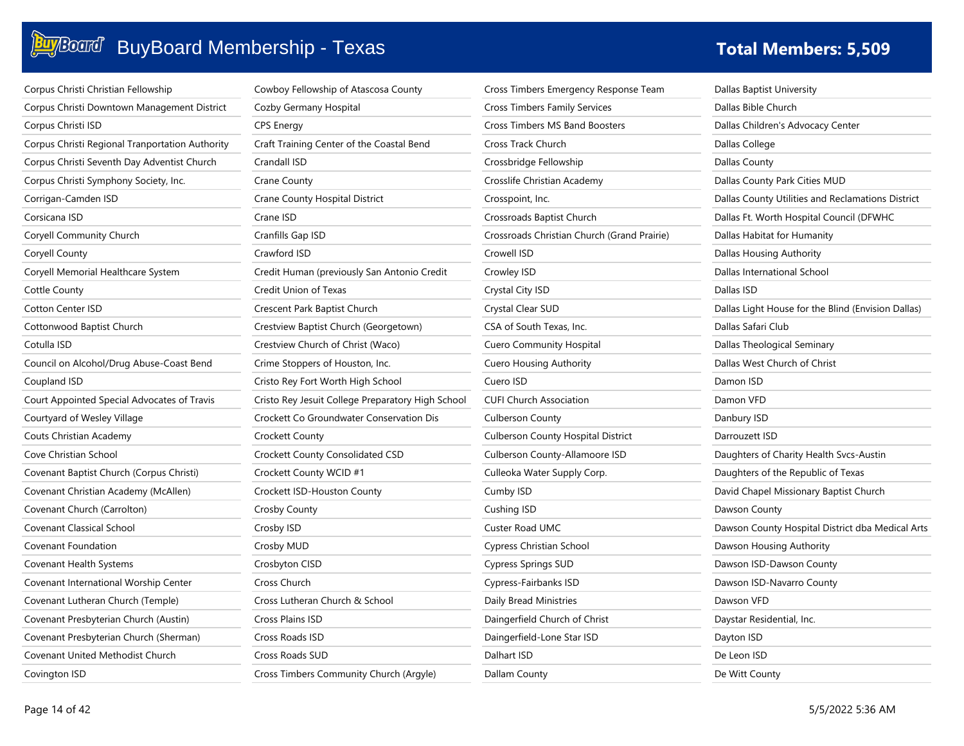|  | <b>Fotal Members: 5,509</b> |
|--|-----------------------------|
|  |                             |

| Corpus Christi Christian Fellowship             | Cowboy Fellowship of Atascosa County       |
|-------------------------------------------------|--------------------------------------------|
| Corpus Christi Downtown Management District     | Cozby Germany Hospital                     |
| Corpus Christi ISD                              | <b>CPS Energy</b>                          |
| Corpus Christi Regional Tranportation Authority | Craft Training Center of the Coastal Bend  |
| Corpus Christi Seventh Day Adventist Church     | Crandall ISD                               |
| Corpus Christi Symphony Society, Inc.           | Crane County                               |
| Corrigan-Camden ISD                             | Crane County Hospital District             |
| Corsicana ISD                                   | Crane ISD                                  |
| Coryell Community Church                        | Cranfills Gap ISD                          |
| Coryell County                                  | Crawford ISD                               |
| Coryell Memorial Healthcare System              | Credit Human (previously San Antonio Creo  |
| Cottle County                                   | Credit Union of Texas                      |
| <b>Cotton Center ISD</b>                        | Crescent Park Baptist Church               |
| Cottonwood Baptist Church                       | Crestview Baptist Church (Georgetown)      |
| Cotulla ISD                                     | Crestview Church of Christ (Waco)          |
| Council on Alcohol/Drug Abuse-Coast Bend        | Crime Stoppers of Houston, Inc.            |
| Coupland ISD                                    | Cristo Rey Fort Worth High School          |
| Court Appointed Special Advocates of Travis     | Cristo Rey Jesuit College Preparatory High |
| Courtyard of Wesley Village                     | Crockett Co Groundwater Conservation Dis   |
| Couts Christian Academy                         | Crockett County                            |
| Cove Christian School                           | Crockett County Consolidated CSD           |
| Covenant Baptist Church (Corpus Christi)        | Crockett County WCID #1                    |
| Covenant Christian Academy (McAllen)            | Crockett ISD-Houston County                |
| Covenant Church (Carrolton)                     | Crosby County                              |
| <b>Covenant Classical School</b>                | Crosby ISD                                 |
| Covenant Foundation                             | Crosby MUD                                 |
| Covenant Health Systems                         | Crosbyton CISD                             |
| Covenant International Worship Center           | Cross Church                               |
| Covenant Lutheran Church (Temple)               | Cross Lutheran Church & School             |
| Covenant Presbyterian Church (Austin)           | <b>Cross Plains ISD</b>                    |
| Covenant Presbyterian Church (Sherman)          | Cross Roads ISD                            |
| Covenant United Methodist Church                | Cross Roads SUD                            |
| Covington ISD                                   | Cross Timbers Community Church (Argyle)    |

| Cowboy Fellowship of Atascosa County              | Cross Timb        |
|---------------------------------------------------|-------------------|
| Cozby Germany Hospital                            | Cross Timb        |
| <b>CPS Energy</b>                                 | Cross Timb        |
| Craft Training Center of the Coastal Bend         | Cross Track       |
| Crandall ISD                                      | Crossbridg        |
| Crane County                                      | Crosslife Ch      |
| Crane County Hospital District                    | Crosspoint,       |
| Crane ISD                                         | Crossroads        |
| Cranfills Gap ISD                                 | Crossroads        |
| Crawford ISD                                      | Crowell ISD       |
| Credit Human (previously San Antonio Credit       | Crowley ISI       |
| Credit Union of Texas                             | Crystal City      |
| Crescent Park Baptist Church                      | Crystal Clea      |
| Crestview Baptist Church (Georgetown)             | CSA of Sou        |
| Crestview Church of Christ (Waco)                 | Cuero Com         |
| Crime Stoppers of Houston, Inc.                   | Cuero Hou:        |
| Cristo Rey Fort Worth High School                 | Cuero ISD         |
| Cristo Rey Jesuit College Preparatory High School | <b>CUFI Churc</b> |
| Crockett Co Groundwater Conservation Dis          | Culberson         |
| Crockett County                                   | Culberson         |
| Crockett County Consolidated CSD                  | Culberson         |
| Crockett County WCID #1                           | Culleoka W        |
| Crockett ISD-Houston County                       | Cumby ISD         |
| Crosby County                                     | Cushing ISI       |
| Crosby ISD                                        | Custer Roa        |
| Crosby MUD                                        | Cypress Ch        |
| Crosbyton CISD                                    | Cypress Sp        |
| Cross Church                                      | Cypress-Fa        |
| Cross Lutheran Church & School                    | Daily Bread       |
| Cross Plains ISD                                  | Daingerfiel       |
| Cross Roads ISD                                   | Daingerfiel       |
| Cross Roads SUD                                   | Dalhart ISD       |

| Cross Timbers Emergency Response Team       | Dallas Baptist U  |
|---------------------------------------------|-------------------|
| <b>Cross Timbers Family Services</b>        | Dallas Bible Chu  |
| <b>Cross Timbers MS Band Boosters</b>       | Dallas Children's |
| Cross Track Church                          | Dallas College    |
| Crossbridge Fellowship                      | Dallas County     |
| Crosslife Christian Academy                 | Dallas County P.  |
| Crosspoint, Inc.                            | Dallas County U   |
| Crossroads Baptist Church                   | Dallas Ft. Worth  |
| Crossroads Christian Church (Grand Prairie) | Dallas Habitat fo |
| Crowell ISD                                 | Dallas Housing.   |
| Crowley ISD                                 | Dallas Internatio |
| Crystal City ISD                            | Dallas ISD        |
| Crystal Clear SUD                           | Dallas Light Hou  |
| CSA of South Texas, Inc.                    | Dallas Safari Clu |
| <b>Cuero Community Hospital</b>             | Dallas Theologio  |
| <b>Cuero Housing Authority</b>              | Dallas West Chu   |
| Cuero ISD                                   | Damon ISD         |
| <b>CUFI Church Association</b>              | Damon VFD         |
| <b>Culberson County</b>                     | Danbury ISD       |
| <b>Culberson County Hospital District</b>   | Darrouzett ISD    |
| Culberson County-Allamoore ISD              | Daughters of Ch   |
| Culleoka Water Supply Corp.                 | Daughters of th   |
| Cumby ISD                                   | David Chapel M    |
| Cushing ISD                                 | Dawson County     |
| Custer Road UMC                             | Dawson County     |
| Cypress Christian School                    | Dawson Housin     |
| Cypress Springs SUD                         | Dawson ISD-Da     |
| Cypress-Fairbanks ISD                       | Dawson ISD-Na     |
| Daily Bread Ministries                      | Dawson VFD        |
| Daingerfield Church of Christ               | Daystar Residen   |
| Daingerfield-Lone Star ISD                  | Dayton ISD        |
| Dalhart ISD                                 | De Leon ISD       |
| Dallam County                               | De Witt County    |

tist University Church dren's Advocacy Center ege nty nty Park Cities MUD nty Utilities and Reclamations District Vorth Hospital Council (DFWHC itat for Humanity ising Authority mational School t House for the Blind (Envision Dallas) ri Club ological Seminary t Church of Christ Damon ISD D. Danbury ISD : ISD of Charity Health Svcs-Austin of the Republic of Texas bel Missionary Baptist Church bunty bunty Hospital District dba Medical Arts busing Authority D-Dawson County D-Navarro County -D sidential, Inc. Dayton ISD De Leon ISD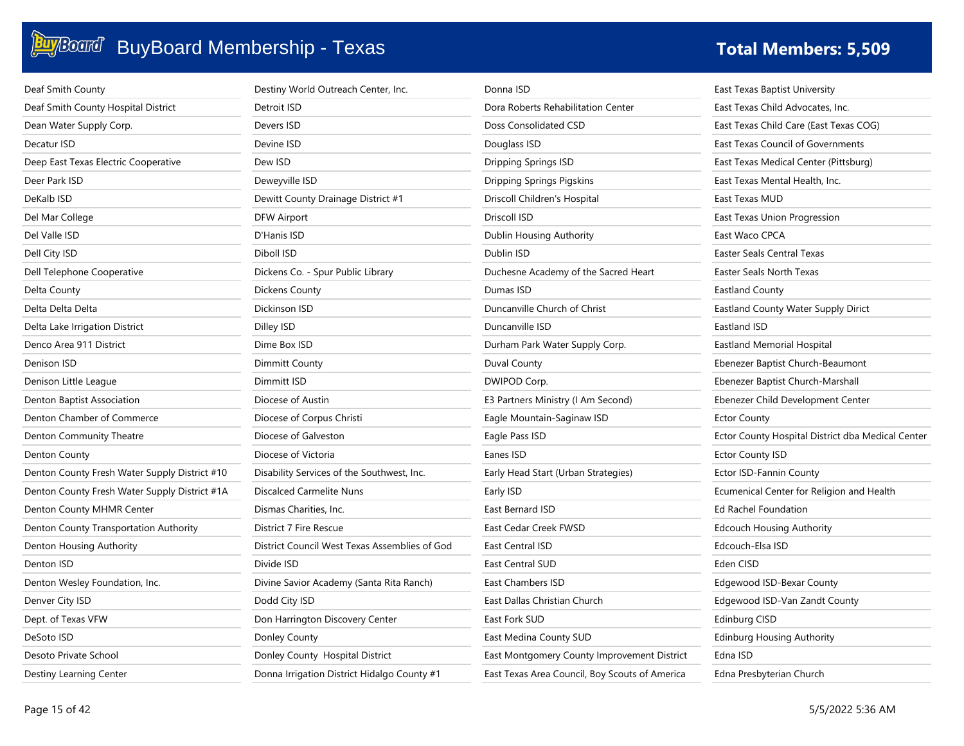| Deaf Smith County                             | Destiny World Outreach Center, Inc.           | Donna ISD                                      | East Texas Baptist University                     |
|-----------------------------------------------|-----------------------------------------------|------------------------------------------------|---------------------------------------------------|
| Deaf Smith County Hospital District           | Detroit ISD                                   | Dora Roberts Rehabilitation Center             | East Texas Child Advocates, Inc.                  |
| Dean Water Supply Corp.                       | Devers ISD                                    | Doss Consolidated CSD                          | East Texas Child Care (East Texas COG)            |
| Decatur ISD                                   | Devine ISD                                    | Douglass ISD                                   | East Texas Council of Governments                 |
| Deep East Texas Electric Cooperative          | Dew ISD                                       | Dripping Springs ISD                           | East Texas Medical Center (Pittsburg)             |
| Deer Park ISD                                 | Deweyville ISD                                | <b>Dripping Springs Pigskins</b>               | East Texas Mental Health, Inc.                    |
| DeKalb ISD                                    | Dewitt County Drainage District #1            | Driscoll Children's Hospital                   | East Texas MUD                                    |
| Del Mar College                               | <b>DFW Airport</b>                            | Driscoll ISD                                   | East Texas Union Progression                      |
| Del Valle ISD                                 | D'Hanis ISD                                   | Dublin Housing Authority                       | East Waco CPCA                                    |
| Dell City ISD                                 | Diboll ISD                                    | Dublin ISD                                     | <b>Easter Seals Central Texas</b>                 |
| Dell Telephone Cooperative                    | Dickens Co. - Spur Public Library             | Duchesne Academy of the Sacred Heart           | Easter Seals North Texas                          |
| Delta County                                  | Dickens County                                | Dumas ISD                                      | <b>Eastland County</b>                            |
| Delta Delta Delta                             | Dickinson ISD                                 | Duncanville Church of Christ                   | Eastland County Water Supply Dirict               |
| Delta Lake Irrigation District                | Dilley ISD                                    | Duncanville ISD                                | Eastland ISD                                      |
| Denco Area 911 District                       | Dime Box ISD                                  | Durham Park Water Supply Corp.                 | Eastland Memorial Hospital                        |
| Denison ISD                                   | Dimmitt County                                | Duval County                                   | Ebenezer Baptist Church-Beaumont                  |
| Denison Little League                         | Dimmitt ISD                                   | DWIPOD Corp.                                   | Ebenezer Baptist Church-Marshall                  |
| Denton Baptist Association                    | Diocese of Austin                             | E3 Partners Ministry (I Am Second)             | Ebenezer Child Development Center                 |
| Denton Chamber of Commerce                    | Diocese of Corpus Christi                     | Eagle Mountain-Saginaw ISD                     | <b>Ector County</b>                               |
| Denton Community Theatre                      | Diocese of Galveston                          | Eagle Pass ISD                                 | Ector County Hospital District dba Medical Center |
| Denton County                                 | Diocese of Victoria                           | Eanes ISD                                      | <b>Ector County ISD</b>                           |
| Denton County Fresh Water Supply District #10 | Disability Services of the Southwest, Inc.    | Early Head Start (Urban Strategies)            | Ector ISD-Fannin County                           |
| Denton County Fresh Water Supply District #1A | Discalced Carmelite Nuns                      | Early ISD                                      | Ecumenical Center for Religion and Health         |
| Denton County MHMR Center                     | Dismas Charities, Inc.                        | East Bernard ISD                               | <b>Ed Rachel Foundation</b>                       |
| Denton County Transportation Authority        | District 7 Fire Rescue                        | East Cedar Creek FWSD                          | <b>Edcouch Housing Authority</b>                  |
| Denton Housing Authority                      | District Council West Texas Assemblies of God | <b>East Central ISD</b>                        | Edcouch-Elsa ISD                                  |
| Denton ISD                                    | Divide ISD                                    | East Central SUD                               | Eden CISD                                         |
| Denton Wesley Foundation, Inc.                | Divine Savior Academy (Santa Rita Ranch)      | East Chambers ISD                              | Edgewood ISD-Bexar County                         |
| Denver City ISD                               | Dodd City ISD                                 | East Dallas Christian Church                   | Edgewood ISD-Van Zandt County                     |
| Dept. of Texas VFW                            | Don Harrington Discovery Center               | East Fork SUD                                  | Edinburg CISD                                     |
| DeSoto ISD                                    | Donley County                                 | East Medina County SUD                         | <b>Edinburg Housing Authority</b>                 |
| Desoto Private School                         | Donley County Hospital District               | East Montgomery County Improvement District    | Edna ISD                                          |
| Destiny Learning Center                       | Donna Irrigation District Hidalgo County #1   | East Texas Area Council, Boy Scouts of America | Edna Presbyterian Church                          |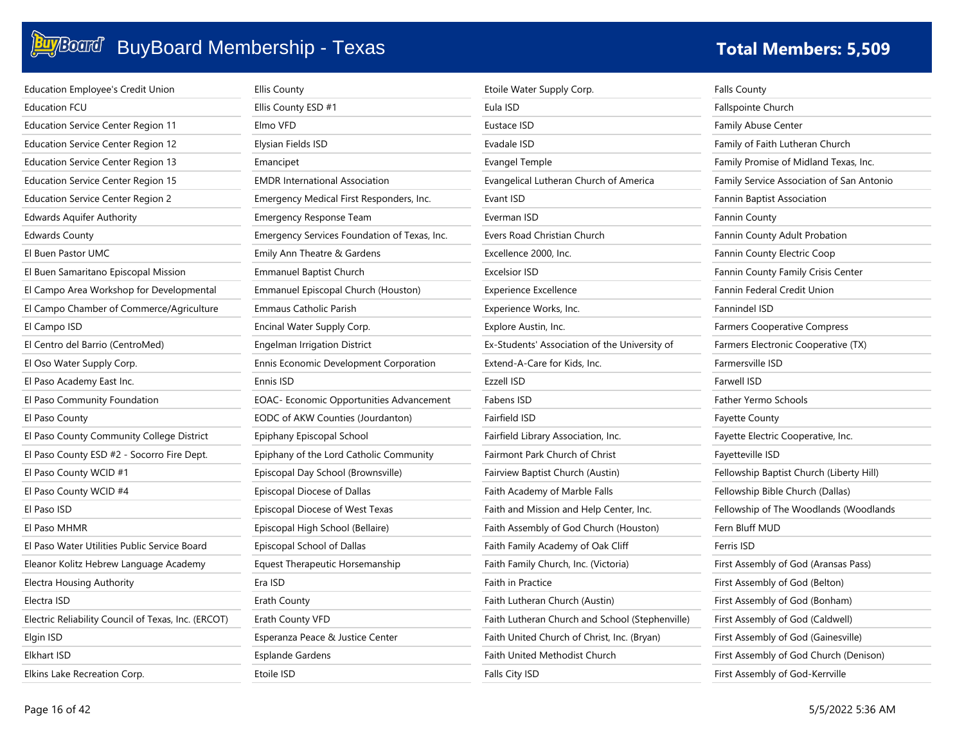| <b>Education Employee's Credit Union</b>            | <b>Ellis County</b>                          | Etoile Water Supply Corp.                       | <b>Falls County</b>                       |
|-----------------------------------------------------|----------------------------------------------|-------------------------------------------------|-------------------------------------------|
| <b>Education FCU</b>                                | Ellis County ESD #1                          | Eula ISD                                        | <b>Fallspointe Church</b>                 |
| <b>Education Service Center Region 11</b>           | Elmo VFD                                     | Eustace ISD                                     | Family Abuse Center                       |
| Education Service Center Region 12                  | Elysian Fields ISD                           | Evadale ISD                                     | Family of Faith Lutheran Church           |
| <b>Education Service Center Region 13</b>           | Emancipet                                    | Evangel Temple                                  | Family Promise of Midland Texas, Inc.     |
| <b>Education Service Center Region 15</b>           | <b>EMDR International Association</b>        | Evangelical Lutheran Church of America          | Family Service Association of San Antonio |
| <b>Education Service Center Region 2</b>            | Emergency Medical First Responders, Inc.     | Evant ISD                                       | Fannin Baptist Association                |
| Edwards Aquifer Authority                           | Emergency Response Team                      | Everman ISD                                     | <b>Fannin County</b>                      |
| <b>Edwards County</b>                               | Emergency Services Foundation of Texas, Inc. | Evers Road Christian Church                     | Fannin County Adult Probation             |
| El Buen Pastor UMC                                  | Emily Ann Theatre & Gardens                  | Excellence 2000, Inc.                           | Fannin County Electric Coop               |
| El Buen Samaritano Episcopal Mission                | <b>Emmanuel Baptist Church</b>               | <b>Excelsior ISD</b>                            | Fannin County Family Crisis Center        |
| El Campo Area Workshop for Developmental            | Emmanuel Episcopal Church (Houston)          | <b>Experience Excellence</b>                    | Fannin Federal Credit Union               |
| El Campo Chamber of Commerce/Agriculture            | Emmaus Catholic Parish                       | Experience Works, Inc.                          | Fannindel ISD                             |
| El Campo ISD                                        | Encinal Water Supply Corp.                   | Explore Austin, Inc.                            | <b>Farmers Cooperative Compress</b>       |
| El Centro del Barrio (CentroMed)                    | <b>Engelman Irrigation District</b>          | Ex-Students' Association of the University of   | Farmers Electronic Cooperative (TX)       |
| El Oso Water Supply Corp.                           | Ennis Economic Development Corporation       | Extend-A-Care for Kids, Inc.                    | Farmersville ISD                          |
| El Paso Academy East Inc.                           | Ennis ISD                                    | Ezzell ISD                                      | Farwell ISD                               |
| El Paso Community Foundation                        | EOAC- Economic Opportunities Advancement     | Fabens ISD                                      | Father Yermo Schools                      |
| El Paso County                                      | EODC of AKW Counties (Jourdanton)            | Fairfield ISD                                   | <b>Fayette County</b>                     |
| El Paso County Community College District           | Epiphany Episcopal School                    | Fairfield Library Association, Inc.             | Fayette Electric Cooperative, Inc.        |
| El Paso County ESD #2 - Socorro Fire Dept.          | Epiphany of the Lord Catholic Community      | Fairmont Park Church of Christ                  | Fayetteville ISD                          |
| El Paso County WCID #1                              | Episcopal Day School (Brownsville)           | Fairview Baptist Church (Austin)                | Fellowship Baptist Church (Liberty Hill)  |
| El Paso County WCID #4                              | Episcopal Diocese of Dallas                  | Faith Academy of Marble Falls                   | Fellowship Bible Church (Dallas)          |
| El Paso ISD                                         | Episcopal Diocese of West Texas              | Faith and Mission and Help Center, Inc.         | Fellowship of The Woodlands (Woodlands    |
| El Paso MHMR                                        | Episcopal High School (Bellaire)             | Faith Assembly of God Church (Houston)          | Fern Bluff MUD                            |
| El Paso Water Utilities Public Service Board        | Episcopal School of Dallas                   | Faith Family Academy of Oak Cliff               | Ferris ISD                                |
| Eleanor Kolitz Hebrew Language Academy              | Equest Therapeutic Horsemanship              | Faith Family Church, Inc. (Victoria)            | First Assembly of God (Aransas Pass)      |
| Electra Housing Authority                           | Era ISD                                      | Faith in Practice                               | First Assembly of God (Belton)            |
| Electra ISD                                         | Erath County                                 | Faith Lutheran Church (Austin)                  | First Assembly of God (Bonham)            |
| Electric Reliability Council of Texas, Inc. (ERCOT) | Erath County VFD                             | Faith Lutheran Church and School (Stephenville) | First Assembly of God (Caldwell)          |
| Elgin ISD                                           | Esperanza Peace & Justice Center             | Faith United Church of Christ, Inc. (Bryan)     | First Assembly of God (Gainesville)       |
| <b>Elkhart ISD</b>                                  | Esplande Gardens                             | Faith United Methodist Church                   | First Assembly of God Church (Denison)    |
| Elkins Lake Recreation Corp.                        | Etoile ISD                                   | Falls City ISD                                  | First Assembly of God-Kerrville           |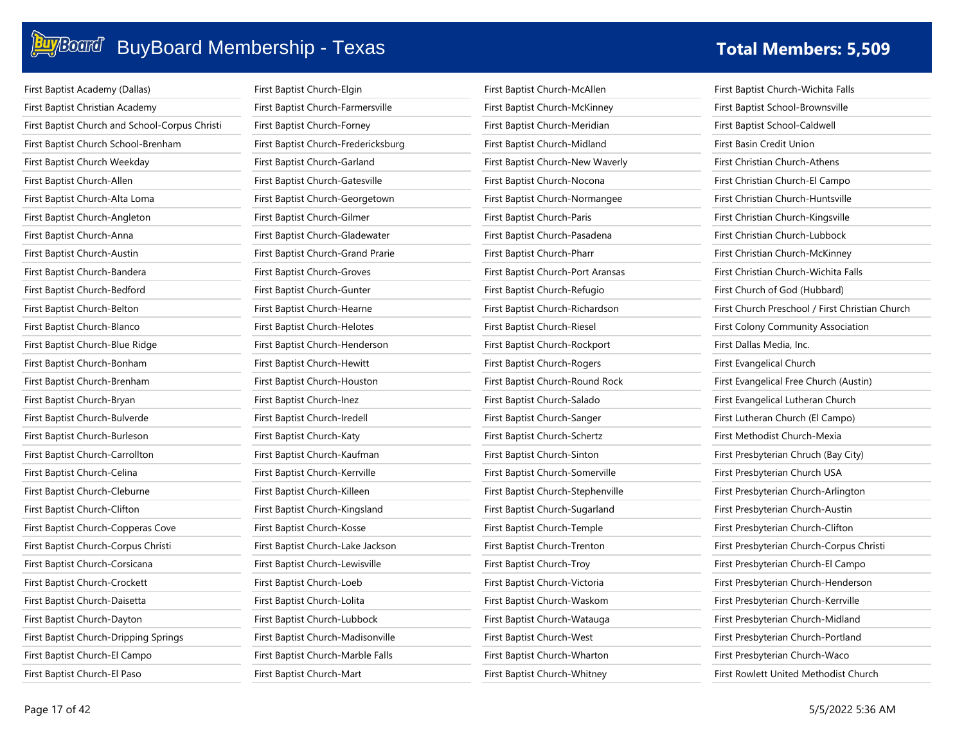| First Baptist Academy (Dallas)                 | First Baptist Church-Elgin          | First Baptist Church-McAllen      | First Baptist Church-Wichita Falls              |
|------------------------------------------------|-------------------------------------|-----------------------------------|-------------------------------------------------|
| First Baptist Christian Academy                | First Baptist Church-Farmersville   | First Baptist Church-McKinney     | First Baptist School-Brownsville                |
| First Baptist Church and School-Corpus Christi | First Baptist Church-Forney         | First Baptist Church-Meridian     | First Baptist School-Caldwell                   |
| First Baptist Church School-Brenham            | First Baptist Church-Fredericksburg | First Baptist Church-Midland      | First Basin Credit Union                        |
| First Baptist Church Weekday                   | First Baptist Church-Garland        | First Baptist Church-New Waverly  | First Christian Church-Athens                   |
| First Baptist Church-Allen                     | First Baptist Church-Gatesville     | First Baptist Church-Nocona       | First Christian Church-El Campo                 |
| First Baptist Church-Alta Loma                 | First Baptist Church-Georgetown     | First Baptist Church-Normangee    | First Christian Church-Huntsville               |
| First Baptist Church-Angleton                  | First Baptist Church-Gilmer         | First Baptist Church-Paris        | First Christian Church-Kingsville               |
| First Baptist Church-Anna                      | First Baptist Church-Gladewater     | First Baptist Church-Pasadena     | First Christian Church-Lubbock                  |
| First Baptist Church-Austin                    | First Baptist Church-Grand Prarie   | First Baptist Church-Pharr        | First Christian Church-McKinney                 |
| First Baptist Church-Bandera                   | First Baptist Church-Groves         | First Baptist Church-Port Aransas | First Christian Church-Wichita Falls            |
| First Baptist Church-Bedford                   | First Baptist Church-Gunter         | First Baptist Church-Refugio      | First Church of God (Hubbard)                   |
| First Baptist Church-Belton                    | First Baptist Church-Hearne         | First Baptist Church-Richardson   | First Church Preschool / First Christian Church |
| First Baptist Church-Blanco                    | First Baptist Church-Helotes        | First Baptist Church-Riesel       | First Colony Community Association              |
| First Baptist Church-Blue Ridge                | First Baptist Church-Henderson      | First Baptist Church-Rockport     | First Dallas Media, Inc.                        |
| First Baptist Church-Bonham                    | First Baptist Church-Hewitt         | First Baptist Church-Rogers       | First Evangelical Church                        |
| First Baptist Church-Brenham                   | First Baptist Church-Houston        | First Baptist Church-Round Rock   | First Evangelical Free Church (Austin)          |
| First Baptist Church-Bryan                     | First Baptist Church-Inez           | First Baptist Church-Salado       | First Evangelical Lutheran Church               |
| First Baptist Church-Bulverde                  | First Baptist Church-Iredell        | First Baptist Church-Sanger       | First Lutheran Church (El Campo)                |
| First Baptist Church-Burleson                  | First Baptist Church-Katy           | First Baptist Church-Schertz      | First Methodist Church-Mexia                    |
| First Baptist Church-Carrollton                | First Baptist Church-Kaufman        | First Baptist Church-Sinton       | First Presbyterian Chruch (Bay City)            |
| First Baptist Church-Celina                    | First Baptist Church-Kerrville      | First Baptist Church-Somerville   | First Presbyterian Church USA                   |
| First Baptist Church-Cleburne                  | First Baptist Church-Killeen        | First Baptist Church-Stephenville | First Presbyterian Church-Arlington             |
| First Baptist Church-Clifton                   | First Baptist Church-Kingsland      | First Baptist Church-Sugarland    | First Presbyterian Church-Austin                |
| First Baptist Church-Copperas Cove             | First Baptist Church-Kosse          | First Baptist Church-Temple       | First Presbyterian Church-Clifton               |
| First Baptist Church-Corpus Christi            | First Baptist Church-Lake Jackson   | First Baptist Church-Trenton      | First Presbyterian Church-Corpus Christi        |
| First Baptist Church-Corsicana                 | First Baptist Church-Lewisville     | First Baptist Church-Troy         | First Presbyterian Church-El Campo              |
| First Baptist Church-Crockett                  | First Baptist Church-Loeb           | First Baptist Church-Victoria     | First Presbyterian Church-Henderson             |
| First Baptist Church-Daisetta                  | First Baptist Church-Lolita         | First Baptist Church-Waskom       | First Presbyterian Church-Kerrville             |
| First Baptist Church-Dayton                    | First Baptist Church-Lubbock        | First Baptist Church-Watauga      | First Presbyterian Church-Midland               |
| First Baptist Church-Dripping Springs          | First Baptist Church-Madisonville   | First Baptist Church-West         | First Presbyterian Church-Portland              |
| First Baptist Church-El Campo                  | First Baptist Church-Marble Falls   | First Baptist Church-Wharton      | First Presbyterian Church-Waco                  |
| First Baptist Church-El Paso                   | First Baptist Church-Mart           | First Baptist Church-Whitney      | First Rowlett United Methodist Church           |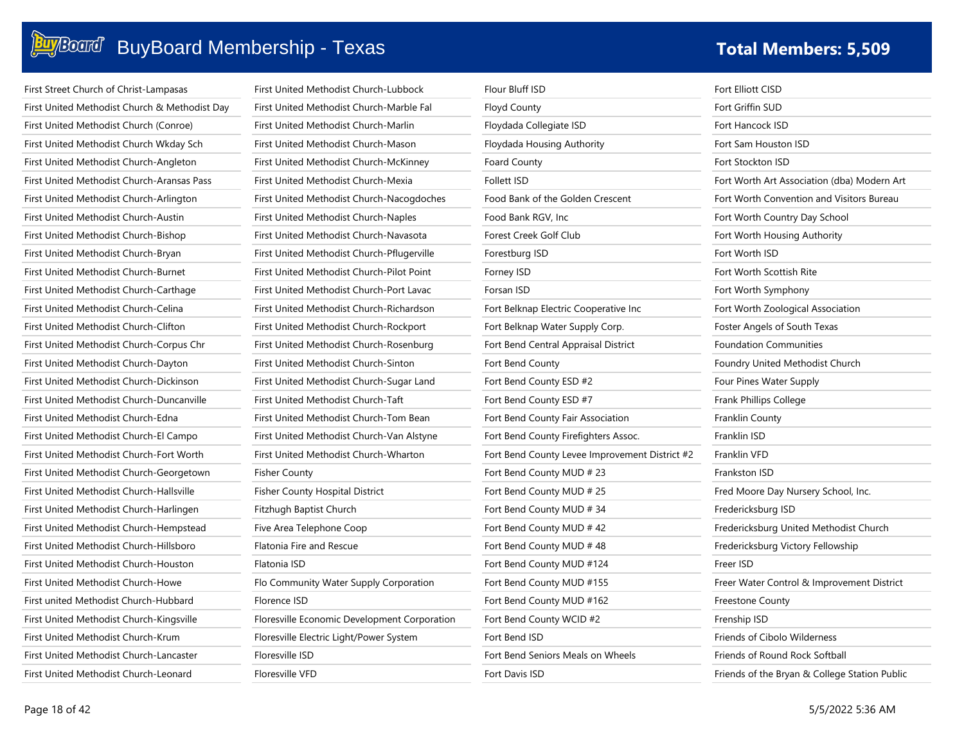### Buy Board BuyBoard Membership - Texas **The Contract of Total Members: 5,509**

| First Street Church of Christ-Lampasas        |
|-----------------------------------------------|
| First United Methodist Church & Methodist Day |
| First United Methodist Church (Conroe)        |
| First United Methodist Church Wkday Sch       |
| First United Methodist Church-Angleton        |
| First United Methodist Church-Aransas Pass    |
| First United Methodist Church-Arlington       |
| First United Methodist Church-Austin          |
| First United Methodist Church-Bishop          |
| First United Methodist Church-Bryan           |
| First United Methodist Church-Burnet          |
| First United Methodist Church-Carthage        |
| First United Methodist Church-Celina          |
| First United Methodist Church-Clifton         |
| First United Methodist Church-Corpus Chr      |
| First United Methodist Church-Dayton          |
| First United Methodist Church-Dickinson       |
| First United Methodist Church-Duncanville     |
| First United Methodist Church-Edna            |
| First United Methodist Church-El Campo        |
| First United Methodist Church-Fort Worth      |
| First United Methodist Church-Georgetown      |
| First United Methodist Church-Hallsville      |
| First United Methodist Church-Harlingen       |
| First United Methodist Church-Hempstead       |
| First United Methodist Church-Hillsboro       |
| First United Methodist Church-Houston         |
| First United Methodist Church-Howe            |
| First united Methodist Church-Hubbard         |
| First United Methodist Church-Kingsville      |
| First United Methodist Church-Krum            |
| First United Methodist Church-Lancaster       |
| First United Methodist Church-Leonard         |

| First United Methodist Church-Lubbock        |
|----------------------------------------------|
| First United Methodist Church-Marble Fal     |
| First United Methodist Church-Marlin         |
| First United Methodist Church-Mason          |
| First United Methodist Church-McKinney       |
| First United Methodist Church-Mexia          |
| First United Methodist Church-Nacogdoches    |
| First United Methodist Church-Naples         |
| First United Methodist Church-Navasota       |
| First United Methodist Church-Pflugerville   |
| First United Methodist Church-Pilot Point    |
| First United Methodist Church-Port Lavac     |
| First United Methodist Church-Richardson     |
| First United Methodist Church-Rockport       |
| First United Methodist Church-Rosenburg      |
| First United Methodist Church-Sinton         |
| First United Methodist Church-Sugar Land     |
| <b>First United Methodist Church-Taft</b>    |
| First United Methodist Church-Tom Bean       |
| First United Methodist Church-Van Alstyne    |
| First United Methodist Church-Wharton        |
| Fisher County                                |
| Fisher County Hospital District              |
| Fitzhugh Baptist Church                      |
| Five Area Telephone Coop                     |
| <b>Flatonia Fire and Rescue</b>              |
| Flatonia ISD                                 |
| Flo Community Water Supply Corporation       |
| Florence ISD                                 |
| Floresville Economic Development Corporation |
| Floresville Electric Light/Power System      |
| Floresville ISD                              |
| Floresville VFD                              |

| Flour Bluff ISD                                | Fort Elliott CISD                             |
|------------------------------------------------|-----------------------------------------------|
| <b>Floyd County</b>                            | Fort Griffin SUD                              |
| Floydada Collegiate ISD                        | Fort Hancock ISD                              |
| Floydada Housing Authority                     | Fort Sam Houston ISD                          |
| <b>Foard County</b>                            | Fort Stockton ISD                             |
| <b>Follett ISD</b>                             | Fort Worth Art Association (dba) Modern Art   |
| Food Bank of the Golden Crescent               | Fort Worth Convention and Visitors Bureau     |
| Food Bank RGV, Inc                             | Fort Worth Country Day School                 |
| Forest Creek Golf Club                         | Fort Worth Housing Authority                  |
| Forestburg ISD                                 | Fort Worth ISD                                |
| Forney ISD                                     | Fort Worth Scottish Rite                      |
| Forsan ISD                                     | Fort Worth Symphony                           |
| Fort Belknap Electric Cooperative Inc          | Fort Worth Zoological Association             |
| Fort Belknap Water Supply Corp.                | Foster Angels of South Texas                  |
| Fort Bend Central Appraisal District           | <b>Foundation Communities</b>                 |
| Fort Bend County                               | Foundry United Methodist Church               |
| Fort Bend County ESD #2                        | Four Pines Water Supply                       |
| Fort Bend County ESD #7                        | Frank Phillips College                        |
| Fort Bend County Fair Association              | Franklin County                               |
| Fort Bend County Firefighters Assoc.           | Franklin ISD                                  |
| Fort Bend County Levee Improvement District #2 | Franklin VFD                                  |
| Fort Bend County MUD # 23                      | Frankston ISD                                 |
| Fort Bend County MUD # 25                      | Fred Moore Day Nursery School, Inc.           |
| Fort Bend County MUD # 34                      | Fredericksburg ISD                            |
| Fort Bend County MUD # 42                      | Fredericksburg United Methodist Church        |
| Fort Bend County MUD # 48                      | Fredericksburg Victory Fellowship             |
| Fort Bend County MUD #124                      | Freer ISD                                     |
| Fort Bend County MUD #155                      | Freer Water Control & Improvement District    |
| Fort Bend County MUD #162                      | <b>Freestone County</b>                       |
| Fort Bend County WCID #2                       | Frenship ISD                                  |
| Fort Bend ISD                                  | Friends of Cibolo Wilderness                  |
| Fort Bend Seniors Meals on Wheels              | Friends of Round Rock Softball                |
| Fort Davis ISD                                 | Friends of the Bryan & College Station Public |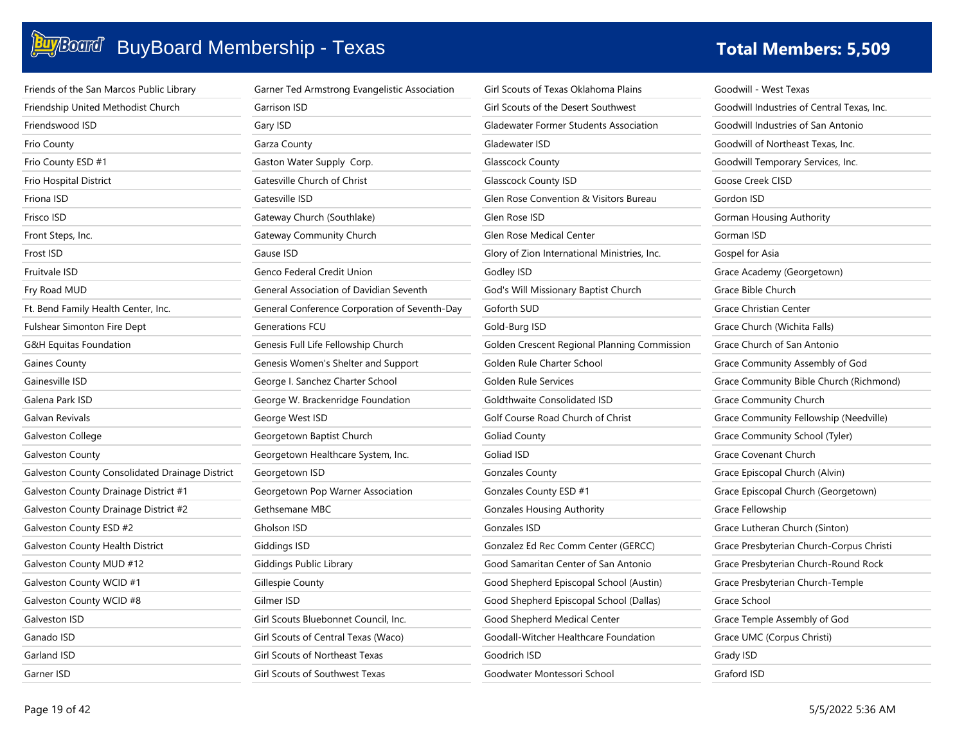### **Buy**Board BuyBoard Membership - Texas **Total Members: 5,509 Total Members: 5,509**

| Friends of the San Marcos Public Library        | Garner Ted Armstrong Evangelistic Association | Gi |
|-------------------------------------------------|-----------------------------------------------|----|
| Friendship United Methodist Church              | Garrison ISD                                  | Gi |
| Friendswood ISD                                 | Gary ISD                                      | GI |
| Frio County                                     | Garza County                                  | GI |
| Frio County ESD #1                              | Gaston Water Supply Corp.                     | Gl |
| <b>Frio Hospital District</b>                   | Gatesville Church of Christ                   | Gl |
| Friona ISD                                      | Gatesville ISD                                | GI |
| Frisco ISD                                      | Gateway Church (Southlake)                    | Gl |
| Front Steps, Inc.                               | Gateway Community Church                      | Gl |
| Frost ISD                                       | Gause ISD                                     | Gl |
| <b>Fruitvale ISD</b>                            | Genco Federal Credit Union                    | Go |
| Fry Road MUD                                    | General Association of Davidian Seventh       | Go |
| Ft. Bend Family Health Center, Inc.             | General Conference Corporation of Seventh-Day | Go |
| <b>Fulshear Simonton Fire Dept</b>              | Generations FCU                               | Go |
| G&H Equitas Foundation                          | Genesis Full Life Fellowship Church           | Go |
| <b>Gaines County</b>                            | Genesis Women's Shelter and Support           | G٥ |
| Gainesville ISD                                 | George I. Sanchez Charter School              | Go |
| Galena Park ISD                                 | George W. Brackenridge Foundation             | Go |
| Galvan Revivals                                 | George West ISD                               | Go |
| Galveston College                               | Georgetown Baptist Church                     | Go |
| <b>Galveston County</b>                         | Georgetown Healthcare System, Inc.            | Go |
| Galveston County Consolidated Drainage District | Georgetown ISD                                | Go |
| Galveston County Drainage District #1           | Georgetown Pop Warner Association             | G٥ |
| Galveston County Drainage District #2           | Gethsemane MBC                                | Go |
| Galveston County ESD #2                         | Gholson ISD                                   | Go |
| <b>Galveston County Health District</b>         | Giddings ISD                                  | Go |
| Galveston County MUD #12                        | Giddings Public Library                       | Go |
| Galveston County WCID #1                        | Gillespie County                              | Go |
| Galveston County WCID #8                        | Gilmer ISD                                    | Go |
| Galveston ISD                                   | Girl Scouts Bluebonnet Council, Inc.          | Go |
| Ganado ISD                                      | Girl Scouts of Central Texas (Waco)           | Go |
| Garland ISD                                     | Girl Scouts of Northeast Texas                | Go |
| Garner ISD                                      | Girl Scouts of Southwest Texas                | G٥ |

| Girl Scouts of Texas Oklahoma Plains          | Goodv  |
|-----------------------------------------------|--------|
| Girl Scouts of the Desert Southwest           | Goodv  |
| <b>Gladewater Former Students Association</b> | Goodv  |
| Gladewater ISD                                | Goodv  |
| Glasscock County                              | Goodv  |
| <b>Glasscock County ISD</b>                   | Goose  |
| Glen Rose Convention & Visitors Bureau        | Gordo  |
| Glen Rose ISD                                 | Gorma  |
| Glen Rose Medical Center                      | Gorma  |
| Glory of Zion International Ministries, Inc.  | Gospe  |
| Godley ISD                                    | Grace  |
| God's Will Missionary Baptist Church          | Grace  |
| Goforth SUD                                   | Grace  |
| Gold-Burg ISD                                 | Grace  |
| Golden Crescent Regional Planning Commission  | Grace  |
| Golden Rule Charter School                    | Grace  |
| Golden Rule Services                          | Grace  |
| Goldthwaite Consolidated ISD                  | Grace  |
| Golf Course Road Church of Christ             | Grace  |
| <b>Goliad County</b>                          | Grace  |
| Goliad ISD                                    | Grace  |
| <b>Gonzales County</b>                        | Grace  |
| Gonzales County ESD #1                        | Grace  |
| <b>Gonzales Housing Authority</b>             | Grace  |
| Gonzales ISD                                  | Grace  |
| Gonzalez Ed Rec Comm Center (GERCC)           | Grace  |
| Good Samaritan Center of San Antonio          | Grace  |
| Good Shepherd Episcopal School (Austin)       | Grace  |
| Good Shepherd Episcopal School (Dallas)       | Grace  |
| Good Shepherd Medical Center                  | Grace  |
| Goodall-Witcher Healthcare Foundation         | Grace  |
| Goodrich ISD                                  | Grady  |
| Goodwater Montessori School                   | Grafor |

will - West Texas will Industries of Central Texas, Inc. will Industries of San Antonio will of Northeast Texas, Inc. will Temporary Services, Inc. Creek CISD Gordon ISD an Housing Authority an ISD I for Asia Academy (Georgetown) **Bible Church** Christian Center Church (Wichita Falls) Church of San Antonio Community Assembly of God Community Bible Church (Richmond) Community Church Community Fellowship (Needville) Community School (Tyler) Covenant Church Episcopal Church (Alvin) Episcopal Church (Georgetown) Fellowship Lutheran Church (Sinton) Presbyterian Church-Corpus Christi Presbyterian Church-Round Rock Presbyterian Church-Temple School Temple Assembly of God UMC (Corpus Christi) **ISD** Graford ISD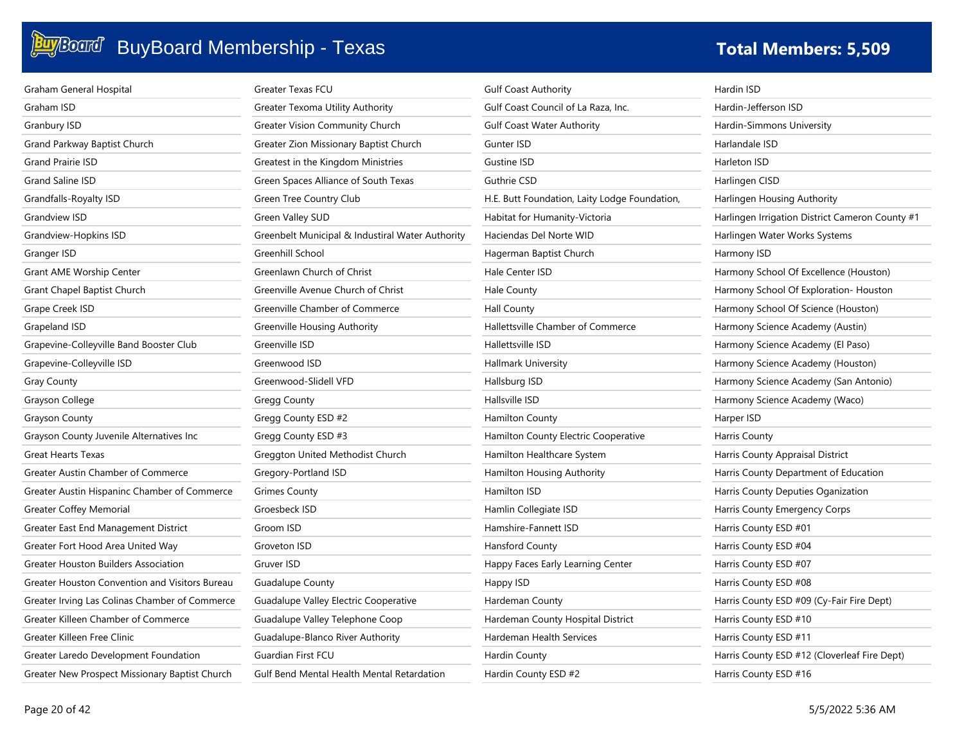| <b>Graham General Hospital</b>                 | Greater Texas FCU                                | <b>Gulf Coast Authority</b>                   | Hardin ISD                                      |
|------------------------------------------------|--------------------------------------------------|-----------------------------------------------|-------------------------------------------------|
| Graham ISD                                     | Greater Texoma Utility Authority                 | Gulf Coast Council of La Raza, Inc.           | Hardin-Jefferson ISD                            |
| Granbury ISD                                   | <b>Greater Vision Community Church</b>           | <b>Gulf Coast Water Authority</b>             | Hardin-Simmons University                       |
| Grand Parkway Baptist Church                   | Greater Zion Missionary Baptist Church           | Gunter ISD                                    | Harlandale ISD                                  |
| Grand Prairie ISD                              | Greatest in the Kingdom Ministries               | Gustine ISD                                   | Harleton ISD                                    |
| Grand Saline ISD                               | Green Spaces Alliance of South Texas             | <b>Guthrie CSD</b>                            | Harlingen CISD                                  |
| Grandfalls-Royalty ISD                         | Green Tree Country Club                          | H.E. Butt Foundation, Laity Lodge Foundation, | Harlingen Housing Authority                     |
| Grandview ISD                                  | <b>Green Valley SUD</b>                          | Habitat for Humanity-Victoria                 | Harlingen Irrigation District Cameron County #1 |
| Grandview-Hopkins ISD                          | Greenbelt Municipal & Industiral Water Authority | Haciendas Del Norte WID                       | Harlingen Water Works Systems                   |
| Granger ISD                                    | Greenhill School                                 | Hagerman Baptist Church                       | Harmony ISD                                     |
| Grant AME Worship Center                       | Greenlawn Church of Christ                       | Hale Center ISD                               | Harmony School Of Excellence (Houston)          |
| Grant Chapel Baptist Church                    | Greenville Avenue Church of Christ               | <b>Hale County</b>                            | Harmony School Of Exploration- Houston          |
| Grape Creek ISD                                | Greenville Chamber of Commerce                   | <b>Hall County</b>                            | Harmony School Of Science (Houston)             |
| Grapeland ISD                                  | Greenville Housing Authority                     | Hallettsville Chamber of Commerce             | Harmony Science Academy (Austin)                |
| Grapevine-Colleyville Band Booster Club        | Greenville ISD                                   | Hallettsville ISD                             | Harmony Science Academy (El Paso)               |
| Grapevine-Colleyville ISD                      | Greenwood ISD                                    | Hallmark University                           | Harmony Science Academy (Houston)               |
| <b>Gray County</b>                             | Greenwood-Slidell VFD                            | Hallsburg ISD                                 | Harmony Science Academy (San Antonio)           |
| Grayson College                                | <b>Gregg County</b>                              | Hallsville ISD                                | Harmony Science Academy (Waco)                  |
| <b>Grayson County</b>                          | Gregg County ESD #2                              | <b>Hamilton County</b>                        | Harper ISD                                      |
| Grayson County Juvenile Alternatives Inc       | Gregg County ESD #3                              | Hamilton County Electric Cooperative          | Harris County                                   |
| <b>Great Hearts Texas</b>                      | Greggton United Methodist Church                 | Hamilton Healthcare System                    | Harris County Appraisal District                |
| Greater Austin Chamber of Commerce             | Gregory-Portland ISD                             | Hamilton Housing Authority                    | Harris County Department of Education           |
| Greater Austin Hispaninc Chamber of Commerce   | <b>Grimes County</b>                             | Hamilton ISD                                  | Harris County Deputies Oganization              |
| <b>Greater Coffey Memorial</b>                 | Groesbeck ISD                                    | Hamlin Collegiate ISD                         | Harris County Emergency Corps                   |
| Greater East End Management District           | Groom ISD                                        | Hamshire-Fannett ISD                          | Harris County ESD #01                           |
| Greater Fort Hood Area United Way              | Groveton ISD                                     | Hansford County                               | Harris County ESD #04                           |
| Greater Houston Builders Association           | Gruver ISD                                       | Happy Faces Early Learning Center             | Harris County ESD #07                           |
| Greater Houston Convention and Visitors Bureau | <b>Guadalupe County</b>                          | Happy ISD                                     | Harris County ESD #08                           |
| Greater Irving Las Colinas Chamber of Commerce | Guadalupe Valley Electric Cooperative            | Hardeman County                               | Harris County ESD #09 (Cy-Fair Fire Dept)       |
| Greater Killeen Chamber of Commerce            | Guadalupe Valley Telephone Coop                  | Hardeman County Hospital District             | Harris County ESD #10                           |
| Greater Killeen Free Clinic                    | Guadalupe-Blanco River Authority                 | <b>Hardeman Health Services</b>               | Harris County ESD #11                           |
| Greater Laredo Development Foundation          | Guardian First FCU                               | Hardin County                                 | Harris County ESD #12 (Cloverleaf Fire Dept)    |
| Greater New Prospect Missionary Baptist Church | Gulf Bend Mental Health Mental Retardation       | Hardin County ESD #2                          | Harris County ESD #16                           |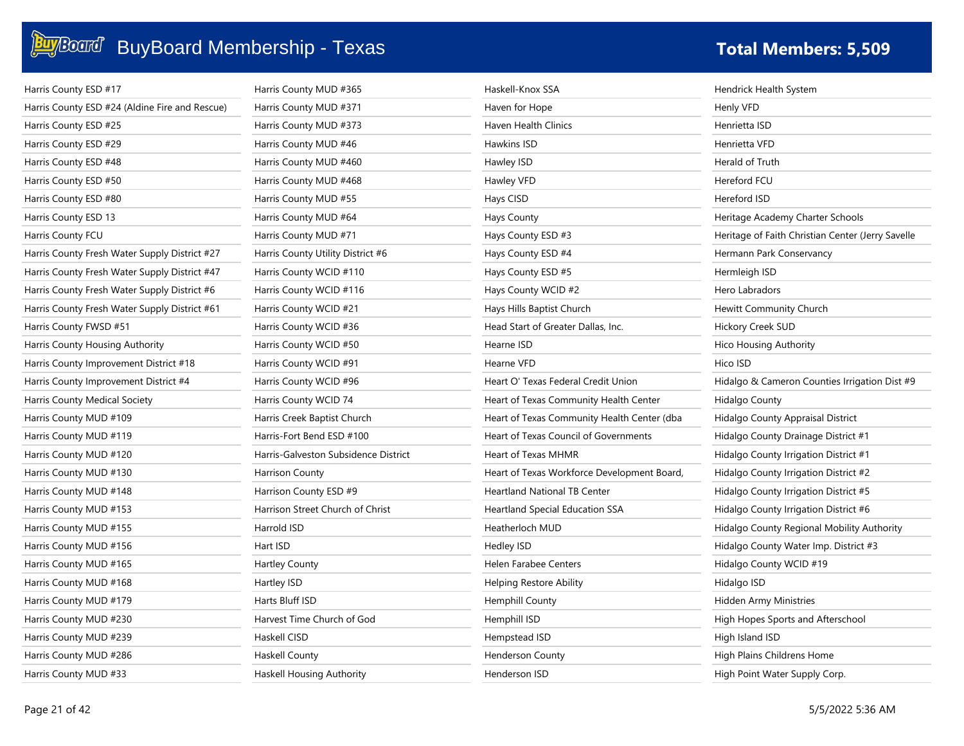| Harris County ESD #17                          | Harris County MUD #365               | Haskell-Knox SSA                            | Hendrick Health System                            |
|------------------------------------------------|--------------------------------------|---------------------------------------------|---------------------------------------------------|
| Harris County ESD #24 (Aldine Fire and Rescue) | Harris County MUD #371               | Haven for Hope                              | Henly VFD                                         |
| Harris County ESD #25                          | Harris County MUD #373               | Haven Health Clinics                        | Henrietta ISD                                     |
| Harris County ESD #29                          | Harris County MUD #46                | Hawkins ISD                                 | Henrietta VFD                                     |
| Harris County ESD #48                          | Harris County MUD #460               | Hawley ISD                                  | Herald of Truth                                   |
| Harris County ESD #50                          | Harris County MUD #468               | Hawley VFD                                  | Hereford FCU                                      |
| Harris County ESD #80                          | Harris County MUD #55                | Hays CISD                                   | Hereford ISD                                      |
| Harris County ESD 13                           | Harris County MUD #64                | Hays County                                 | Heritage Academy Charter Schools                  |
| Harris County FCU                              | Harris County MUD #71                | Hays County ESD #3                          | Heritage of Faith Christian Center (Jerry Savelle |
| Harris County Fresh Water Supply District #27  | Harris County Utility District #6    | Hays County ESD #4                          | Hermann Park Conservancy                          |
| Harris County Fresh Water Supply District #47  | Harris County WCID #110              | Hays County ESD #5                          | Hermleigh ISD                                     |
| Harris County Fresh Water Supply District #6   | Harris County WCID #116              | Hays County WCID #2                         | Hero Labradors                                    |
| Harris County Fresh Water Supply District #61  | Harris County WCID #21               | Hays Hills Baptist Church                   | Hewitt Community Church                           |
| Harris County FWSD #51                         | Harris County WCID #36               | Head Start of Greater Dallas, Inc.          | Hickory Creek SUD                                 |
| Harris County Housing Authority                | Harris County WCID #50               | Hearne ISD                                  | <b>Hico Housing Authority</b>                     |
| Harris County Improvement District #18         | Harris County WCID #91               | Hearne VFD                                  | Hico ISD                                          |
| Harris County Improvement District #4          | Harris County WCID #96               | Heart O' Texas Federal Credit Union         | Hidalgo & Cameron Counties Irrigation Dist #9     |
| Harris County Medical Society                  | Harris County WCID 74                | Heart of Texas Community Health Center      | Hidalgo County                                    |
| Harris County MUD #109                         | Harris Creek Baptist Church          | Heart of Texas Community Health Center (dba | Hidalgo County Appraisal District                 |
| Harris County MUD #119                         | Harris-Fort Bend ESD #100            | Heart of Texas Council of Governments       | Hidalgo County Drainage District #1               |
| Harris County MUD #120                         | Harris-Galveston Subsidence District | Heart of Texas MHMR                         | Hidalgo County Irrigation District #1             |
| Harris County MUD #130                         | <b>Harrison County</b>               | Heart of Texas Workforce Development Board, | Hidalgo County Irrigation District #2             |
| Harris County MUD #148                         | Harrison County ESD #9               | <b>Heartland National TB Center</b>         | Hidalgo County Irrigation District #5             |
| Harris County MUD #153                         | Harrison Street Church of Christ     | <b>Heartland Special Education SSA</b>      | Hidalgo County Irrigation District #6             |
| Harris County MUD #155                         | Harrold ISD                          | Heatherloch MUD                             | Hidalgo County Regional Mobility Authority        |
| Harris County MUD #156                         | Hart ISD                             | Hedley ISD                                  | Hidalgo County Water Imp. District #3             |
| Harris County MUD #165                         | <b>Hartley County</b>                | Helen Farabee Centers                       | Hidalgo County WCID #19                           |
| Harris County MUD #168                         | Hartley ISD                          | Helping Restore Ability                     | Hidalgo ISD                                       |
| Harris County MUD #179                         | Harts Bluff ISD                      | <b>Hemphill County</b>                      | Hidden Army Ministries                            |
| Harris County MUD #230                         | Harvest Time Church of God           | Hemphill ISD                                | High Hopes Sports and Afterschool                 |
| Harris County MUD #239                         | Haskell CISD                         | Hempstead ISD                               | High Island ISD                                   |
| Harris County MUD #286                         | Haskell County                       | <b>Henderson County</b>                     | High Plains Childrens Home                        |
| Harris County MUD #33                          | Haskell Housing Authority            | Henderson ISD                               | High Point Water Supply Corp.                     |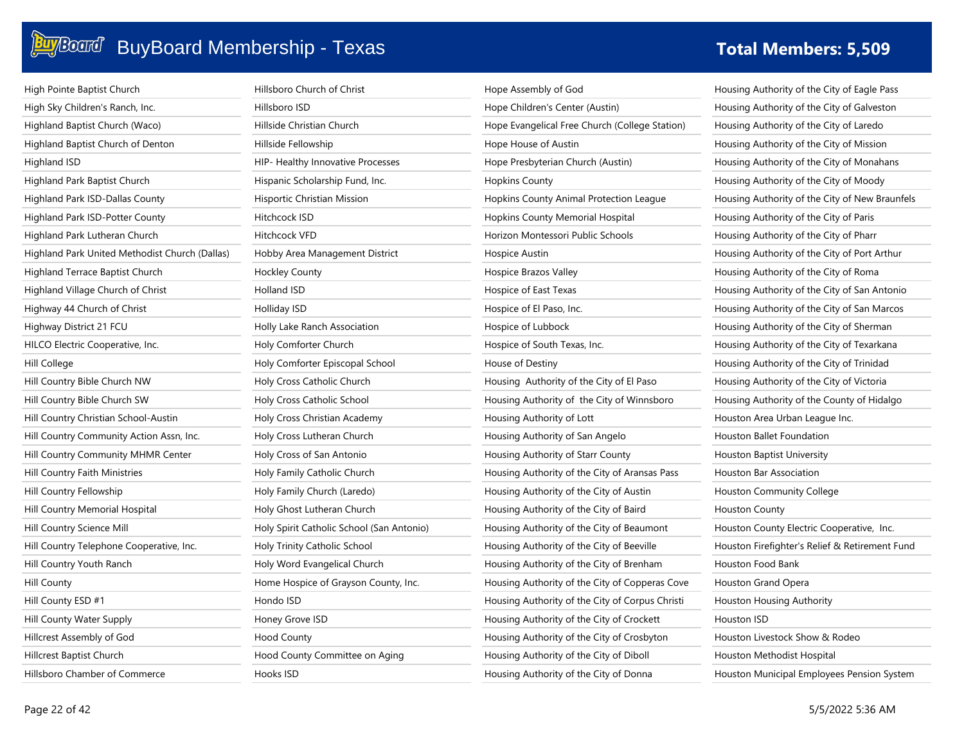| High Pointe Baptist Church                     | Hillsboro Church of Christ                | Hope Assembly of God                            | Housing Authority of the City of Eagle Pass    |
|------------------------------------------------|-------------------------------------------|-------------------------------------------------|------------------------------------------------|
| High Sky Children's Ranch, Inc.                | Hillsboro ISD                             | Hope Children's Center (Austin)                 | Housing Authority of the City of Galveston     |
| Highland Baptist Church (Waco)                 | Hillside Christian Church                 | Hope Evangelical Free Church (College Station)  | Housing Authority of the City of Laredo        |
| Highland Baptist Church of Denton              | Hillside Fellowship                       | Hope House of Austin                            | Housing Authority of the City of Mission       |
| Highland ISD                                   | HIP- Healthy Innovative Processes         | Hope Presbyterian Church (Austin)               | Housing Authority of the City of Monahans      |
| Highland Park Baptist Church                   | Hispanic Scholarship Fund, Inc.           | <b>Hopkins County</b>                           | Housing Authority of the City of Moody         |
| Highland Park ISD-Dallas County                | Hisportic Christian Mission               | Hopkins County Animal Protection League         | Housing Authority of the City of New Braunfels |
| Highland Park ISD-Potter County                | Hitchcock ISD                             | Hopkins County Memorial Hospital                | Housing Authority of the City of Paris         |
| Highland Park Lutheran Church                  | Hitchcock VFD                             | Horizon Montessori Public Schools               | Housing Authority of the City of Pharr         |
| Highland Park United Methodist Church (Dallas) | Hobby Area Management District            | Hospice Austin                                  | Housing Authority of the City of Port Arthur   |
| Highland Terrace Baptist Church                | <b>Hockley County</b>                     | Hospice Brazos Valley                           | Housing Authority of the City of Roma          |
| Highland Village Church of Christ              | Holland ISD                               | Hospice of East Texas                           | Housing Authority of the City of San Antonio   |
| Highway 44 Church of Christ                    | Holliday ISD                              | Hospice of El Paso, Inc.                        | Housing Authority of the City of San Marcos    |
| Highway District 21 FCU                        | Holly Lake Ranch Association              | Hospice of Lubbock                              | Housing Authority of the City of Sherman       |
| HILCO Electric Cooperative, Inc.               | Holy Comforter Church                     | Hospice of South Texas, Inc.                    | Housing Authority of the City of Texarkana     |
| Hill College                                   | Holy Comforter Episcopal School           | House of Destiny                                | Housing Authority of the City of Trinidad      |
| Hill Country Bible Church NW                   | Holy Cross Catholic Church                | Housing Authority of the City of El Paso        | Housing Authority of the City of Victoria      |
| Hill Country Bible Church SW                   | Holy Cross Catholic School                | Housing Authority of the City of Winnsboro      | Housing Authority of the County of Hidalgo     |
| Hill Country Christian School-Austin           | Holy Cross Christian Academy              | Housing Authority of Lott                       | Houston Area Urban League Inc.                 |
| Hill Country Community Action Assn, Inc.       | Holy Cross Lutheran Church                | Housing Authority of San Angelo                 | Houston Ballet Foundation                      |
| Hill Country Community MHMR Center             | Holy Cross of San Antonio                 | Housing Authority of Starr County               | Houston Baptist University                     |
| Hill Country Faith Ministries                  | Holy Family Catholic Church               | Housing Authority of the City of Aransas Pass   | Houston Bar Association                        |
| Hill Country Fellowship                        | Holy Family Church (Laredo)               | Housing Authority of the City of Austin         | Houston Community College                      |
| Hill Country Memorial Hospital                 | Holy Ghost Lutheran Church                | Housing Authority of the City of Baird          | <b>Houston County</b>                          |
| Hill Country Science Mill                      | Holy Spirit Catholic School (San Antonio) | Housing Authority of the City of Beaumont       | Houston County Electric Cooperative, Inc.      |
| Hill Country Telephone Cooperative, Inc.       | Holy Trinity Catholic School              | Housing Authority of the City of Beeville       | Houston Firefighter's Relief & Retirement Fund |
| Hill Country Youth Ranch                       | Holy Word Evangelical Church              | Housing Authority of the City of Brenham        | Houston Food Bank                              |
| Hill County                                    | Home Hospice of Grayson County, Inc.      | Housing Authority of the City of Copperas Cove  | Houston Grand Opera                            |
| Hill County ESD #1                             | Hondo ISD                                 | Housing Authority of the City of Corpus Christi | Houston Housing Authority                      |
| Hill County Water Supply                       | Honey Grove ISD                           | Housing Authority of the City of Crockett       | Houston ISD                                    |
| Hillcrest Assembly of God                      | <b>Hood County</b>                        | Housing Authority of the City of Crosbyton      | Houston Livestock Show & Rodeo                 |
| Hillcrest Baptist Church                       | Hood County Committee on Aging            | Housing Authority of the City of Diboll         | Houston Methodist Hospital                     |
| Hillsboro Chamber of Commerce                  | Hooks ISD                                 | Housing Authority of the City of Donna          | Houston Municipal Employees Pension System     |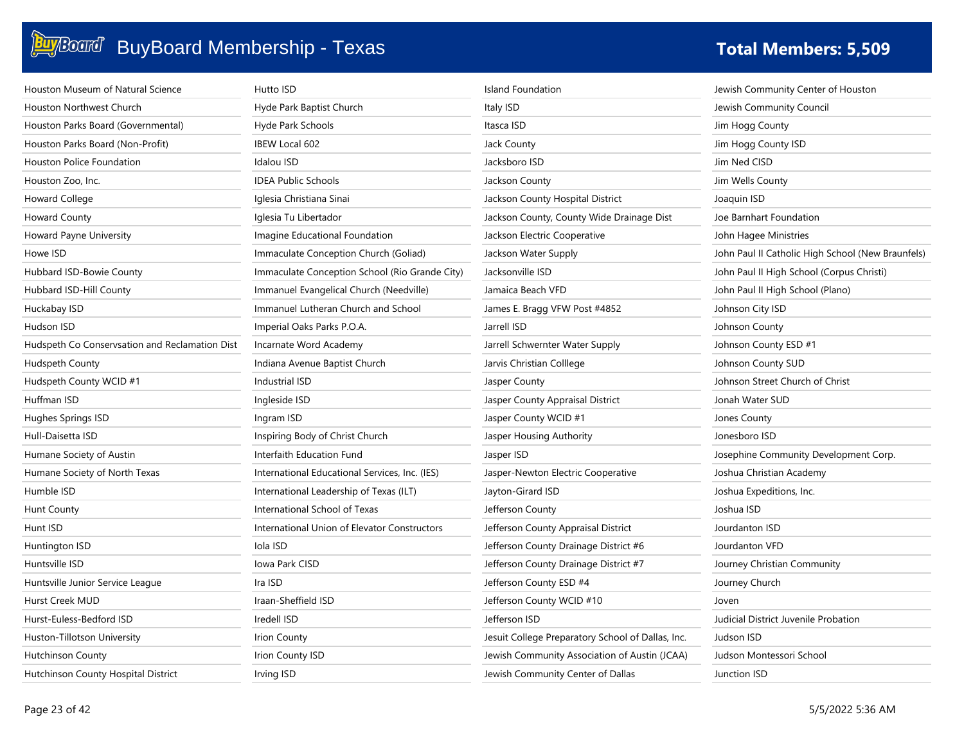| Houston Museum of Natural Science              | Hutto ISD                                      | <b>Island Foundation</b>                          | Jewish Community Center of Houston                |
|------------------------------------------------|------------------------------------------------|---------------------------------------------------|---------------------------------------------------|
| <b>Houston Northwest Church</b>                | Hyde Park Baptist Church                       | Italy ISD                                         | Jewish Community Council                          |
| Houston Parks Board (Governmental)             | Hyde Park Schools                              | Itasca ISD                                        | Jim Hogg County                                   |
| Houston Parks Board (Non-Profit)               | <b>IBEW Local 602</b>                          | Jack County                                       | Jim Hogg County ISD                               |
| <b>Houston Police Foundation</b>               | Idalou ISD                                     | Jacksboro ISD                                     | Jim Ned CISD                                      |
| Houston Zoo, Inc.                              | <b>IDEA Public Schools</b>                     | Jackson County                                    | Jim Wells County                                  |
| Howard College                                 | Iglesia Christiana Sinai                       | Jackson County Hospital District                  | Joaquin ISD                                       |
| <b>Howard County</b>                           | Iglesia Tu Libertador                          | Jackson County, County Wide Drainage Dist         | Joe Barnhart Foundation                           |
| Howard Payne University                        | Imagine Educational Foundation                 | Jackson Electric Cooperative                      | John Hagee Ministries                             |
| Howe ISD                                       | Immaculate Conception Church (Goliad)          | Jackson Water Supply                              | John Paul II Catholic High School (New Braunfels) |
| Hubbard ISD-Bowie County                       | Immaculate Conception School (Rio Grande City) | Jacksonville ISD                                  | John Paul II High School (Corpus Christi)         |
| Hubbard ISD-Hill County                        | Immanuel Evangelical Church (Needville)        | Jamaica Beach VFD                                 | John Paul II High School (Plano)                  |
| Huckabay ISD                                   | Immanuel Lutheran Church and School            | James E. Bragg VFW Post #4852                     | Johnson City ISD                                  |
| Hudson ISD                                     | Imperial Oaks Parks P.O.A.                     | Jarrell ISD                                       | Johnson County                                    |
| Hudspeth Co Conservsation and Reclamation Dist | Incarnate Word Academy                         | Jarrell Schwernter Water Supply                   | Johnson County ESD #1                             |
| Hudspeth County                                | Indiana Avenue Baptist Church                  | Jarvis Christian Colllege                         | Johnson County SUD                                |
| Hudspeth County WCID #1                        | Industrial ISD                                 | Jasper County                                     | Johnson Street Church of Christ                   |
| Huffman ISD                                    | Ingleside ISD                                  | Jasper County Appraisal District                  | Jonah Water SUD                                   |
| Hughes Springs ISD                             | Ingram ISD                                     | Jasper County WCID #1                             | Jones County                                      |
| Hull-Daisetta ISD                              | Inspiring Body of Christ Church                | Jasper Housing Authority                          | Jonesboro ISD                                     |
| Humane Society of Austin                       | Interfaith Education Fund                      | Jasper ISD                                        | Josephine Community Development Corp.             |
| Humane Society of North Texas                  | International Educational Services, Inc. (IES) | Jasper-Newton Electric Cooperative                | Joshua Christian Academy                          |
| Humble ISD                                     | International Leadership of Texas (ILT)        | Jayton-Girard ISD                                 | Joshua Expeditions, Inc.                          |
| <b>Hunt County</b>                             | International School of Texas                  | Jefferson County                                  | Joshua ISD                                        |
| Hunt ISD                                       | International Union of Elevator Constructors   | Jefferson County Appraisal District               | Jourdanton ISD                                    |
| Huntington ISD                                 | Iola ISD                                       | Jefferson County Drainage District #6             | Jourdanton VFD                                    |
| Huntsville ISD                                 | Iowa Park CISD                                 | Jefferson County Drainage District #7             | Journey Christian Community                       |
| Huntsville Junior Service League               | Ira ISD                                        | Jefferson County ESD #4                           | Journey Church                                    |
| Hurst Creek MUD                                | Iraan-Sheffield ISD                            | Jefferson County WCID #10                         | Joven                                             |
| Hurst-Euless-Bedford ISD                       | Iredell ISD                                    | Jefferson ISD                                     | Judicial District Juvenile Probation              |
| Huston-Tillotson University                    | <b>Irion County</b>                            | Jesuit College Preparatory School of Dallas, Inc. | Judson ISD                                        |
| <b>Hutchinson County</b>                       | Irion County ISD                               | Jewish Community Association of Austin (JCAA)     | Judson Montessori School                          |
| Hutchinson County Hospital District            | Irving ISD                                     | Jewish Community Center of Dallas                 | Junction ISD                                      |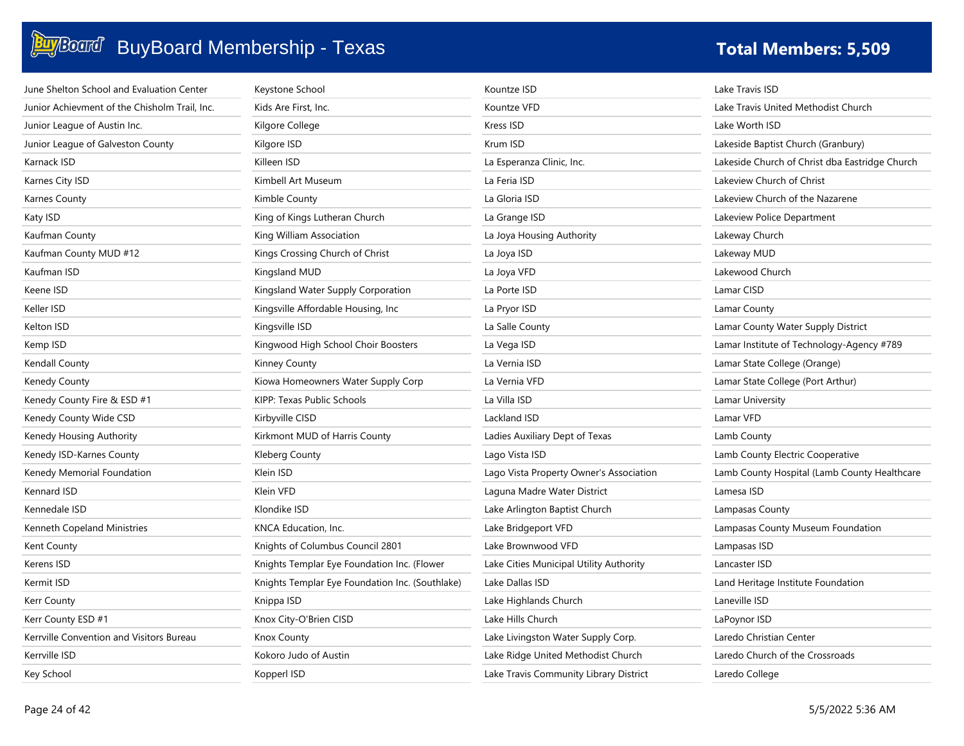| June Shelton School and Evaluation Center     | Keystone School                                 | Kountze ISD                             | Lake Travis ISD                                |
|-----------------------------------------------|-------------------------------------------------|-----------------------------------------|------------------------------------------------|
| Junior Achievment of the Chisholm Trail, Inc. | Kids Are First, Inc.                            | Kountze VFD                             | Lake Travis United Methodist Church            |
| Junior League of Austin Inc.                  | Kilgore College                                 | Kress ISD                               | Lake Worth ISD                                 |
| Junior League of Galveston County             | Kilgore ISD                                     | Krum ISD                                | Lakeside Baptist Church (Granbury)             |
| Karnack ISD                                   | Killeen ISD                                     | La Esperanza Clinic, Inc.               | Lakeside Church of Christ dba Eastridge Church |
| Karnes City ISD                               | Kimbell Art Museum                              | La Feria ISD                            | Lakeview Church of Christ                      |
| Karnes County                                 | Kimble County                                   | La Gloria ISD                           | Lakeview Church of the Nazarene                |
| Katy ISD                                      | King of Kings Lutheran Church                   | La Grange ISD                           | Lakeview Police Department                     |
| Kaufman County                                | King William Association                        | La Joya Housing Authority               | Lakeway Church                                 |
| Kaufman County MUD #12                        | Kings Crossing Church of Christ                 | La Joya ISD                             | Lakeway MUD                                    |
| Kaufman ISD                                   | Kingsland MUD                                   | La Joya VFD                             | Lakewood Church                                |
| Keene ISD                                     | Kingsland Water Supply Corporation              | La Porte ISD                            | Lamar CISD                                     |
| Keller ISD                                    | Kingsville Affordable Housing, Inc.             | La Pryor ISD                            | Lamar County                                   |
| Kelton ISD                                    | Kingsville ISD                                  | La Salle County                         | Lamar County Water Supply District             |
| Kemp ISD                                      | Kingwood High School Choir Boosters             | La Vega ISD                             | Lamar Institute of Technology-Agency #789      |
| Kendall County                                | Kinney County                                   | La Vernia ISD                           | Lamar State College (Orange)                   |
| Kenedy County                                 | Kiowa Homeowners Water Supply Corp              | La Vernia VFD                           | Lamar State College (Port Arthur)              |
| Kenedy County Fire & ESD #1                   | KIPP: Texas Public Schools                      | La Villa ISD                            | Lamar University                               |
| Kenedy County Wide CSD                        | Kirbyville CISD                                 | Lackland ISD                            | Lamar VFD                                      |
| Kenedy Housing Authority                      | Kirkmont MUD of Harris County                   | Ladies Auxiliary Dept of Texas          | Lamb County                                    |
| Kenedy ISD-Karnes County                      | Kleberg County                                  | Lago Vista ISD                          | Lamb County Electric Cooperative               |
| Kenedy Memorial Foundation                    | Klein ISD                                       | Lago Vista Property Owner's Association | Lamb County Hospital (Lamb County Healthcare   |
| Kennard ISD                                   | Klein VFD                                       | Laguna Madre Water District             | Lamesa ISD                                     |
| Kennedale ISD                                 | Klondike ISD                                    | Lake Arlington Baptist Church           | Lampasas County                                |
| Kenneth Copeland Ministries                   | KNCA Education, Inc.                            | Lake Bridgeport VFD                     | Lampasas County Museum Foundation              |
| Kent County                                   | Knights of Columbus Council 2801                | Lake Brownwood VFD                      | Lampasas ISD                                   |
| Kerens ISD                                    | Knights Templar Eye Foundation Inc. (Flower     | Lake Cities Municipal Utility Authority | Lancaster ISD                                  |
| Kermit ISD                                    | Knights Templar Eye Foundation Inc. (Southlake) | Lake Dallas ISD                         | Land Heritage Institute Foundation             |
| Kerr County                                   | Knippa ISD                                      | Lake Highlands Church                   | Laneville ISD                                  |
| Kerr County ESD #1                            | Knox City-O'Brien CISD                          | Lake Hills Church                       | LaPoynor ISD                                   |
| Kerrville Convention and Visitors Bureau      | Knox County                                     | Lake Livingston Water Supply Corp.      | Laredo Christian Center                        |
| Kerrville ISD                                 | Kokoro Judo of Austin                           | Lake Ridge United Methodist Church      | Laredo Church of the Crossroads                |
| Key School                                    | Kopperl ISD                                     | Lake Travis Community Library District  | Laredo College                                 |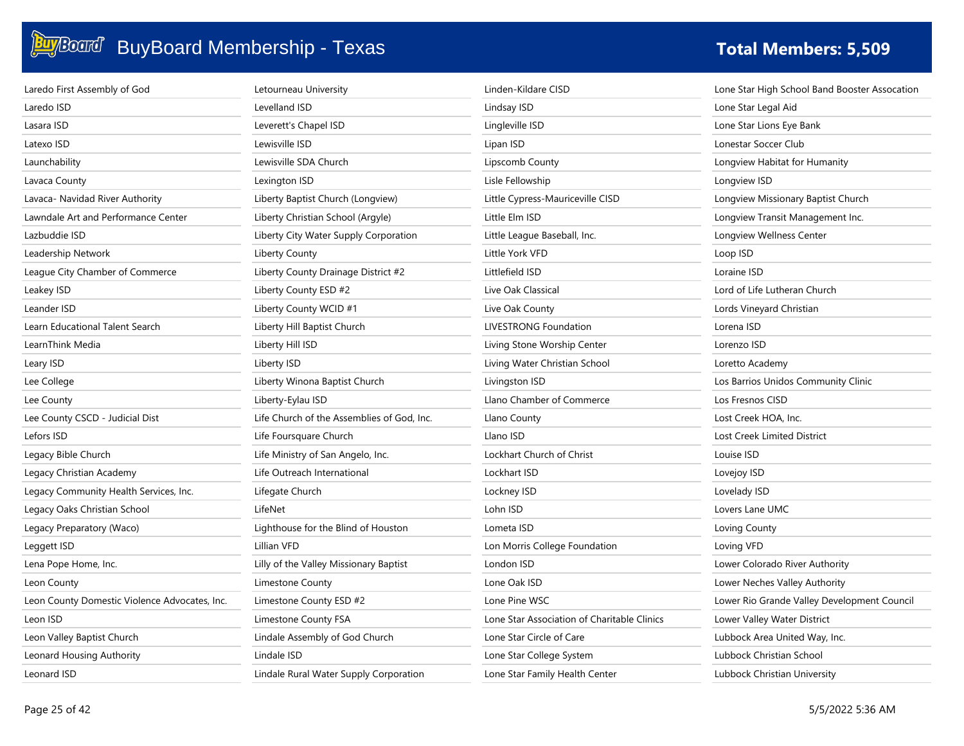| Laredo First Assembly of God                  | Letourneau University                      | Linden-Kildare CISD                         | Lone Star High School Band Booster Assocation |
|-----------------------------------------------|--------------------------------------------|---------------------------------------------|-----------------------------------------------|
| Laredo ISD                                    | Levelland ISD                              | Lindsay ISD                                 | Lone Star Legal Aid                           |
| Lasara ISD                                    | Leverett's Chapel ISD                      | Lingleville ISD                             | Lone Star Lions Eye Bank                      |
| Latexo ISD                                    | Lewisville ISD                             | Lipan ISD                                   | Lonestar Soccer Club                          |
| Launchability                                 | Lewisville SDA Church                      | Lipscomb County                             | Longview Habitat for Humanity                 |
| Lavaca County                                 | Lexington ISD                              | Lisle Fellowship                            | Longview ISD                                  |
| Lavaca- Navidad River Authority               | Liberty Baptist Church (Longview)          | Little Cypress-Mauriceville CISD            | Longview Missionary Baptist Church            |
| Lawndale Art and Performance Center           | Liberty Christian School (Argyle)          | Little Elm ISD                              | Longview Transit Management Inc.              |
| Lazbuddie ISD                                 | Liberty City Water Supply Corporation      | Little League Baseball, Inc.                | Longview Wellness Center                      |
| Leadership Network                            | <b>Liberty County</b>                      | Little York VFD                             | Loop ISD                                      |
| League City Chamber of Commerce               | Liberty County Drainage District #2        | Littlefield ISD                             | Loraine ISD                                   |
| Leakey ISD                                    | Liberty County ESD #2                      | Live Oak Classical                          | Lord of Life Lutheran Church                  |
| Leander ISD                                   | Liberty County WCID #1                     | Live Oak County                             | Lords Vineyard Christian                      |
| Learn Educational Talent Search               | Liberty Hill Baptist Church                | <b>LIVESTRONG Foundation</b>                | Lorena ISD                                    |
| LearnThink Media                              | Liberty Hill ISD                           | Living Stone Worship Center                 | Lorenzo ISD                                   |
| Leary ISD                                     | Liberty ISD                                | Living Water Christian School               | Loretto Academy                               |
| Lee College                                   | Liberty Winona Baptist Church              | Livingston ISD                              | Los Barrios Unidos Community Clinic           |
| Lee County                                    | Liberty-Eylau ISD                          | Llano Chamber of Commerce                   | Los Fresnos CISD                              |
| Lee County CSCD - Judicial Dist               | Life Church of the Assemblies of God, Inc. | Llano County                                | Lost Creek HOA, Inc.                          |
| Lefors ISD                                    | Life Foursquare Church                     | Llano ISD                                   | Lost Creek Limited District                   |
| Legacy Bible Church                           | Life Ministry of San Angelo, Inc.          | Lockhart Church of Christ                   | Louise ISD                                    |
| Legacy Christian Academy                      | Life Outreach International                | Lockhart ISD                                | Lovejoy ISD                                   |
| Legacy Community Health Services, Inc.        | Lifegate Church                            | Lockney ISD                                 | Lovelady ISD                                  |
| Legacy Oaks Christian School                  | LifeNet                                    | Lohn ISD                                    | Lovers Lane UMC                               |
| Legacy Preparatory (Waco)                     | Lighthouse for the Blind of Houston        | Lometa ISD                                  | Loving County                                 |
| Leggett ISD                                   | Lillian VFD                                | Lon Morris College Foundation               | Loving VFD                                    |
| Lena Pope Home, Inc.                          | Lilly of the Valley Missionary Baptist     | London ISD                                  | Lower Colorado River Authority                |
| Leon County                                   | Limestone County                           | Lone Oak ISD                                | Lower Neches Valley Authority                 |
| Leon County Domestic Violence Advocates, Inc. | Limestone County ESD #2                    | Lone Pine WSC                               | Lower Rio Grande Valley Development Council   |
| Leon ISD                                      | Limestone County FSA                       | Lone Star Association of Charitable Clinics | Lower Valley Water District                   |
| Leon Valley Baptist Church                    | Lindale Assembly of God Church             | Lone Star Circle of Care                    | Lubbock Area United Way, Inc.                 |
| Leonard Housing Authority                     | Lindale ISD                                | Lone Star College System                    | Lubbock Christian School                      |
| Leonard ISD                                   | Lindale Rural Water Supply Corporation     | Lone Star Family Health Center              | Lubbock Christian University                  |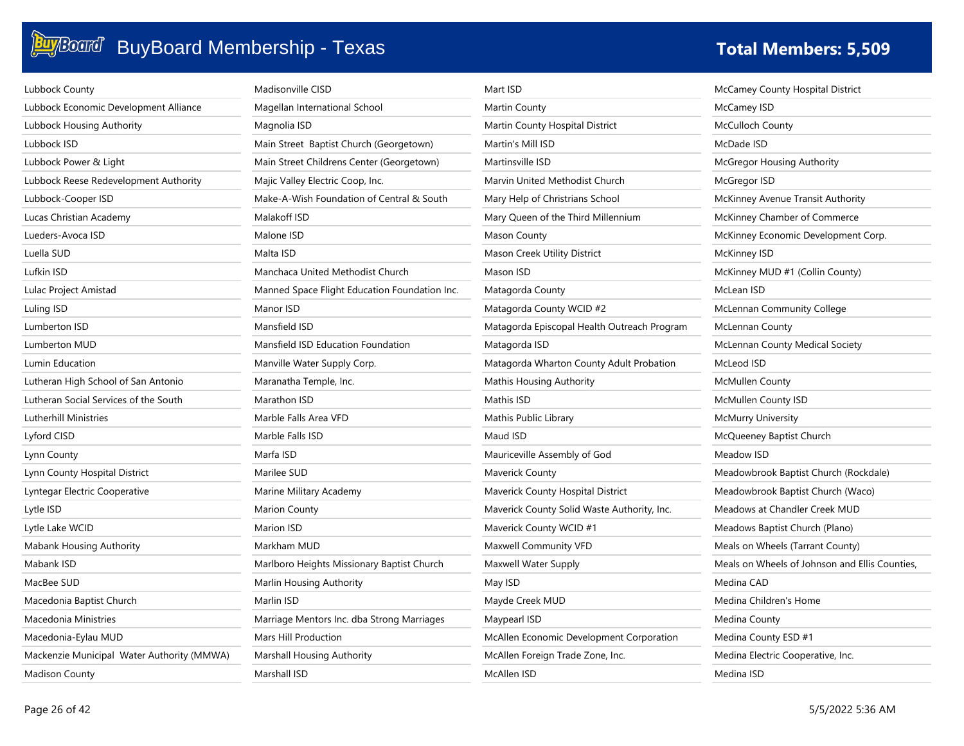| Lubbock County                             | Madisonville CISD                             | Mart ISD                                    | McCamey County Hospital District               |
|--------------------------------------------|-----------------------------------------------|---------------------------------------------|------------------------------------------------|
| Lubbock Economic Development Alliance      | Magellan International School                 | Martin County                               | McCamey ISD                                    |
| Lubbock Housing Authority                  | Magnolia ISD                                  | Martin County Hospital District             | <b>McCulloch County</b>                        |
| Lubbock ISD                                | Main Street Baptist Church (Georgetown)       | Martin's Mill ISD                           | McDade ISD                                     |
| Lubbock Power & Light                      | Main Street Childrens Center (Georgetown)     | Martinsville ISD                            | <b>McGregor Housing Authority</b>              |
| Lubbock Reese Redevelopment Authority      | Majic Valley Electric Coop, Inc.              | Marvin United Methodist Church              | McGregor ISD                                   |
| Lubbock-Cooper ISD                         | Make-A-Wish Foundation of Central & South     | Mary Help of Christrians School             | McKinney Avenue Transit Authority              |
| Lucas Christian Academy                    | Malakoff ISD                                  | Mary Queen of the Third Millennium          | McKinney Chamber of Commerce                   |
| Lueders-Avoca ISD                          | Malone ISD                                    | Mason County                                | McKinney Economic Development Corp.            |
| Luella SUD                                 | Malta ISD                                     | Mason Creek Utility District                | McKinney ISD                                   |
| Lufkin ISD                                 | Manchaca United Methodist Church              | Mason ISD                                   | McKinney MUD #1 (Collin County)                |
| Lulac Project Amistad                      | Manned Space Flight Education Foundation Inc. | Matagorda County                            | McLean ISD                                     |
| Luling ISD                                 | Manor ISD                                     | Matagorda County WCID #2                    | <b>McLennan Community College</b>              |
| Lumberton ISD                              | Mansfield ISD                                 | Matagorda Episcopal Health Outreach Program | <b>McLennan County</b>                         |
| Lumberton MUD                              | Mansfield ISD Education Foundation            | Matagorda ISD                               | McLennan County Medical Society                |
| Lumin Education                            | Manville Water Supply Corp.                   | Matagorda Wharton County Adult Probation    | McLeod ISD                                     |
| Lutheran High School of San Antonio        | Maranatha Temple, Inc.                        | <b>Mathis Housing Authority</b>             | <b>McMullen County</b>                         |
| Lutheran Social Services of the South      | Marathon ISD                                  | Mathis ISD                                  | McMullen County ISD                            |
| Lutherhill Ministries                      | Marble Falls Area VFD                         | Mathis Public Library                       | <b>McMurry University</b>                      |
| Lyford CISD                                | Marble Falls ISD                              | Maud ISD                                    | McQueeney Baptist Church                       |
| Lynn County                                | Marfa ISD                                     | Mauriceville Assembly of God                | Meadow ISD                                     |
| Lynn County Hospital District              | Marilee SUD                                   | Maverick County                             | Meadowbrook Baptist Church (Rockdale)          |
| Lyntegar Electric Cooperative              | Marine Military Academy                       | Maverick County Hospital District           | Meadowbrook Baptist Church (Waco)              |
| Lytle ISD                                  | Marion County                                 | Maverick County Solid Waste Authority, Inc. | Meadows at Chandler Creek MUD                  |
| Lytle Lake WCID                            | Marion ISD                                    | Maverick County WCID #1                     | Meadows Baptist Church (Plano)                 |
| Mabank Housing Authority                   | Markham MUD                                   | Maxwell Community VFD                       | Meals on Wheels (Tarrant County)               |
| Mabank ISD                                 | Marlboro Heights Missionary Baptist Church    | Maxwell Water Supply                        | Meals on Wheels of Johnson and Ellis Counties, |
| MacBee SUD                                 | Marlin Housing Authority                      | May ISD                                     | Medina CAD                                     |
| Macedonia Baptist Church                   | Marlin ISD                                    | Mayde Creek MUD                             | Medina Children's Home                         |
| Macedonia Ministries                       | Marriage Mentors Inc. dba Strong Marriages    | Maypearl ISD                                | Medina County                                  |
| Macedonia-Eylau MUD                        | Mars Hill Production                          | McAllen Economic Development Corporation    | Medina County ESD #1                           |
| Mackenzie Municipal Water Authority (MMWA) | Marshall Housing Authority                    | McAllen Foreign Trade Zone, Inc.            | Medina Electric Cooperative, Inc.              |
| <b>Madison County</b>                      | Marshall ISD                                  | McAllen ISD                                 | Medina ISD                                     |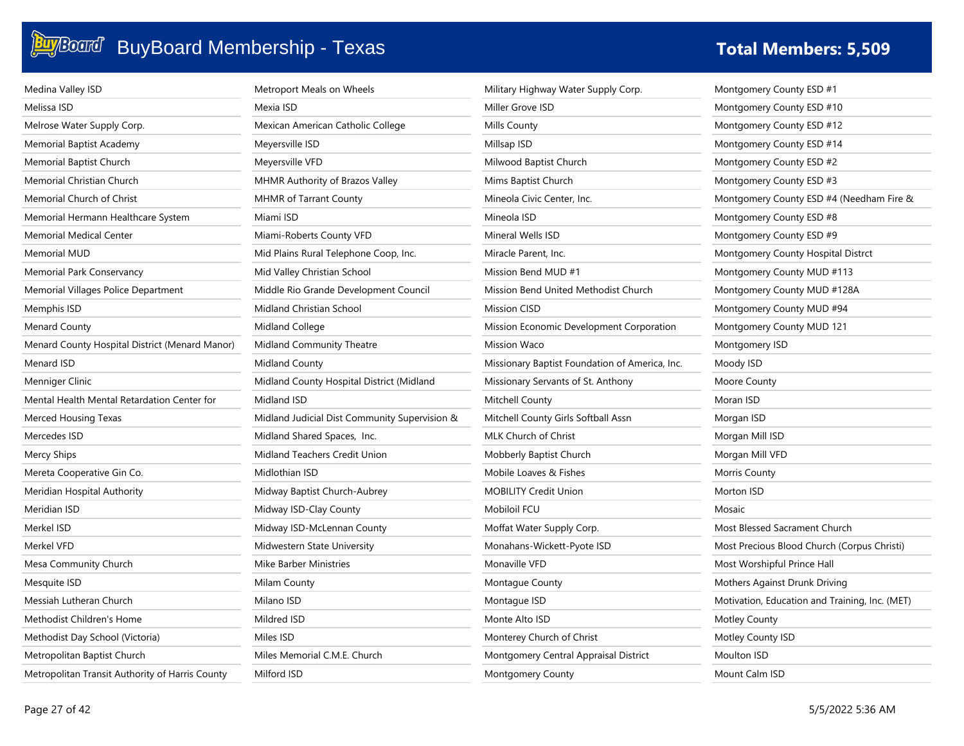| Medina Valley ISD                               | Metroport Meals on Wheels                     | Military Highway Water Supply Corp.            | Montgomery County ESD #1                       |
|-------------------------------------------------|-----------------------------------------------|------------------------------------------------|------------------------------------------------|
| Melissa ISD                                     | Mexia ISD                                     | Miller Grove ISD                               | Montgomery County ESD #10                      |
| Melrose Water Supply Corp.                      | Mexican American Catholic College             | Mills County                                   | Montgomery County ESD #12                      |
| Memorial Baptist Academy                        | Meyersville ISD                               | Millsap ISD                                    | Montgomery County ESD #14                      |
| Memorial Baptist Church                         | Meyersville VFD                               | Milwood Baptist Church                         | Montgomery County ESD #2                       |
| Memorial Christian Church                       | MHMR Authority of Brazos Valley               | Mims Baptist Church                            | Montgomery County ESD #3                       |
| Memorial Church of Christ                       | <b>MHMR of Tarrant County</b>                 | Mineola Civic Center, Inc.                     | Montgomery County ESD #4 (Needham Fire &       |
| Memorial Hermann Healthcare System              | Miami ISD                                     | Mineola ISD                                    | Montgomery County ESD #8                       |
| Memorial Medical Center                         | Miami-Roberts County VFD                      | Mineral Wells ISD                              | Montgomery County ESD #9                       |
| <b>Memorial MUD</b>                             | Mid Plains Rural Telephone Coop, Inc.         | Miracle Parent, Inc.                           | Montgomery County Hospital Distrct             |
| Memorial Park Conservancy                       | Mid Valley Christian School                   | Mission Bend MUD #1                            | Montgomery County MUD #113                     |
| Memorial Villages Police Department             | Middle Rio Grande Development Council         | Mission Bend United Methodist Church           | Montgomery County MUD #128A                    |
| Memphis ISD                                     | Midland Christian School                      | <b>Mission CISD</b>                            | Montgomery County MUD #94                      |
| Menard County                                   | Midland College                               | Mission Economic Development Corporation       | Montgomery County MUD 121                      |
| Menard County Hospital District (Menard Manor)  | Midland Community Theatre                     | <b>Mission Waco</b>                            | Montgomery ISD                                 |
| Menard ISD                                      | Midland County                                | Missionary Baptist Foundation of America, Inc. | Moody ISD                                      |
| Menniger Clinic                                 | Midland County Hospital District (Midland     | Missionary Servants of St. Anthony             | Moore County                                   |
| Mental Health Mental Retardation Center for     | Midland ISD                                   | Mitchell County                                | Moran ISD                                      |
| Merced Housing Texas                            | Midland Judicial Dist Community Supervision & | Mitchell County Girls Softball Assn            | Morgan ISD                                     |
| Mercedes ISD                                    | Midland Shared Spaces, Inc.                   | MLK Church of Christ                           | Morgan Mill ISD                                |
| Mercy Ships                                     | Midland Teachers Credit Union                 | Mobberly Baptist Church                        | Morgan Mill VFD                                |
| Mereta Cooperative Gin Co.                      | Midlothian ISD                                | Mobile Loaves & Fishes                         | Morris County                                  |
| Meridian Hospital Authority                     | Midway Baptist Church-Aubrey                  | <b>MOBILITY Credit Union</b>                   | Morton ISD                                     |
| Meridian ISD                                    | Midway ISD-Clay County                        | Mobiloil FCU                                   | Mosaic                                         |
| Merkel ISD                                      | Midway ISD-McLennan County                    | Moffat Water Supply Corp.                      | Most Blessed Sacrament Church                  |
| Merkel VFD                                      | Midwestern State University                   | Monahans-Wickett-Pyote ISD                     | Most Precious Blood Church (Corpus Christi)    |
| Mesa Community Church                           | <b>Mike Barber Ministries</b>                 | Monaville VFD                                  | Most Worshipful Prince Hall                    |
| Mesquite ISD                                    | Milam County                                  | Montague County                                | Mothers Against Drunk Driving                  |
| Messiah Lutheran Church                         | Milano ISD                                    | Montague ISD                                   | Motivation, Education and Training, Inc. (MET) |
| Methodist Children's Home                       | Mildred ISD                                   | Monte Alto ISD                                 | <b>Motley County</b>                           |
| Methodist Day School (Victoria)                 | Miles ISD                                     | Monterey Church of Christ                      | Motley County ISD                              |
| Metropolitan Baptist Church                     | Miles Memorial C.M.E. Church                  | Montgomery Central Appraisal District          | Moulton ISD                                    |
| Metropolitan Transit Authority of Harris County | Milford ISD                                   | <b>Montgomery County</b>                       | Mount Calm ISD                                 |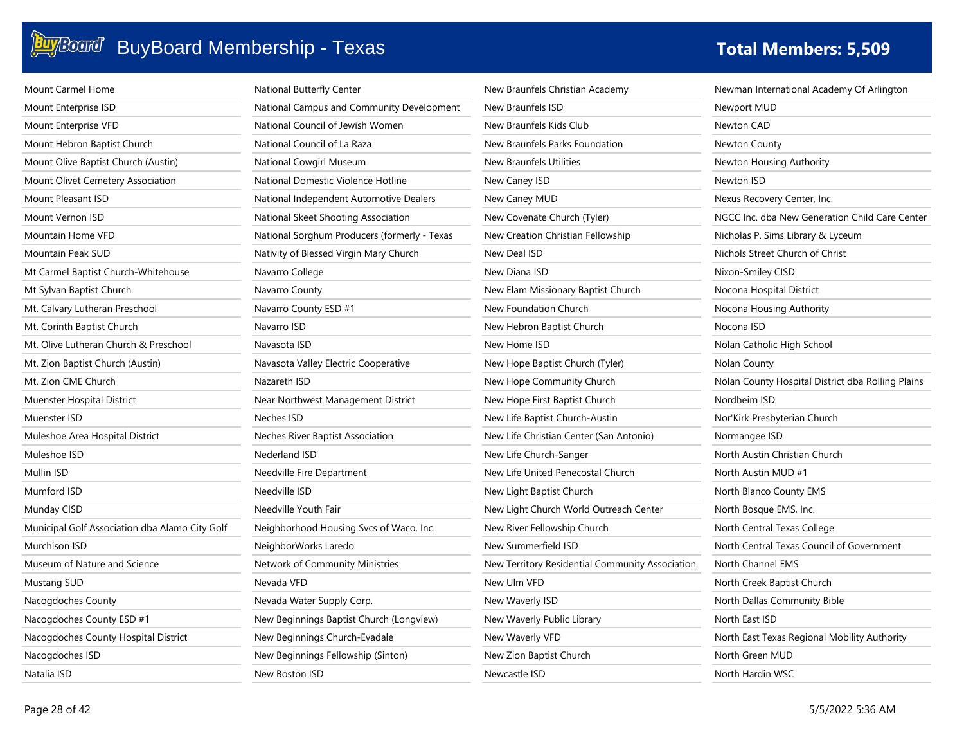### **BuyBoard** BuyBoard Membership - Texas **The Contract of Table 19 and Total Members: 5,509**

| Mount Carmel Home                              | National Butterfly Center                    |
|------------------------------------------------|----------------------------------------------|
| Mount Enterprise ISD                           | National Campus and Community Development    |
| Mount Enterprise VFD                           | National Council of Jewish Women             |
| Mount Hebron Baptist Church                    | National Council of La Raza                  |
| Mount Olive Baptist Church (Austin)            | National Cowgirl Museum                      |
| Mount Olivet Cemetery Association              | National Domestic Violence Hotline           |
| <b>Mount Pleasant ISD</b>                      | National Independent Automotive Dealers      |
| Mount Vernon ISD                               | National Skeet Shooting Association          |
| Mountain Home VFD                              | National Sorghum Producers (formerly - Texas |
| Mountain Peak SUD                              | Nativity of Blessed Virgin Mary Church       |
| Mt Carmel Baptist Church-Whitehouse            | Navarro College                              |
| Mt Sylvan Baptist Church                       | Navarro County                               |
| Mt. Calvary Lutheran Preschool                 | Navarro County ESD #1                        |
| Mt. Corinth Baptist Church                     | Navarro ISD                                  |
| Mt. Olive Lutheran Church & Preschool          | Navasota ISD                                 |
| Mt. Zion Baptist Church (Austin)               | Navasota Valley Electric Cooperative         |
| Mt. Zion CME Church                            | Nazareth ISD                                 |
| Muenster Hospital District                     | Near Northwest Management District           |
| Muenster ISD                                   | Neches ISD                                   |
| Muleshoe Area Hospital District                | Neches River Baptist Association             |
| Muleshoe ISD                                   | Nederland ISD                                |
| Mullin ISD                                     | Needville Fire Department                    |
| Mumford ISD                                    | Needville ISD                                |
| Munday CISD                                    | Needville Youth Fair                         |
| Municipal Golf Association dba Alamo City Golf | Neighborhood Housing Svcs of Waco, Inc.      |
| Murchison ISD                                  | NeighborWorks Laredo                         |
| Museum of Nature and Science                   | Network of Community Ministries              |
| Mustang SUD                                    | Nevada VFD                                   |
| Nacogdoches County                             | Nevada Water Supply Corp.                    |
| Nacogdoches County ESD #1                      | New Beginnings Baptist Church (Longview)     |
| Nacogdoches County Hospital District           | New Beginnings Church-Evadale                |
| Nacogdoches ISD                                | New Beginnings Fellowship (Sinton)           |
| Natalia ISD                                    | New Boston ISD                               |

| New Braunfels Christian Academy                 | Newm               |
|-------------------------------------------------|--------------------|
| <b>New Braunfels ISD</b>                        | Newpo              |
| New Braunfels Kids Club                         | Newto              |
| New Braunfels Parks Foundation                  | Newto              |
| New Braunfels Utilities                         | Newto              |
| New Caney ISD                                   | Newto              |
| New Caney MUD                                   | <b>Nexus</b>       |
| New Covenate Church (Tyler)                     | NGCC               |
| New Creation Christian Fellowship               | Nichol             |
| New Deal ISD                                    | Nichol:            |
| New Diana ISD                                   | Nixon-             |
| New Elam Missionary Baptist Church              | Nocon              |
| New Foundation Church                           | Nocon              |
| New Hebron Baptist Church                       | Nocon              |
| New Home ISD                                    | Nolan              |
| New Hope Baptist Church (Tyler)                 | Nolan              |
| New Hope Community Church                       | Nolan              |
| New Hope First Baptist Church                   | Nordh <sub>'</sub> |
| New Life Baptist Church-Austin                  | Nor'Kir            |
| New Life Christian Center (San Antonio)         | Norma              |
| New Life Church-Sanger                          | North.             |
| New Life United Penecostal Church               | North .            |
| New Light Baptist Church                        | North              |
| New Light Church World Outreach Center          | North              |
| New River Fellowship Church                     | North              |
| New Summerfield ISD                             | North (            |
| New Territory Residential Community Association | North              |
| New Ulm VFD                                     | North              |
| New Waverly ISD                                 | North              |
| New Waverly Public Library                      | North              |
| New Waverly VFD                                 | North              |
| New Zion Baptist Church                         | North              |
| Newcastle ISD                                   | North l            |

an International Academy Of Arlington ort MUD n CAD n County n Housing Authority n ISD Recovery Center, Inc. Inc. dba New Generation Child Care Center as P. Sims Library & Lyceum s Street Church of Christ -Smiley CISD a Hospital District a Housing Authority na ISD Catholic High School County County Hospital District dba Rolling Plains eim ISD rk Presbyterian Church Normangee ISD **Austin Christian Church** Austin MUD #1 Blanco County EMS Bosque EMS, Inc. Central Texas College Central Texas Council of Government Channel EMS Creek Baptist Church Dallas Community Bible East ISD East Texas Regional Mobility Authority Green MUD Hardin WSC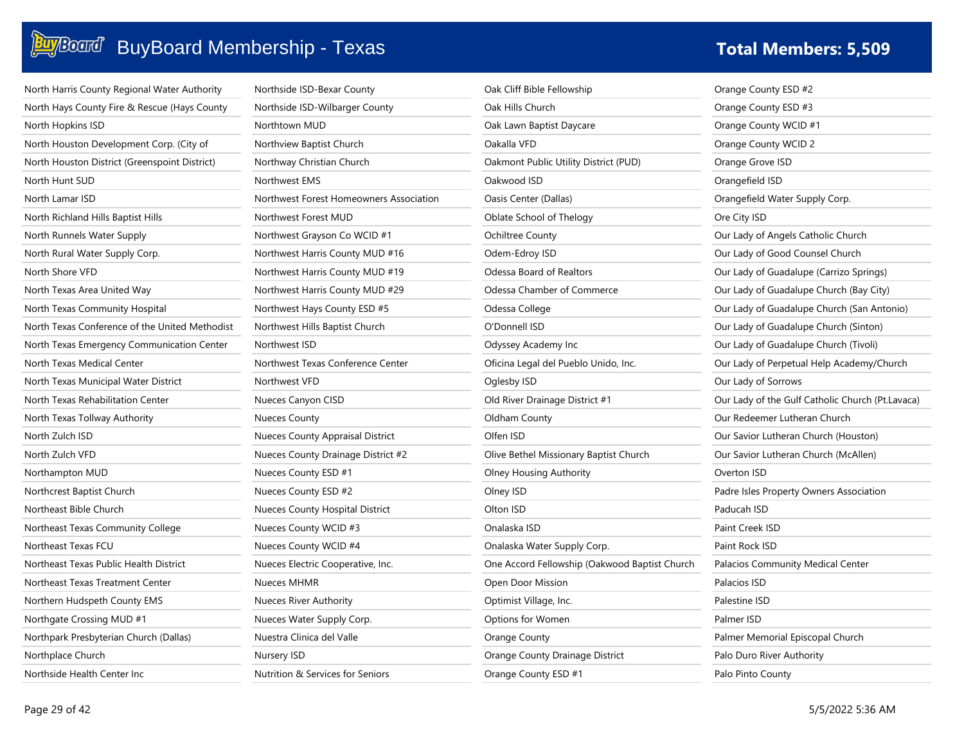### **BuyBoard BuyBoard Membership - Texas**

| <b>Fotal Members: 5,509</b> |  |
|-----------------------------|--|
|-----------------------------|--|

| North Harris County Regional Water Authority   | Northside ISD-Bexar County           |
|------------------------------------------------|--------------------------------------|
| North Hays County Fire & Rescue (Hays County   | Northside ISD-Wilbarger County       |
| North Hopkins ISD                              | Northtown MUD                        |
| North Houston Development Corp. (City of       | Northview Baptist Church             |
| North Houston District (Greenspoint District)  | Northway Christian Church            |
| North Hunt SUD                                 | Northwest EMS                        |
| North Lamar ISD                                | Northwest Forest Homeowners Associat |
| North Richland Hills Baptist Hills             | Northwest Forest MUD                 |
| North Runnels Water Supply                     | Northwest Grayson Co WCID #1         |
| North Rural Water Supply Corp.                 | Northwest Harris County MUD #16      |
| North Shore VFD                                | Northwest Harris County MUD #19      |
| North Texas Area United Way                    | Northwest Harris County MUD #29      |
| North Texas Community Hospital                 | Northwest Hays County ESD #5         |
| North Texas Conference of the United Methodist | Northwest Hills Baptist Church       |
| North Texas Emergency Communication Center     | Northwest ISD                        |
| North Texas Medical Center                     | Northwest Texas Conference Center    |
| North Texas Municipal Water District           | Northwest VFD                        |
| North Texas Rehabilitation Center              |                                      |
|                                                | Nueces Canyon CISD                   |
| North Texas Tollway Authority                  | <b>Nueces County</b>                 |
| North Zulch ISD                                | Nueces County Appraisal District     |
| North Zulch VFD                                | Nueces County Drainage District #2   |
| Northampton MUD                                | Nueces County ESD #1                 |
| Northcrest Baptist Church                      | Nueces County ESD #2                 |
| Northeast Bible Church                         | Nueces County Hospital District      |
| Northeast Texas Community College              | Nueces County WCID #3                |
| Northeast Texas FCU                            | Nueces County WCID #4                |
| Northeast Texas Public Health District         | Nueces Electric Cooperative, Inc.    |
| Northeast Texas Treatment Center               | <b>Nueces MHMR</b>                   |
| Northern Hudspeth County EMS                   | Nueces River Authority               |
| Northgate Crossing MUD #1                      | Nueces Water Supply Corp.            |
| Northpark Presbyterian Church (Dallas)         | Nuestra Clinica del Valle            |
| Northplace Church                              | Nursery ISD                          |
| Northside Health Center Inc                    | Nutrition & Services for Seniors     |

|     | Oak Cliff Bible Fellowship                    |
|-----|-----------------------------------------------|
|     | Oak Hills Church                              |
|     | Oak Lawn Baptist Daycare                      |
|     | Oakalla VFD                                   |
|     | Oakmont Public Utility District (PUD)         |
|     | Oakwood ISD                                   |
| ion | Oasis Center (Dallas)                         |
|     | Oblate School of Thelogy                      |
|     | Ochiltree County                              |
|     | Odem-Edroy ISD                                |
|     | Odessa Board of Realtors                      |
|     | Odessa Chamber of Commerce                    |
|     | Odessa College                                |
|     | O'Donnell ISD                                 |
|     | Odyssey Academy Inc                           |
|     | Oficina Legal del Pueblo Unido, Inc.          |
|     | Oglesby ISD                                   |
|     | Old River Drainage District #1                |
|     | Oldham County                                 |
|     | Olfen ISD                                     |
|     | Olive Bethel Missionary Baptist Church        |
|     | Olney Housing Authority                       |
|     | Olney ISD                                     |
|     | Olton ISD                                     |
|     | Onalaska ISD                                  |
|     | Onalaska Water Supply Corp.                   |
|     | One Accord Fellowship (Oakwood Baptist Church |
|     | Open Door Mission                             |
|     | Optimist Village, Inc.                        |
|     | Options for Women                             |
|     | Orange County                                 |
|     | Orange County Drainage District               |
|     | Orange County ESD #1                          |

|                 | Orange County ESD #2                             |
|-----------------|--------------------------------------------------|
|                 | Orange County ESD #3                             |
|                 | Orange County WCID #1                            |
|                 | Orange County WCID 2                             |
|                 | Orange Grove ISD                                 |
| Orangefield ISD |                                                  |
|                 | Orangefield Water Supply Corp.                   |
| Ore City ISD    |                                                  |
|                 | Our Lady of Angels Catholic Church               |
|                 | Our Lady of Good Counsel Church                  |
|                 | Our Lady of Guadalupe (Carrizo Springs)          |
|                 | Our Lady of Guadalupe Church (Bay City)          |
|                 | Our Lady of Guadalupe Church (San Antonio)       |
|                 | Our Lady of Guadalupe Church (Sinton)            |
|                 | Our Lady of Guadalupe Church (Tivoli)            |
|                 | Our Lady of Perpetual Help Academy/Church        |
|                 | Our Lady of Sorrows                              |
|                 | Our Lady of the Gulf Catholic Church (Pt.Lavaca) |
|                 | Our Redeemer Lutheran Church                     |
|                 | Our Savior Lutheran Church (Houston)             |
|                 | Our Savior Lutheran Church (McAllen)             |
| Overton ISD     |                                                  |
|                 | Padre Isles Property Owners Association          |
| Paducah ISD     |                                                  |
| Paint Creek ISD |                                                  |
| Paint Rock ISD  |                                                  |
|                 | Palacios Community Medical Center                |
| Palacios ISD    |                                                  |
| Palestine ISD   |                                                  |
| Palmer ISD      |                                                  |
|                 | Palmer Memorial Episcopal Church                 |
|                 | Palo Duro River Authority                        |
|                 | Palo Pinto County                                |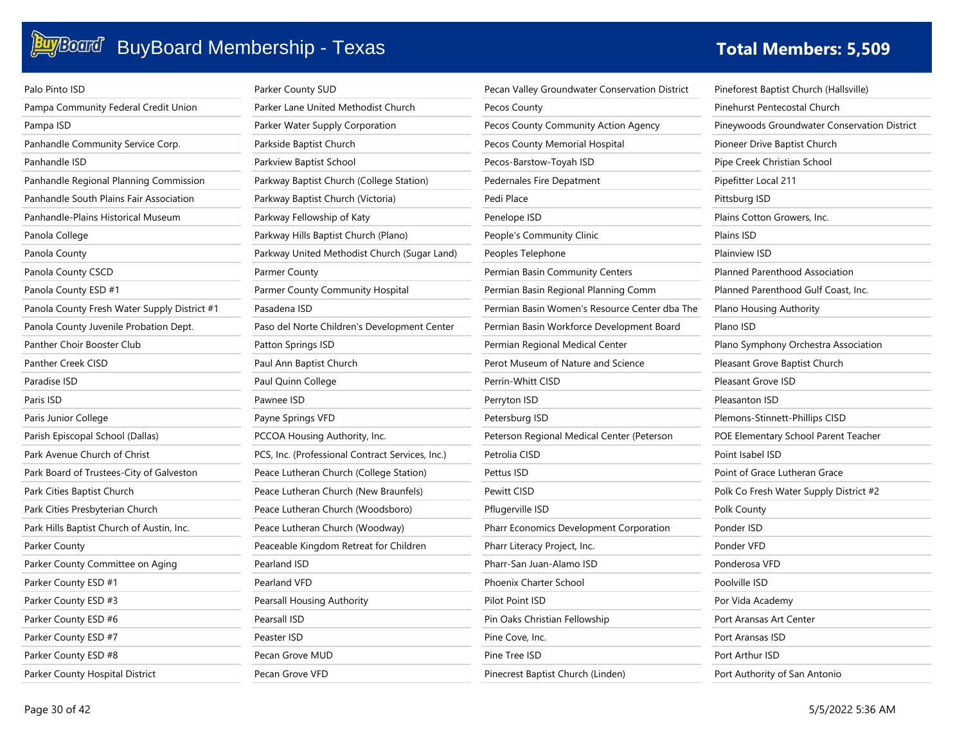| Palo Pinto ISD                               | Parker County SUD                                | Pecan Valley Groundwater Conservation District | Pineforest Baptist Church (Hallsville)       |
|----------------------------------------------|--------------------------------------------------|------------------------------------------------|----------------------------------------------|
| Pampa Community Federal Credit Union         | Parker Lane United Methodist Church              | Pecos County                                   | Pinehurst Pentecostal Church                 |
| Pampa ISD                                    | Parker Water Supply Corporation                  | Pecos County Community Action Agency           | Pineywoods Groundwater Conservation District |
| Panhandle Community Service Corp.            | Parkside Baptist Church                          | Pecos County Memorial Hospital                 | Pioneer Drive Baptist Church                 |
| Panhandle ISD                                | Parkview Baptist School                          | Pecos-Barstow-Toyah ISD                        | Pipe Creek Christian School                  |
| Panhandle Regional Planning Commission       | Parkway Baptist Church (College Station)         | Pedernales Fire Depatment                      | Pipefitter Local 211                         |
| Panhandle South Plains Fair Association      | Parkway Baptist Church (Victoria)                | Pedi Place                                     | Pittsburg ISD                                |
| Panhandle-Plains Historical Museum           | Parkway Fellowship of Katy                       | Penelope ISD                                   | Plains Cotton Growers, Inc.                  |
| Panola College                               | Parkway Hills Baptist Church (Plano)             | People's Community Clinic                      | Plains ISD                                   |
| Panola County                                | Parkway United Methodist Church (Sugar Land)     | Peoples Telephone                              | Plainview ISD                                |
| Panola County CSCD                           | Parmer County                                    | Permian Basin Community Centers                | Planned Parenthood Association               |
| Panola County ESD #1                         | Parmer County Community Hospital                 | Permian Basin Regional Planning Comm           | Planned Parenthood Gulf Coast, Inc.          |
| Panola County Fresh Water Supply District #1 | Pasadena ISD                                     | Permian Basin Women's Resource Center dba The  | Plano Housing Authority                      |
| Panola County Juvenile Probation Dept.       | Paso del Norte Children's Development Center     | Permian Basin Workforce Development Board      | Plano ISD                                    |
| Panther Choir Booster Club                   | Patton Springs ISD                               | Permian Regional Medical Center                | Plano Symphony Orchestra Association         |
| Panther Creek CISD                           | Paul Ann Baptist Church                          | Perot Museum of Nature and Science             | Pleasant Grove Baptist Church                |
| Paradise ISD                                 | Paul Quinn College                               | Perrin-Whitt CISD                              | Pleasant Grove ISD                           |
| Paris ISD                                    | Pawnee ISD                                       | Perryton ISD                                   | Pleasanton ISD                               |
| Paris Junior College                         | Payne Springs VFD                                | Petersburg ISD                                 | Plemons-Stinnett-Phillips CISD               |
| Parish Episcopal School (Dallas)             | PCCOA Housing Authority, Inc.                    | Peterson Regional Medical Center (Peterson     | POE Elementary School Parent Teacher         |
| Park Avenue Church of Christ                 | PCS, Inc. (Professional Contract Services, Inc.) | Petrolia CISD                                  | Point Isabel ISD                             |
| Park Board of Trustees-City of Galveston     | Peace Lutheran Church (College Station)          | Pettus ISD                                     | Point of Grace Lutheran Grace                |
| Park Cities Baptist Church                   | Peace Lutheran Church (New Braunfels)            | Pewitt CISD                                    | Polk Co Fresh Water Supply District #2       |
| Park Cities Presbyterian Church              | Peace Lutheran Church (Woodsboro)                | Pflugerville ISD                               | Polk County                                  |
| Park Hills Baptist Church of Austin, Inc.    | Peace Lutheran Church (Woodway)                  | Pharr Economics Development Corporation        | Ponder ISD                                   |
| Parker County                                | Peaceable Kingdom Retreat for Children           | Pharr Literacy Project, Inc.                   | Ponder VFD                                   |
| Parker County Committee on Aging             | Pearland ISD                                     | Pharr-San Juan-Alamo ISD                       | Ponderosa VFD                                |
| Parker County ESD #1                         | Pearland VFD                                     | Phoenix Charter School                         | Poolville ISD                                |
| Parker County ESD #3                         | Pearsall Housing Authority                       | Pilot Point ISD                                | Por Vida Academy                             |
| Parker County ESD #6                         | Pearsall ISD                                     | Pin Oaks Christian Fellowship                  | Port Aransas Art Center                      |
| Parker County ESD #7                         | Peaster ISD                                      | Pine Cove, Inc.                                | Port Aransas ISD                             |
| Parker County ESD #8                         | Pecan Grove MUD                                  | Pine Tree ISD                                  | Port Arthur ISD                              |
| Parker County Hospital District              | Pecan Grove VFD                                  | Pinecrest Baptist Church (Linden)              | Port Authority of San Antonio                |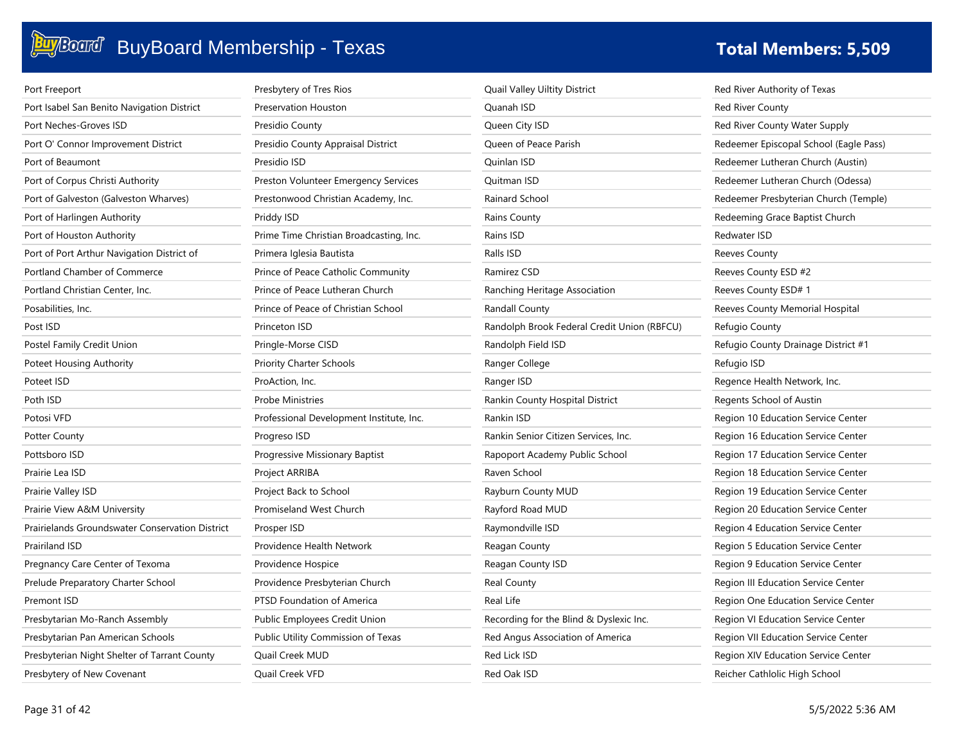

| Port Freeport                                          | Presbytery of Tres Rios                  | Quail Valley Uiltity District               | Red River Authority of Texas           |
|--------------------------------------------------------|------------------------------------------|---------------------------------------------|----------------------------------------|
| Port Isabel San Benito Navigation District             | Preservation Houston                     | Quanah ISD                                  | <b>Red River County</b>                |
| Port Neches-Groves ISD                                 | Presidio County                          | Queen City ISD                              | Red River County Water Supply          |
| Port O' Connor Improvement District                    | Presidio County Appraisal District       | Queen of Peace Parish                       | Redeemer Episcopal School (Eagle Pass) |
| Port of Beaumont                                       | Presidio ISD                             | Quinlan ISD                                 | Redeemer Lutheran Church (Austin)      |
| Port of Corpus Christi Authority                       | Preston Volunteer Emergency Services     | Quitman ISD                                 | Redeemer Lutheran Church (Odessa)      |
| Port of Galveston (Galveston Wharves)                  | Prestonwood Christian Academy, Inc.      | Rainard School                              | Redeemer Presbyterian Church (Temple)  |
| Port of Harlingen Authority                            | Priddy ISD                               | Rains County                                | Redeeming Grace Baptist Church         |
| Port of Houston Authority                              | Prime Time Christian Broadcasting, Inc.  | Rains ISD                                   | Redwater ISD                           |
| Port of Port Arthur Navigation District of             | Primera Iglesia Bautista                 | Ralls ISD                                   | Reeves County                          |
| Portland Chamber of Commerce                           | Prince of Peace Catholic Community       | Ramirez CSD                                 | Reeves County ESD #2                   |
| Portland Christian Center, Inc.                        | Prince of Peace Lutheran Church          | Ranching Heritage Association               | Reeves County ESD# 1                   |
| Posabilities, Inc.                                     | Prince of Peace of Christian School      | Randall County                              | Reeves County Memorial Hospital        |
| Post ISD                                               | Princeton ISD                            | Randolph Brook Federal Credit Union (RBFCU) | Refugio County                         |
| Postel Family Credit Union                             | Pringle-Morse CISD                       | Randolph Field ISD                          | Refugio County Drainage District #1    |
| Poteet Housing Authority                               | <b>Priority Charter Schools</b>          | Ranger College                              | Refugio ISD                            |
| Poteet ISD                                             | ProAction, Inc.                          | Ranger ISD                                  | Regence Health Network, Inc.           |
| Poth ISD                                               | <b>Probe Ministries</b>                  | Rankin County Hospital District             | Regents School of Austin               |
| Potosi VFD                                             | Professional Development Institute, Inc. | Rankin ISD                                  | Region 10 Education Service Center     |
| <b>Potter County</b>                                   | Progreso ISD                             | Rankin Senior Citizen Services, Inc.        | Region 16 Education Service Center     |
| Pottsboro ISD                                          | Progressive Missionary Baptist           | Rapoport Academy Public School              | Region 17 Education Service Center     |
| Prairie Lea ISD                                        | Project ARRIBA                           | Raven School                                | Region 18 Education Service Center     |
| Prairie Valley ISD                                     | Project Back to School                   | Rayburn County MUD                          | Region 19 Education Service Center     |
| Prairie View A&M University                            | Promiseland West Church                  | Rayford Road MUD                            | Region 20 Education Service Center     |
| <b>Prairielands Groundswater Conservation District</b> | Prosper ISD                              | Raymondville ISD                            | Region 4 Education Service Center      |
| <b>Prairiland ISD</b>                                  | Providence Health Network                | Reagan County                               | Region 5 Education Service Center      |
| Pregnancy Care Center of Texoma                        | Providence Hospice                       | Reagan County ISD                           | Region 9 Education Service Center      |
| Prelude Preparatory Charter School                     | Providence Presbyterian Church           | Real County                                 | Region III Education Service Center    |
| Premont ISD                                            | PTSD Foundation of America               | Real Life                                   | Region One Education Service Center    |
| Presbytarian Mo-Ranch Assembly                         | Public Employees Credit Union            | Recording for the Blind & Dyslexic Inc.     | Region VI Education Service Center     |
| Presbytarian Pan American Schools                      | Public Utility Commission of Texas       | Red Angus Association of America            | Region VII Education Service Center    |
| Presbyterian Night Shelter of Tarrant County           | Quail Creek MUD                          | Red Lick ISD                                | Region XIV Education Service Center    |
| Presbytery of New Covenant                             | <b>Ouail Creek VFD</b>                   | Red Oak ISD                                 | Reicher Cathlolic High School          |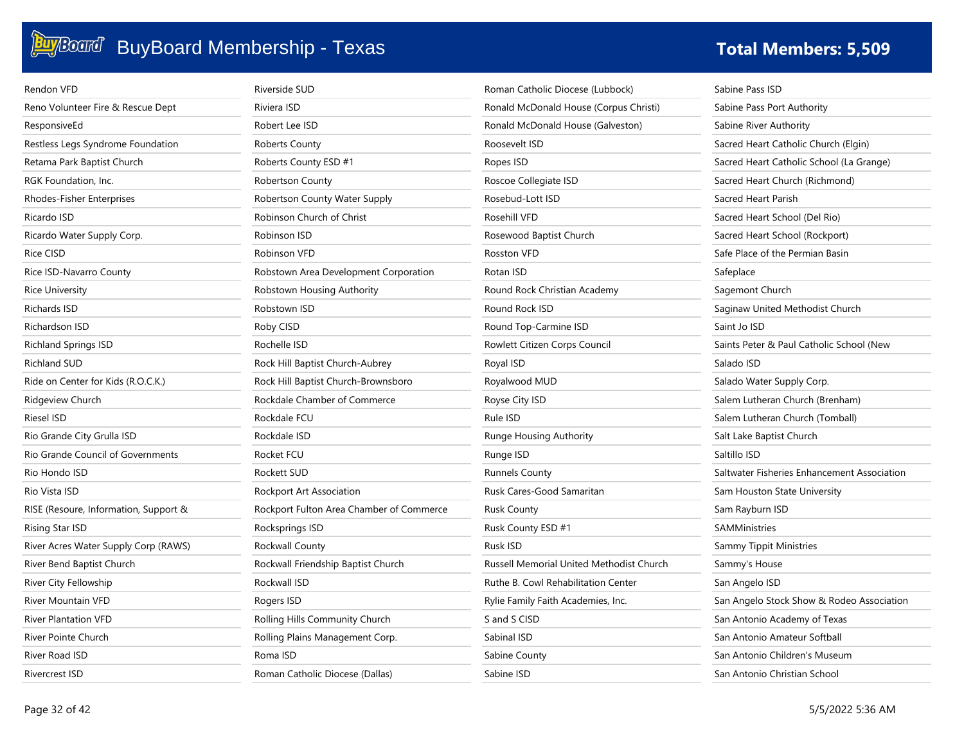# **Buy**Board Membership - Texas **The Constitution of the Constitution of the Total Members: 5,509**

| Rendon VFD                            | Riverside SUD                            | Roman Catholic Diocese (Lubbock)         | Sabine Pass ISD                             |
|---------------------------------------|------------------------------------------|------------------------------------------|---------------------------------------------|
| Reno Volunteer Fire & Rescue Dept     | Riviera ISD                              | Ronald McDonald House (Corpus Christi)   | Sabine Pass Port Authority                  |
| ResponsiveEd                          | Robert Lee ISD                           | Ronald McDonald House (Galveston)        | Sabine River Authority                      |
| Restless Legs Syndrome Foundation     | Roberts County                           | Roosevelt ISD                            | Sacred Heart Catholic Church (Elgin)        |
| Retama Park Baptist Church            | Roberts County ESD #1                    | Ropes ISD                                | Sacred Heart Catholic School (La Grange)    |
| RGK Foundation, Inc.                  | <b>Robertson County</b>                  | Roscoe Collegiate ISD                    | Sacred Heart Church (Richmond)              |
| Rhodes-Fisher Enterprises             | Robertson County Water Supply            | Rosebud-Lott ISD                         | Sacred Heart Parish                         |
| Ricardo ISD                           | Robinson Church of Christ                | Rosehill VFD                             | Sacred Heart School (Del Rio)               |
| Ricardo Water Supply Corp.            | Robinson ISD                             | Rosewood Baptist Church                  | Sacred Heart School (Rockport)              |
| Rice CISD                             | Robinson VFD                             | <b>Rosston VFD</b>                       | Safe Place of the Permian Basin             |
| Rice ISD-Navarro County               | Robstown Area Development Corporation    | Rotan ISD                                | Safeplace                                   |
| <b>Rice University</b>                | Robstown Housing Authority               | Round Rock Christian Academy             | Sagemont Church                             |
| <b>Richards ISD</b>                   | Robstown ISD                             | Round Rock ISD                           | Saginaw United Methodist Church             |
| Richardson ISD                        | Roby CISD                                | Round Top-Carmine ISD                    | Saint Jo ISD                                |
| <b>Richland Springs ISD</b>           | Rochelle ISD                             | Rowlett Citizen Corps Council            | Saints Peter & Paul Catholic School (New    |
| <b>Richland SUD</b>                   | Rock Hill Baptist Church-Aubrey          | Royal ISD                                | Salado ISD                                  |
| Ride on Center for Kids (R.O.C.K.)    | Rock Hill Baptist Church-Brownsboro      | Royalwood MUD                            | Salado Water Supply Corp.                   |
| Ridgeview Church                      | Rockdale Chamber of Commerce             | Royse City ISD                           | Salem Lutheran Church (Brenham)             |
| Riesel ISD                            | Rockdale FCU                             | Rule ISD                                 | Salem Lutheran Church (Tomball)             |
| Rio Grande City Grulla ISD            | Rockdale ISD                             | Runge Housing Authority                  | Salt Lake Baptist Church                    |
| Rio Grande Council of Governments     | Rocket FCU                               | Runge ISD                                | Saltillo ISD                                |
| Rio Hondo ISD                         | Rockett SUD                              | <b>Runnels County</b>                    | Saltwater Fisheries Enhancement Association |
| Rio Vista ISD                         | Rockport Art Association                 | Rusk Cares-Good Samaritan                | Sam Houston State University                |
| RISE (Resoure, Information, Support & | Rockport Fulton Area Chamber of Commerce | <b>Rusk County</b>                       | Sam Rayburn ISD                             |
| Rising Star ISD                       | Rocksprings ISD                          | Rusk County ESD #1                       | <b>SAMMinistries</b>                        |
| River Acres Water Supply Corp (RAWS)  | Rockwall County                          | Rusk ISD                                 | Sammy Tippit Ministries                     |
| River Bend Baptist Church             | Rockwall Friendship Baptist Church       | Russell Memorial United Methodist Church | Sammy's House                               |
| River City Fellowship                 | Rockwall ISD                             | Ruthe B. Cowl Rehabilitation Center      | San Angelo ISD                              |
| River Mountain VFD                    | Rogers ISD                               | Rylie Family Faith Academies, Inc.       | San Angelo Stock Show & Rodeo Association   |
| <b>River Plantation VFD</b>           | Rolling Hills Community Church           | S and S CISD                             | San Antonio Academy of Texas                |
| River Pointe Church                   | Rolling Plains Management Corp.          | Sabinal ISD                              | San Antonio Amateur Softball                |
| River Road ISD                        | Roma ISD                                 | Sabine County                            | San Antonio Children's Museum               |
| Rivercrest ISD                        | Roman Catholic Diocese (Dallas)          | Sabine ISD                               | San Antonio Christian School                |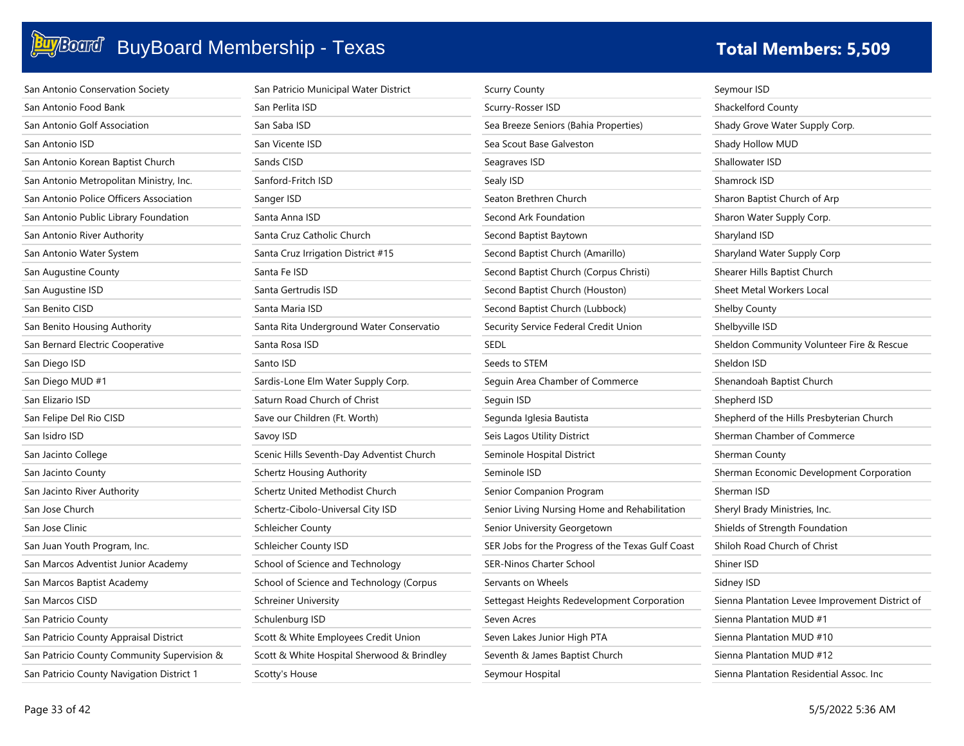| San Antonio Conservation Society            | San Patricio Municipal Water District      | <b>Scurry County</b>                              | Seymour ISD                                     |
|---------------------------------------------|--------------------------------------------|---------------------------------------------------|-------------------------------------------------|
| San Antonio Food Bank                       | San Perlita ISD                            | Scurry-Rosser ISD                                 | Shackelford County                              |
| San Antonio Golf Association                | San Saba ISD                               | Sea Breeze Seniors (Bahia Properties)             | Shady Grove Water Supply Corp.                  |
| San Antonio ISD                             | San Vicente ISD                            | Sea Scout Base Galveston                          | Shady Hollow MUD                                |
| San Antonio Korean Baptist Church           | Sands CISD                                 | Seagraves ISD                                     | Shallowater ISD                                 |
| San Antonio Metropolitan Ministry, Inc.     | Sanford-Fritch ISD                         | Sealy ISD                                         | Shamrock ISD                                    |
| San Antonio Police Officers Association     | Sanger ISD                                 | Seaton Brethren Church                            | Sharon Baptist Church of Arp                    |
| San Antonio Public Library Foundation       | Santa Anna ISD                             | Second Ark Foundation                             | Sharon Water Supply Corp.                       |
| San Antonio River Authority                 | Santa Cruz Catholic Church                 | Second Baptist Baytown                            | Sharyland ISD                                   |
| San Antonio Water System                    | Santa Cruz Irrigation District #15         | Second Baptist Church (Amarillo)                  | Sharyland Water Supply Corp                     |
| San Augustine County                        | Santa Fe ISD                               | Second Baptist Church (Corpus Christi)            | Shearer Hills Baptist Church                    |
| San Augustine ISD                           | Santa Gertrudis ISD                        | Second Baptist Church (Houston)                   | Sheet Metal Workers Local                       |
| San Benito CISD                             | Santa Maria ISD                            | Second Baptist Church (Lubbock)                   | <b>Shelby County</b>                            |
| San Benito Housing Authority                | Santa Rita Underground Water Conservatio   | Security Service Federal Credit Union             | Shelbyville ISD                                 |
| San Bernard Electric Cooperative            | Santa Rosa ISD                             | <b>SEDL</b>                                       | Sheldon Community Volunteer Fire & Rescue       |
| San Diego ISD                               | Santo ISD                                  | Seeds to STEM                                     | Sheldon ISD                                     |
| San Diego MUD #1                            | Sardis-Lone Elm Water Supply Corp.         | Seguin Area Chamber of Commerce                   | Shenandoah Baptist Church                       |
| San Elizario ISD                            | Saturn Road Church of Christ               | Seguin ISD                                        | Shepherd ISD                                    |
| San Felipe Del Rio CISD                     | Save our Children (Ft. Worth)              | Segunda Iglesia Bautista                          | Shepherd of the Hills Presbyterian Church       |
| San Isidro ISD                              | Savoy ISD                                  | Seis Lagos Utility District                       | Sherman Chamber of Commerce                     |
| San Jacinto College                         | Scenic Hills Seventh-Day Adventist Church  | Seminole Hospital District                        | Sherman County                                  |
| San Jacinto County                          | <b>Schertz Housing Authority</b>           | Seminole ISD                                      | Sherman Economic Development Corporation        |
| San Jacinto River Authority                 | Schertz United Methodist Church            | Senior Companion Program                          | Sherman ISD                                     |
| San Jose Church                             | Schertz-Cibolo-Universal City ISD          | Senior Living Nursing Home and Rehabilitation     | Sheryl Brady Ministries, Inc.                   |
| San Jose Clinic                             | <b>Schleicher County</b>                   | Senior University Georgetown                      | Shields of Strength Foundation                  |
| San Juan Youth Program, Inc.                | Schleicher County ISD                      | SER Jobs for the Progress of the Texas Gulf Coast | Shiloh Road Church of Christ                    |
| San Marcos Adventist Junior Academy         | School of Science and Technology           | <b>SER-Ninos Charter School</b>                   | Shiner ISD                                      |
| San Marcos Baptist Academy                  | School of Science and Technology (Corpus   | Servants on Wheels                                | Sidney ISD                                      |
| San Marcos CISD                             | <b>Schreiner University</b>                | Settegast Heights Redevelopment Corporation       | Sienna Plantation Levee Improvement District of |
| San Patricio County                         | Schulenburg ISD                            | Seven Acres                                       | Sienna Plantation MUD #1                        |
| San Patricio County Appraisal District      | Scott & White Employees Credit Union       | Seven Lakes Junior High PTA                       | Sienna Plantation MUD #10                       |
| San Patricio County Community Supervision & | Scott & White Hospital Sherwood & Brindley | Seventh & James Baptist Church                    | Sienna Plantation MUD #12                       |
| San Patricio County Navigation District 1   | Scotty's House                             | Seymour Hospital                                  | Sienna Plantation Residential Assoc. Inc.       |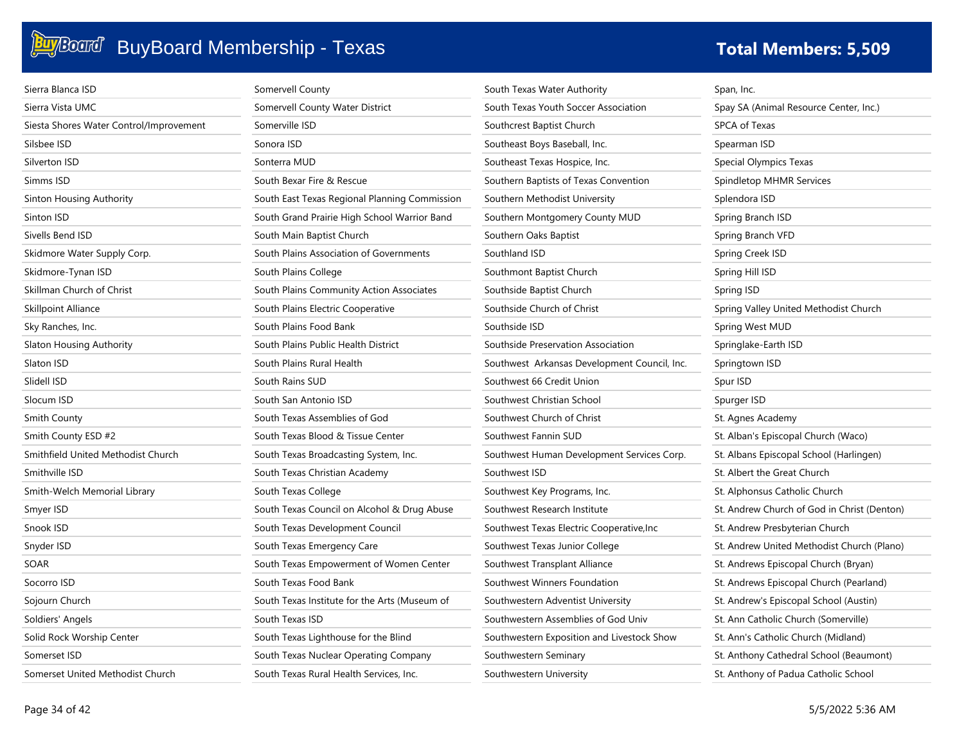| Sierra Blanca ISD                       | Somervell County                              | South Texas Water Authority                  | Span, Inc.                                  |
|-----------------------------------------|-----------------------------------------------|----------------------------------------------|---------------------------------------------|
| Sierra Vista UMC                        | Somervell County Water District               | South Texas Youth Soccer Association         | Spay SA (Animal Resource Center, Inc.)      |
| Siesta Shores Water Control/Improvement | Somerville ISD                                | Southcrest Baptist Church                    | SPCA of Texas                               |
| Silsbee ISD                             | Sonora ISD                                    | Southeast Boys Baseball, Inc.                | Spearman ISD                                |
| Silverton ISD                           | Sonterra MUD                                  | Southeast Texas Hospice, Inc.                | Special Olympics Texas                      |
| Simms ISD                               | South Bexar Fire & Rescue                     | Southern Baptists of Texas Convention        | Spindletop MHMR Services                    |
| Sinton Housing Authority                | South East Texas Regional Planning Commission | Southern Methodist University                | Splendora ISD                               |
| Sinton ISD                              | South Grand Prairie High School Warrior Band  | Southern Montgomery County MUD               | Spring Branch ISD                           |
| Sivells Bend ISD                        | South Main Baptist Church                     | Southern Oaks Baptist                        | Spring Branch VFD                           |
| Skidmore Water Supply Corp.             | South Plains Association of Governments       | Southland ISD                                | Spring Creek ISD                            |
| Skidmore-Tynan ISD                      | South Plains College                          | Southmont Baptist Church                     | Spring Hill ISD                             |
| Skillman Church of Christ               | South Plains Community Action Associates      | Southside Baptist Church                     | Spring ISD                                  |
| Skillpoint Alliance                     | South Plains Electric Cooperative             | Southside Church of Christ                   | Spring Valley United Methodist Church       |
| Sky Ranches, Inc.                       | South Plains Food Bank                        | Southside ISD                                | Spring West MUD                             |
| Slaton Housing Authority                | South Plains Public Health District           | Southside Preservation Association           | Springlake-Earth ISD                        |
| Slaton ISD                              | South Plains Rural Health                     | Southwest Arkansas Development Council, Inc. | Springtown ISD                              |
| Slidell ISD                             | South Rains SUD                               | Southwest 66 Credit Union                    | Spur ISD                                    |
| Slocum ISD                              | South San Antonio ISD                         | Southwest Christian School                   | Spurger ISD                                 |
| Smith County                            | South Texas Assemblies of God                 | Southwest Church of Christ                   | St. Agnes Academy                           |
| Smith County ESD #2                     | South Texas Blood & Tissue Center             | Southwest Fannin SUD                         | St. Alban's Episcopal Church (Waco)         |
| Smithfield United Methodist Church      | South Texas Broadcasting System, Inc.         | Southwest Human Development Services Corp.   | St. Albans Episcopal School (Harlingen)     |
| Smithville ISD                          | South Texas Christian Academy                 | Southwest ISD                                | St. Albert the Great Church                 |
| Smith-Welch Memorial Library            | South Texas College                           | Southwest Key Programs, Inc.                 | St. Alphonsus Catholic Church               |
| Smyer ISD                               | South Texas Council on Alcohol & Drug Abuse   | Southwest Research Institute                 | St. Andrew Church of God in Christ (Denton) |
| Snook ISD                               | South Texas Development Council               | Southwest Texas Electric Cooperative, Inc    | St. Andrew Presbyterian Church              |
| Snyder ISD                              | South Texas Emergency Care                    | Southwest Texas Junior College               | St. Andrew United Methodist Church (Plano)  |
| SOAR                                    | South Texas Empowerment of Women Center       | Southwest Transplant Alliance                | St. Andrews Episcopal Church (Bryan)        |
| Socorro ISD                             | South Texas Food Bank                         | Southwest Winners Foundation                 | St. Andrews Episcopal Church (Pearland)     |
| Sojourn Church                          | South Texas Institute for the Arts (Museum of | Southwestern Adventist University            | St. Andrew's Episcopal School (Austin)      |
| Soldiers' Angels                        | South Texas ISD                               | Southwestern Assemblies of God Univ          | St. Ann Catholic Church (Somerville)        |
| Solid Rock Worship Center               | South Texas Lighthouse for the Blind          | Southwestern Exposition and Livestock Show   | St. Ann's Catholic Church (Midland)         |
| Somerset ISD                            | South Texas Nuclear Operating Company         | Southwestern Seminary                        | St. Anthony Cathedral School (Beaumont)     |
| Somerset United Methodist Church        | South Texas Rural Health Services, Inc.       | Southwestern University                      | St. Anthony of Padua Catholic School        |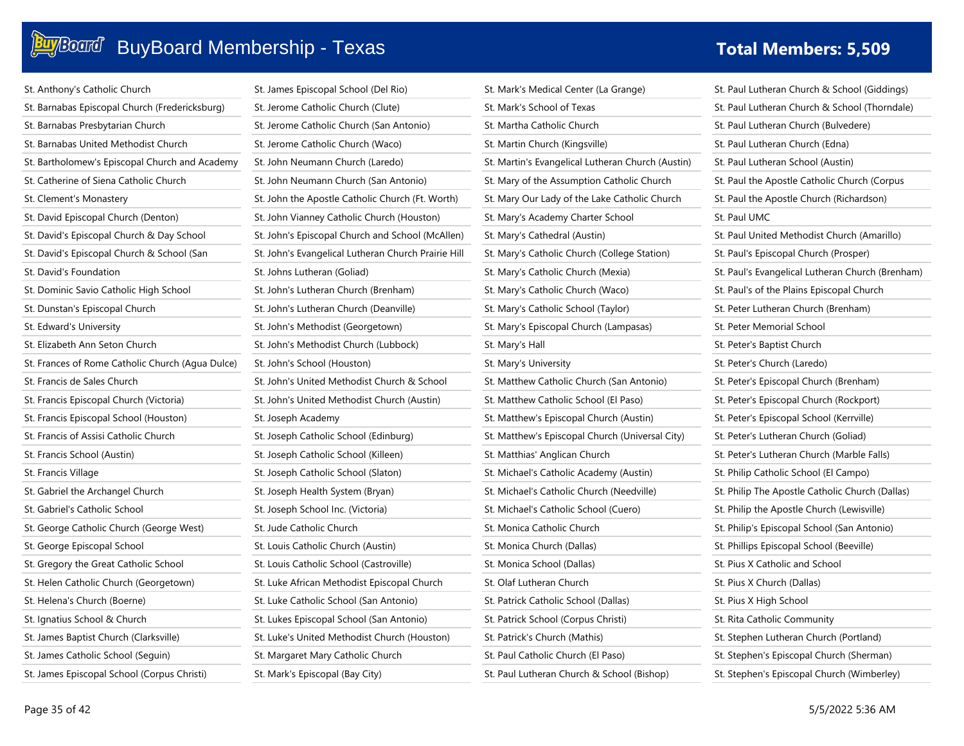### **Buy**Board' BuyBoard Membership - Texas **Total Members: 5,509 Total Members: 5,509**

| St. Anthony's Catholic Church                    | St. James Episcopal School (Del Rio)                | St. Mark's Medical Center (La Grange)             | St. Paul Lutheran Church & School (Giddings)     |
|--------------------------------------------------|-----------------------------------------------------|---------------------------------------------------|--------------------------------------------------|
| St. Barnabas Episcopal Church (Fredericksburg)   | St. Jerome Catholic Church (Clute)                  | St. Mark's School of Texas                        | St. Paul Lutheran Church & School (Thorndale)    |
| St. Barnabas Presbytarian Church                 | St. Jerome Catholic Church (San Antonio)            | St. Martha Catholic Church                        | St. Paul Lutheran Church (Bulvedere)             |
| St. Barnabas United Methodist Church             | St. Jerome Catholic Church (Waco)                   | St. Martin Church (Kingsville)                    | St. Paul Lutheran Church (Edna)                  |
| St. Bartholomew's Episcopal Church and Academy   | St. John Neumann Church (Laredo)                    | St. Martin's Evangelical Lutheran Church (Austin) | St. Paul Lutheran School (Austin)                |
| St. Catherine of Siena Catholic Church           | St. John Neumann Church (San Antonio)               | St. Mary of the Assumption Catholic Church        | St. Paul the Apostle Catholic Church (Corpus)    |
| St. Clement's Monastery                          | St. John the Apostle Catholic Church (Ft. Worth)    | St. Mary Our Lady of the Lake Catholic Church     | St. Paul the Apostle Church (Richardson)         |
| St. David Episcopal Church (Denton)              | St. John Vianney Catholic Church (Houston)          | St. Mary's Academy Charter School                 | St. Paul UMC                                     |
| St. David's Episcopal Church & Day School        | St. John's Episcopal Church and School (McAllen)    | St. Mary's Cathedral (Austin)                     | St. Paul United Methodist Church (Amarillo)      |
| St. David's Episcopal Church & School (San       | St. John's Evangelical Lutheran Church Prairie Hill | St. Mary's Catholic Church (College Station)      | St. Paul's Episcopal Church (Prosper)            |
| St. David's Foundation                           | St. Johns Lutheran (Goliad)                         | St. Mary's Catholic Church (Mexia)                | St. Paul's Evangelical Lutheran Church (Brenham) |
| St. Dominic Savio Catholic High School           | St. John's Lutheran Church (Brenham)                | St. Mary's Catholic Church (Waco)                 | St. Paul's of the Plains Episcopal Church        |
| St. Dunstan's Episcopal Church                   | St. John's Lutheran Church (Deanville)              | St. Mary's Catholic School (Taylor)               | St. Peter Lutheran Church (Brenham)              |
| St. Edward's University                          | St. John's Methodist (Georgetown)                   | St. Mary's Episcopal Church (Lampasas)            | St. Peter Memorial School                        |
| St. Elizabeth Ann Seton Church                   | St. John's Methodist Church (Lubbock)               | St. Mary's Hall                                   | St. Peter's Baptist Church                       |
| St. Frances of Rome Catholic Church (Agua Dulce) | St. John's School (Houston)                         | St. Mary's University                             | St. Peter's Church (Laredo)                      |
| St. Francis de Sales Church                      | St. John's United Methodist Church & School         | St. Matthew Catholic Church (San Antonio)         | St. Peter's Episcopal Church (Brenham)           |
| St. Francis Episcopal Church (Victoria)          | St. John's United Methodist Church (Austin)         | St. Matthew Catholic School (El Paso)             | St. Peter's Episcopal Church (Rockport)          |
| St. Francis Episcopal School (Houston)           | St. Joseph Academy                                  | St. Matthew's Episcopal Church (Austin)           | St. Peter's Episcopal School (Kerrville)         |
| St. Francis of Assisi Catholic Church            | St. Joseph Catholic School (Edinburg)               | St. Matthew's Episcopal Church (Universal City)   | St. Peter's Lutheran Church (Goliad)             |
| St. Francis School (Austin)                      | St. Joseph Catholic School (Killeen)                | St. Matthias' Anglican Church                     | St. Peter's Lutheran Church (Marble Falls)       |
| St. Francis Village                              | St. Joseph Catholic School (Slaton)                 | St. Michael's Catholic Academy (Austin)           | St. Philip Catholic School (El Campo)            |
| St. Gabriel the Archangel Church                 | St. Joseph Health System (Bryan)                    | St. Michael's Catholic Church (Needville)         | St. Philip The Apostle Catholic Church (Dallas)  |
| St. Gabriel's Catholic School                    | St. Joseph School Inc. (Victoria)                   | St. Michael's Catholic School (Cuero)             | St. Philip the Apostle Church (Lewisville)       |
| St. George Catholic Church (George West)         | St. Jude Catholic Church                            | St. Monica Catholic Church                        | St. Philip's Episcopal School (San Antonio)      |
| St. George Episcopal School                      | St. Louis Catholic Church (Austin)                  | St. Monica Church (Dallas)                        | St. Phillips Episcopal School (Beeville)         |
| St. Gregory the Great Catholic School            | St. Louis Catholic School (Castroville)             | St. Monica School (Dallas)                        | St. Pius X Catholic and School                   |
| St. Helen Catholic Church (Georgetown)           | St. Luke African Methodist Episcopal Church         | St. Olaf Lutheran Church                          | St. Pius X Church (Dallas)                       |
| St. Helena's Church (Boerne)                     | St. Luke Catholic School (San Antonio)              | St. Patrick Catholic School (Dallas)              | St. Pius X High School                           |
| St. Ignatius School & Church                     | St. Lukes Episcopal School (San Antonio)            | St. Patrick School (Corpus Christi)               | St. Rita Catholic Community                      |
| St. James Baptist Church (Clarksville)           | St. Luke's United Methodist Church (Houston)        | St. Patrick's Church (Mathis)                     | St. Stephen Lutheran Church (Portland)           |
| St. James Catholic School (Seguin)               | St. Margaret Mary Catholic Church                   | St. Paul Catholic Church (El Paso)                | St. Stephen's Episcopal Church (Sherman)         |
| St. James Episcopal School (Corpus Christi)      | St. Mark's Episcopal (Bay City)                     | St. Paul Lutheran Church & School (Bishop)        | St. Stephen's Episcopal Church (Wimberley)       |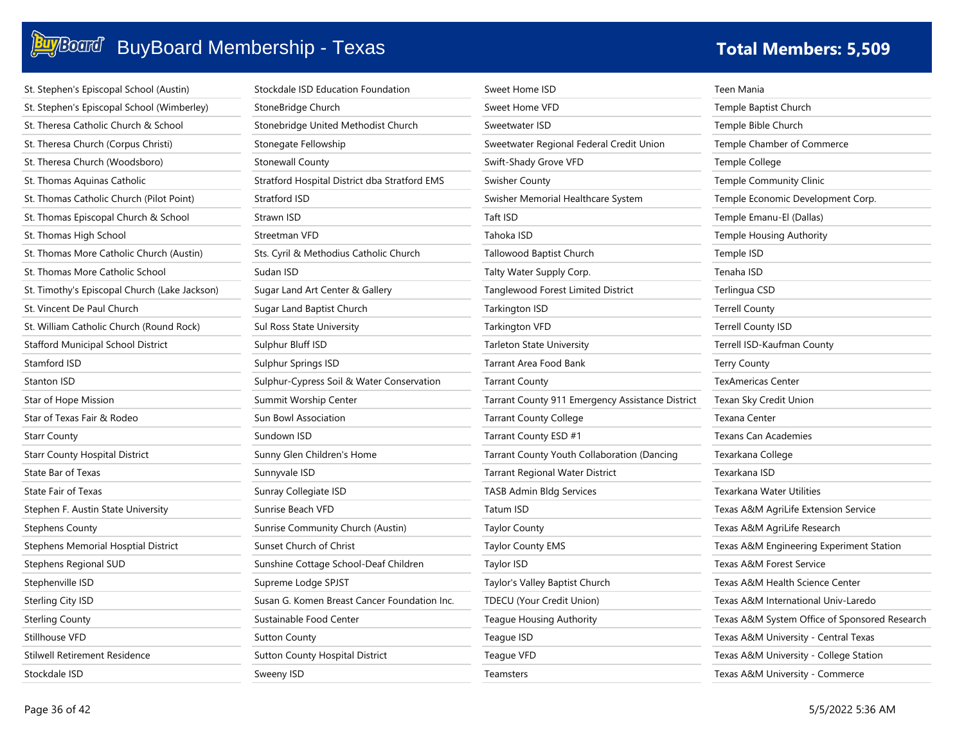### **BuyBoard Membership - Texas The Community of Total Members: 5,509**

| St. Stephen's Episcopal School (Austin)       | Stockdale ISD Education Foundation            |
|-----------------------------------------------|-----------------------------------------------|
| St. Stephen's Episcopal School (Wimberley)    | StoneBridge Church                            |
| St. Theresa Catholic Church & School          | Stonebridge United Methodist Church           |
| St. Theresa Church (Corpus Christi)           | Stonegate Fellowship                          |
| St. Theresa Church (Woodsboro)                | <b>Stonewall County</b>                       |
| St. Thomas Aquinas Catholic                   | Stratford Hospital District dba Stratford EMS |
| St. Thomas Catholic Church (Pilot Point)      | Stratford ISD                                 |
| St. Thomas Episcopal Church & School          | Strawn ISD                                    |
| St. Thomas High School                        | Streetman VFD                                 |
| St. Thomas More Catholic Church (Austin)      | Sts. Cyril & Methodius Catholic Church        |
| St. Thomas More Catholic School               | Sudan ISD                                     |
| St. Timothy's Episcopal Church (Lake Jackson) | Sugar Land Art Center & Gallery               |
| St. Vincent De Paul Church                    | Sugar Land Baptist Church                     |
| St. William Catholic Church (Round Rock)      | Sul Ross State University                     |
| <b>Stafford Municipal School District</b>     | Sulphur Bluff ISD                             |
| Stamford ISD                                  | Sulphur Springs ISD                           |
| <b>Stanton ISD</b>                            | Sulphur-Cypress Soil & Water Conservation     |
| Star of Hope Mission                          | Summit Worship Center                         |
| Star of Texas Fair & Rodeo                    | Sun Bowl Association                          |
| <b>Starr County</b>                           | Sundown ISD                                   |
| <b>Starr County Hospital District</b>         | Sunny Glen Children's Home                    |
| State Bar of Texas                            | Sunnyvale ISD                                 |
| <b>State Fair of Texas</b>                    | Sunray Collegiate ISD                         |
| Stephen F. Austin State University            | Sunrise Beach VFD                             |
| <b>Stephens County</b>                        | Sunrise Community Church (Austin)             |
| Stephens Memorial Hosptial District           | Sunset Church of Christ                       |
| Stephens Regional SUD                         | Sunshine Cottage School-Deaf Children         |
| Stephenville ISD                              | Supreme Lodge SPJST                           |
| Sterling City ISD                             | Susan G. Komen Breast Cancer Foundation Inc   |
| <b>Sterling County</b>                        | Sustainable Food Center                       |
| Stillhouse VFD                                | <b>Sutton County</b>                          |
| <b>Stilwell Retirement Residence</b>          | Sutton County Hospital District               |
| Stockdale ISD                                 | Sweeny ISD                                    |

|                      | Sweet Home ISD                                   | T |
|----------------------|--------------------------------------------------|---|
|                      | Sweet Home VFD                                   | Τ |
|                      | Sweetwater ISD                                   | Τ |
|                      | Sweetwater Regional Federal Credit Union         | T |
|                      | Swift-Shady Grove VFD                            | Τ |
|                      | <b>Swisher County</b>                            | Τ |
|                      | Swisher Memorial Healthcare System               | T |
|                      | Taft ISD                                         | Τ |
|                      | Tahoka ISD                                       | T |
|                      | Tallowood Baptist Church                         | T |
|                      | Talty Water Supply Corp.                         | Τ |
|                      | Tanglewood Forest Limited District               | Τ |
|                      | Tarkington ISD                                   | T |
|                      | Tarkington VFD                                   | Τ |
|                      | Tarleton State University                        | T |
|                      | Tarrant Area Food Bank                           | T |
|                      | <b>Tarrant County</b>                            | Τ |
|                      | Tarrant County 911 Emergency Assistance District | T |
|                      | <b>Tarrant County College</b>                    | T |
|                      | Tarrant County ESD #1                            | T |
|                      | Tarrant County Youth Collaboration (Dancing      | T |
|                      | <b>Tarrant Regional Water District</b>           | Τ |
|                      | <b>TASB Admin Bldg Services</b>                  | T |
|                      | Tatum ISD                                        | T |
|                      | <b>Taylor County</b>                             | T |
|                      | <b>Taylor County EMS</b>                         | T |
|                      | Taylor ISD                                       | T |
|                      | Taylor's Valley Baptist Church                   | T |
| $\ddot{\phantom{0}}$ | <b>TDECU (Your Credit Union)</b>                 | T |
|                      | Teague Housing Authority                         | T |
|                      | Teague ISD                                       | T |
|                      | Teague VFD                                       | T |

**Teamsters** 

Teen Mania Temple Baptist Church Temple Bible Church Temple Chamber of Commerce Temple College Temple Community Clinic Temple Economic Development Corp. Temple Emanu-El (Dallas) Temple Housing Authority Temple ISD Tenaha ISD Terlingua CSD Terrell County Terrell County ISD Terrell ISD-Kaufman County Terry County TexAmericas Center Texan Sky Credit Union Texana Center Texans Can Academies Texarkana College Texarkana ISD Texarkana Water Utilities Texas A&M AgriLife Extension Service Texas A&M AgriLife Research Texas A&M Engineering Experiment Station Texas A&M Forest Service Texas A&M Health Science Center Texas A&M International Univ-Laredo Texas A&M System Office of Sponsored Research Texas A&M University - Central Texas Texas A&M University - College Station Texas A&M University - Commerce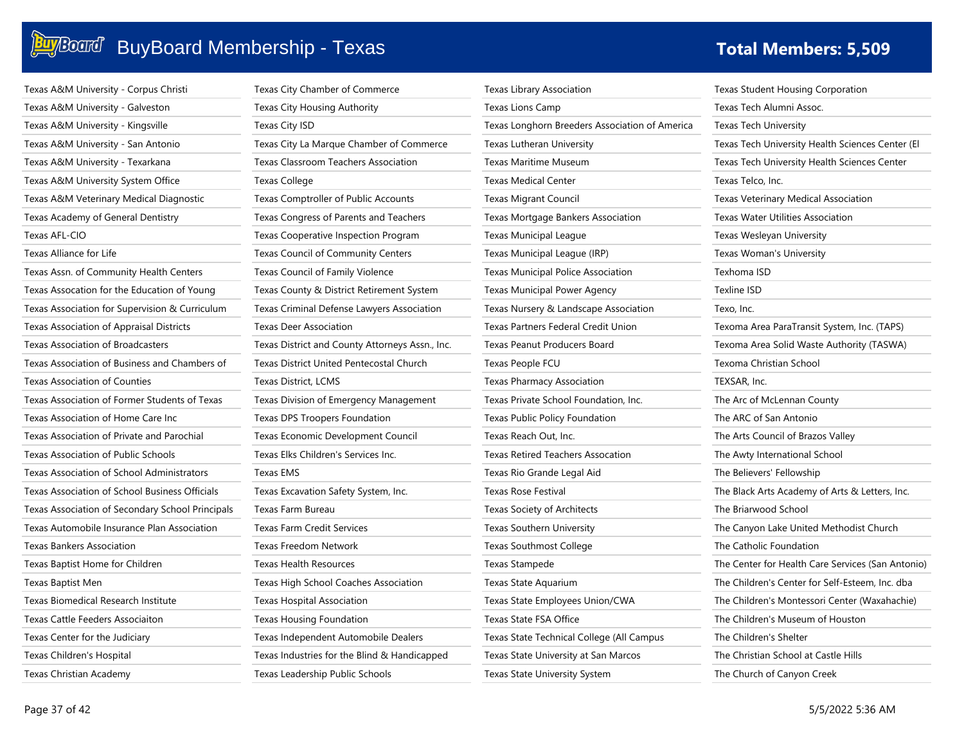| Texas A&M University - Corpus Christi            | Texas City Chamber of Commerce                  | Texas Library Association                      | Texas Student Housing Corporation                 |
|--------------------------------------------------|-------------------------------------------------|------------------------------------------------|---------------------------------------------------|
| Texas A&M University - Galveston                 | Texas City Housing Authority                    | Texas Lions Camp                               | Texas Tech Alumni Assoc.                          |
| Texas A&M University - Kingsville                | Texas City ISD                                  | Texas Longhorn Breeders Association of America | <b>Texas Tech University</b>                      |
| Texas A&M University - San Antonio               | Texas City La Marque Chamber of Commerce        | Texas Lutheran University                      | Texas Tech University Health Sciences Center (El  |
| Texas A&M University - Texarkana                 | <b>Texas Classroom Teachers Association</b>     | Texas Maritime Museum                          | Texas Tech University Health Sciences Center      |
| Texas A&M University System Office               | <b>Texas College</b>                            | <b>Texas Medical Center</b>                    | Texas Telco, Inc.                                 |
| Texas A&M Veterinary Medical Diagnostic          | Texas Comptroller of Public Accounts            | <b>Texas Migrant Council</b>                   | Texas Veterinary Medical Association              |
| Texas Academy of General Dentistry               | Texas Congress of Parents and Teachers          | Texas Mortgage Bankers Association             | Texas Water Utilities Association                 |
| Texas AFL-CIO                                    | Texas Cooperative Inspection Program            | <b>Texas Municipal League</b>                  | Texas Wesleyan University                         |
| Texas Alliance for Life                          | Texas Council of Community Centers              | Texas Municipal League (IRP)                   | Texas Woman's University                          |
| Texas Assn. of Community Health Centers          | Texas Council of Family Violence                | <b>Texas Municipal Police Association</b>      | Texhoma ISD                                       |
| Texas Assocation for the Education of Young      | Texas County & District Retirement System       | Texas Municipal Power Agency                   | Texline ISD                                       |
| Texas Association for Supervision & Curriculum   | Texas Criminal Defense Lawyers Association      | Texas Nursery & Landscape Association          | Texo, Inc.                                        |
| Texas Association of Appraisal Districts         | Texas Deer Association                          | Texas Partners Federal Credit Union            | Texoma Area ParaTransit System, Inc. (TAPS)       |
| Texas Association of Broadcasters                | Texas District and County Attorneys Assn., Inc. | Texas Peanut Producers Board                   | Texoma Area Solid Waste Authority (TASWA)         |
| Texas Association of Business and Chambers of    | <b>Texas District United Pentecostal Church</b> | Texas People FCU                               | Texoma Christian School                           |
| Texas Association of Counties                    | Texas District, LCMS                            | Texas Pharmacy Association                     | TEXSAR, Inc.                                      |
| Texas Association of Former Students of Texas    | Texas Division of Emergency Management          | Texas Private School Foundation, Inc.          | The Arc of McLennan County                        |
| Texas Association of Home Care Inc               | Texas DPS Troopers Foundation                   | Texas Public Policy Foundation                 | The ARC of San Antonio                            |
| Texas Association of Private and Parochial       | Texas Economic Development Council              | Texas Reach Out, Inc.                          | The Arts Council of Brazos Valley                 |
| <b>Texas Association of Public Schools</b>       | Texas Elks Children's Services Inc.             | <b>Texas Retired Teachers Assocation</b>       | The Awty International School                     |
| Texas Association of School Administrators       | <b>Texas EMS</b>                                | Texas Rio Grande Legal Aid                     | The Believers' Fellowship                         |
| Texas Association of School Business Officials   | Texas Excavation Safety System, Inc.            | Texas Rose Festival                            | The Black Arts Academy of Arts & Letters, Inc.    |
| Texas Association of Secondary School Principals | Texas Farm Bureau                               | Texas Society of Architects                    | The Briarwood School                              |
| Texas Automobile Insurance Plan Association      | <b>Texas Farm Credit Services</b>               | Texas Southern University                      | The Canyon Lake United Methodist Church           |
| <b>Texas Bankers Association</b>                 | <b>Texas Freedom Network</b>                    | <b>Texas Southmost College</b>                 | The Catholic Foundation                           |
| Texas Baptist Home for Children                  | <b>Texas Health Resources</b>                   | Texas Stampede                                 | The Center for Health Care Services (San Antonio) |
| Texas Baptist Men                                | Texas High School Coaches Association           | Texas State Aquarium                           | The Children's Center for Self-Esteem, Inc. dba   |
| Texas Biomedical Research Institute              | Texas Hospital Association                      | Texas State Employees Union/CWA                | The Children's Montessori Center (Waxahachie)     |
| Texas Cattle Feeders Associaiton                 | Texas Housing Foundation                        | Texas State FSA Office                         | The Children's Museum of Houston                  |
| Texas Center for the Judiciary                   | Texas Independent Automobile Dealers            | Texas State Technical College (All Campus      | The Children's Shelter                            |
| Texas Children's Hospital                        | Texas Industries for the Blind & Handicapped    | Texas State University at San Marcos           | The Christian School at Castle Hills              |
| Texas Christian Academy                          | Texas Leadership Public Schools                 | Texas State University System                  | The Church of Canyon Creek                        |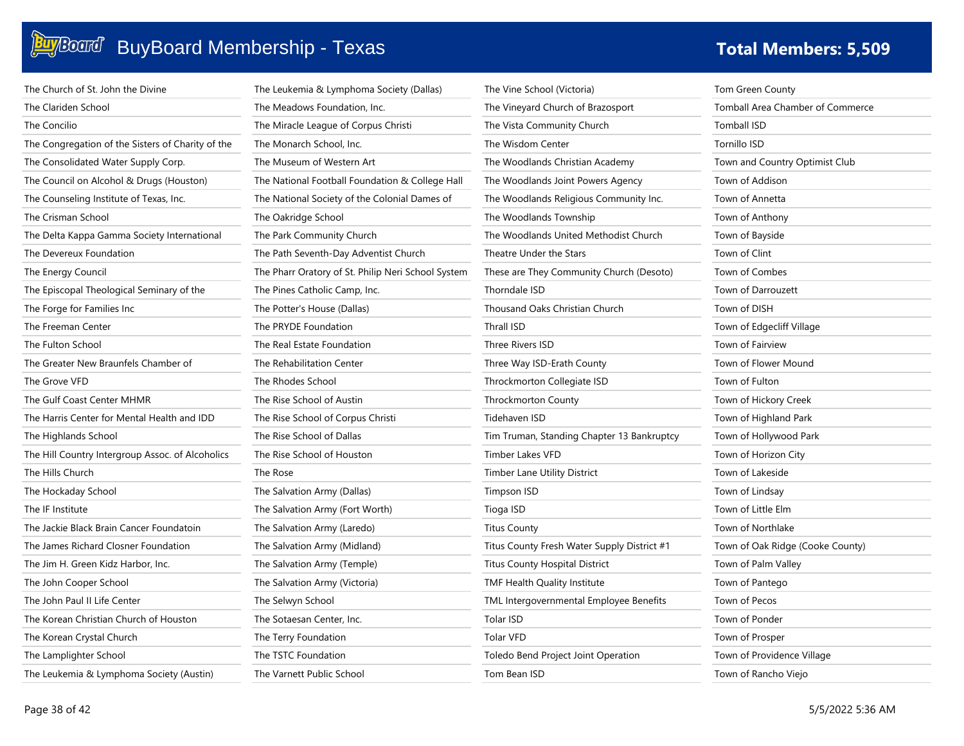### **BuyBoard Construction Construction Construction Construction Construction Construction Construction Constructio**

| The Church of St. John the Divine                 | The Leukemia & Lymphoma Society (Dallas)           | Ţ            |
|---------------------------------------------------|----------------------------------------------------|--------------|
| The Clariden School                               | The Meadows Foundation, Inc.                       | T            |
| The Concilio                                      | The Miracle League of Corpus Christi               | Ţ            |
| The Congregation of the Sisters of Charity of the | The Monarch School, Inc.                           | Ţ            |
| The Consolidated Water Supply Corp.               | The Museum of Western Art                          | Ţ            |
| The Council on Alcohol & Drugs (Houston)          | The National Football Foundation & College Hall    | Ţ            |
| The Counseling Institute of Texas, Inc.           | The National Society of the Colonial Dames of      | Ţ            |
| The Crisman School                                | The Oakridge School                                | $\mathsf{T}$ |
| The Delta Kappa Gamma Society International       | The Park Community Church                          | Ţ            |
| The Devereux Foundation                           | The Path Seventh-Day Adventist Church              | Ţ            |
| The Energy Council                                | The Pharr Oratory of St. Philip Neri School System | Ţ            |
| The Episcopal Theological Seminary of the         | The Pines Catholic Camp, Inc.                      | $\mathsf{T}$ |
| The Forge for Families Inc                        | The Potter's House (Dallas)                        | Ţ            |
| The Freeman Center                                | The PRYDE Foundation                               | Ţ            |
| The Fulton School                                 | The Real Estate Foundation                         | T            |
| The Greater New Braunfels Chamber of              | The Rehabilitation Center                          | Ţ            |
| The Grove VFD                                     | The Rhodes School                                  | Ţ            |
| The Gulf Coast Center MHMR                        | The Rise School of Austin                          | Ţ            |
| The Harris Center for Mental Health and IDD       | The Rise School of Corpus Christi                  | Ţ            |
| The Highlands School                              | The Rise School of Dallas                          | T            |
| The Hill Country Intergroup Assoc. of Alcoholics  | The Rise School of Houston                         | Ţ            |
| The Hills Church                                  | The Rose                                           | T            |
| The Hockaday School                               | The Salvation Army (Dallas)                        | Τ            |
| The IF Institute                                  | The Salvation Army (Fort Worth)                    | T            |
| The Jackie Black Brain Cancer Foundatoin          | The Salvation Army (Laredo)                        | T            |
| The James Richard Closner Foundation              | The Salvation Army (Midland)                       | Ţ            |
| The Jim H. Green Kidz Harbor, Inc.                | The Salvation Army (Temple)                        | Τ            |
| The John Cooper School                            | The Salvation Army (Victoria)                      | Ţ            |
| The John Paul II Life Center                      | The Selwyn School                                  | T            |
| The Korean Christian Church of Houston            | The Sotaesan Center, Inc.                          | T            |
| The Korean Crystal Church                         | The Terry Foundation                               | Ţ            |
| The Lamplighter School                            | The TSTC Foundation                                | Ţ            |
| The Leukemia & Lymphoma Society (Austin)          | The Varnett Public School                          | T            |

| The Vine School (Victoria)                  |  |
|---------------------------------------------|--|
| The Vineyard Church of Brazosport           |  |
| The Vista Community Church                  |  |
| The Wisdom Center                           |  |
| The Woodlands Christian Academy             |  |
| The Woodlands Joint Powers Agency           |  |
| The Woodlands Religious Community Inc.      |  |
| The Woodlands Township                      |  |
| The Woodlands United Methodist Church       |  |
| Theatre Under the Stars                     |  |
| These are They Community Church (Desoto)    |  |
| Thorndale ISD                               |  |
| Thousand Oaks Christian Church              |  |
| Thrall ISD                                  |  |
| Three Rivers ISD                            |  |
| Three Way ISD-Erath County                  |  |
| Throckmorton Collegiate ISD                 |  |
| Throckmorton County                         |  |
| Tidehaven ISD                               |  |
| Tim Truman, Standing Chapter 13 Bankruptcy  |  |
| Timber Lakes VFD                            |  |
| Timber Lane Utility District                |  |
| Timpson ISD                                 |  |
| Tioga ISD                                   |  |
| <b>Titus County</b>                         |  |
| Titus County Fresh Water Supply District #1 |  |
| <b>Titus County Hospital District</b>       |  |
| TMF Health Quality Institute                |  |
| TML Intergovernmental Employee Benefits     |  |
| Tolar ISD                                   |  |
| <b>Tolar VFD</b>                            |  |
| Toledo Bend Project Joint Operation         |  |
| Tom Bean ISD                                |  |

m Green County mball Area Chamber of Commerce mball ISD Tornillo ISD wn and Country Optimist Club wn of Addison wn of Annetta wn of Anthony wn of Bayside wn of Clint wn of Combes wn of Darrouzett wn of DISH wn of Edgecliff Village wn of Fairview wn of Flower Mound wn of Fulton wn of Hickory Creek wn of Highland Park wn of Hollywood Park wn of Horizon City wn of Lakeside wn of Lindsay wn of Little Elm wn of Northlake wn of Oak Ridge (Cooke County) wn of Palm Valley wn of Pantego wn of Pecos wn of Ponder wn of Prosper wn of Providence Village Town of Rancho Viejo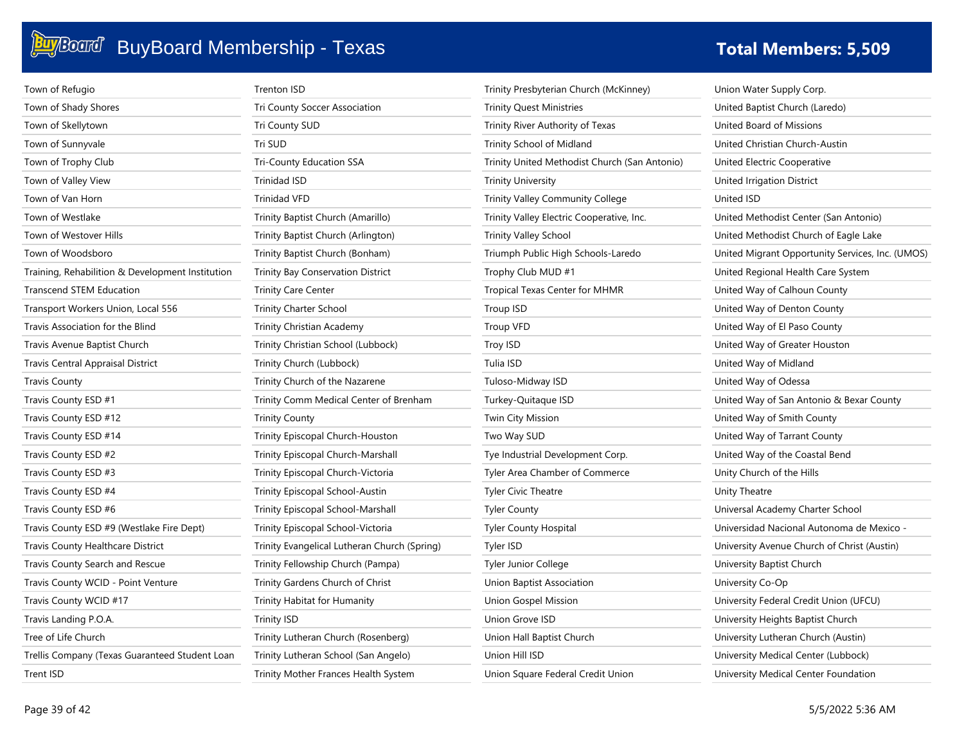| Town of Refugio                                  | <b>Trenton ISD</b>                           | Trinity Presbyterian Church (McKinney)        | Union Water Supply Corp.                         |
|--------------------------------------------------|----------------------------------------------|-----------------------------------------------|--------------------------------------------------|
| Town of Shady Shores                             | Tri County Soccer Association                | <b>Trinity Quest Ministries</b>               | United Baptist Church (Laredo)                   |
| Town of Skellytown                               | Tri County SUD                               | Trinity River Authority of Texas              | United Board of Missions                         |
| Town of Sunnyvale                                | Tri SUD                                      | Trinity School of Midland                     | United Christian Church-Austin                   |
| Town of Trophy Club                              | Tri-County Education SSA                     | Trinity United Methodist Church (San Antonio) | United Electric Cooperative                      |
| Town of Valley View                              | <b>Trinidad ISD</b>                          | <b>Trinity University</b>                     | United Irrigation District                       |
| Town of Van Horn                                 | <b>Trinidad VFD</b>                          | Trinity Valley Community College              | United ISD                                       |
| Town of Westlake                                 | Trinity Baptist Church (Amarillo)            | Trinity Valley Electric Cooperative, Inc.     | United Methodist Center (San Antonio)            |
| Town of Westover Hills                           | Trinity Baptist Church (Arlington)           | <b>Trinity Valley School</b>                  | United Methodist Church of Eagle Lake            |
| Town of Woodsboro                                | Trinity Baptist Church (Bonham)              | Triumph Public High Schools-Laredo            | United Migrant Opportunity Services, Inc. (UMOS) |
| Training, Rehabilition & Development Institution | <b>Trinity Bay Conservation District</b>     | Trophy Club MUD #1                            | United Regional Health Care System               |
| Transcend STEM Education                         | <b>Trinity Care Center</b>                   | <b>Tropical Texas Center for MHMR</b>         | United Way of Calhoun County                     |
| Transport Workers Union, Local 556               | <b>Trinity Charter School</b>                | Troup ISD                                     | United Way of Denton County                      |
| Travis Association for the Blind                 | Trinity Christian Academy                    | <b>Troup VFD</b>                              | United Way of El Paso County                     |
| Travis Avenue Baptist Church                     | Trinity Christian School (Lubbock)           | Troy ISD                                      | United Way of Greater Houston                    |
| <b>Travis Central Appraisal District</b>         | Trinity Church (Lubbock)                     | Tulia ISD                                     | United Way of Midland                            |
| <b>Travis County</b>                             | Trinity Church of the Nazarene               | Tuloso-Midway ISD                             | United Way of Odessa                             |
| Travis County ESD #1                             | Trinity Comm Medical Center of Brenham       | Turkey-Quitaque ISD                           | United Way of San Antonio & Bexar County         |
| Travis County ESD #12                            | <b>Trinity County</b>                        | Twin City Mission                             | United Way of Smith County                       |
| Travis County ESD #14                            | Trinity Episcopal Church-Houston             | Two Way SUD                                   | United Way of Tarrant County                     |
| Travis County ESD #2                             | Trinity Episcopal Church-Marshall            | Tye Industrial Development Corp.              | United Way of the Coastal Bend                   |
| Travis County ESD #3                             | Trinity Episcopal Church-Victoria            | Tyler Area Chamber of Commerce                | Unity Church of the Hills                        |
| Travis County ESD #4                             | Trinity Episcopal School-Austin              | <b>Tyler Civic Theatre</b>                    | Unity Theatre                                    |
| Travis County ESD #6                             | Trinity Episcopal School-Marshall            | <b>Tyler County</b>                           | Universal Academy Charter School                 |
| Travis County ESD #9 (Westlake Fire Dept)        | Trinity Episcopal School-Victoria            | <b>Tyler County Hospital</b>                  | Universidad Nacional Autonoma de Mexico -        |
| Travis County Healthcare District                | Trinity Evangelical Lutheran Church (Spring) | Tyler ISD                                     | University Avenue Church of Christ (Austin)      |
| Travis County Search and Rescue                  | Trinity Fellowship Church (Pampa)            | Tyler Junior College                          | University Baptist Church                        |
| Travis County WCID - Point Venture               | Trinity Gardens Church of Christ             | Union Baptist Association                     | University Co-Op                                 |
| Travis County WCID #17                           | Trinity Habitat for Humanity                 | <b>Union Gospel Mission</b>                   | University Federal Credit Union (UFCU)           |
| Travis Landing P.O.A.                            | <b>Trinity ISD</b>                           | Union Grove ISD                               | University Heights Baptist Church                |
| Tree of Life Church                              | Trinity Lutheran Church (Rosenberg)          | Union Hall Baptist Church                     | University Lutheran Church (Austin)              |
| Trellis Company (Texas Guaranteed Student Loan   | Trinity Lutheran School (San Angelo)         | Union Hill ISD                                | University Medical Center (Lubbock)              |
| Trent ISD                                        | Trinity Mother Frances Health System         | Union Square Federal Credit Union             | University Medical Center Foundation             |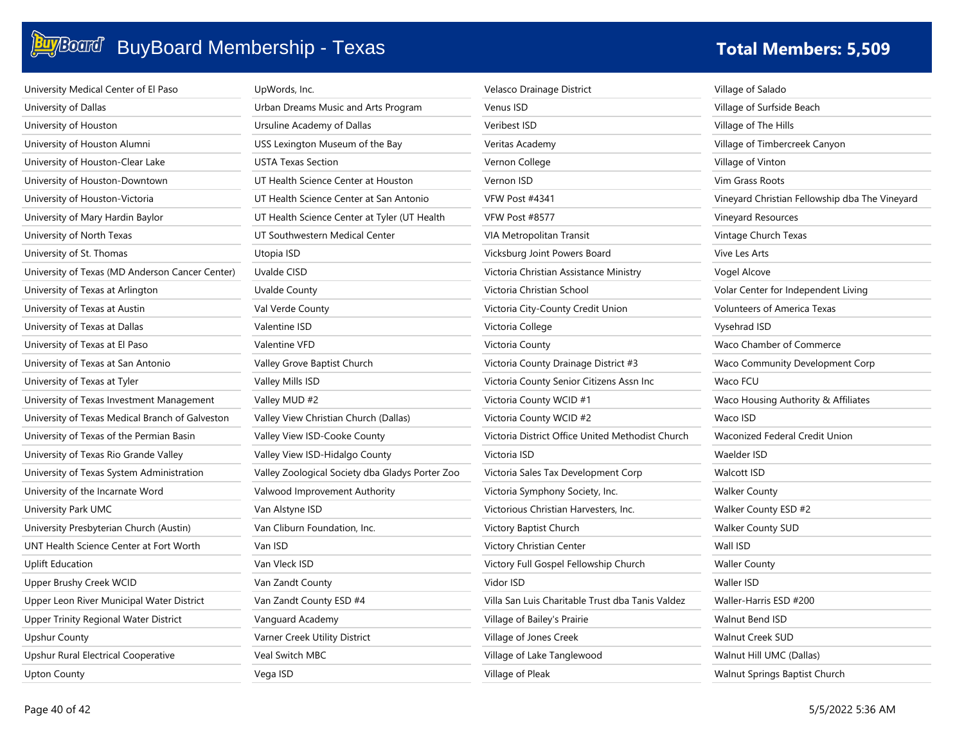| University Medical Center of El Paso            | UpWords, Inc.                                   | Velasco Drainage District                        | Village of Salado                              |
|-------------------------------------------------|-------------------------------------------------|--------------------------------------------------|------------------------------------------------|
| University of Dallas                            | Urban Dreams Music and Arts Program             | Venus ISD                                        | Village of Surfside Beach                      |
| University of Houston                           | Ursuline Academy of Dallas                      | Veribest ISD                                     | Village of The Hills                           |
| University of Houston Alumni                    | USS Lexington Museum of the Bay                 | Veritas Academy                                  | Village of Timbercreek Canyon                  |
| University of Houston-Clear Lake                | <b>USTA Texas Section</b>                       | Vernon College                                   | Village of Vinton                              |
| University of Houston-Downtown                  | UT Health Science Center at Houston             | Vernon ISD                                       | Vim Grass Roots                                |
| University of Houston-Victoria                  | UT Health Science Center at San Antonio         | VFW Post #4341                                   | Vineyard Christian Fellowship dba The Vineyard |
| University of Mary Hardin Baylor                | UT Health Science Center at Tyler (UT Health    | VFW Post #8577                                   | Vineyard Resources                             |
| University of North Texas                       | UT Southwestern Medical Center                  | VIA Metropolitan Transit                         | Vintage Church Texas                           |
| University of St. Thomas                        | Utopia ISD                                      | Vicksburg Joint Powers Board                     | Vive Les Arts                                  |
| University of Texas (MD Anderson Cancer Center) | Uvalde CISD                                     | Victoria Christian Assistance Ministry           | Vogel Alcove                                   |
| University of Texas at Arlington                | <b>Uvalde County</b>                            | Victoria Christian School                        | Volar Center for Independent Living            |
| University of Texas at Austin                   | Val Verde County                                | Victoria City-County Credit Union                | <b>Volunteers of America Texas</b>             |
| University of Texas at Dallas                   | Valentine ISD                                   | Victoria College                                 | Vysehrad ISD                                   |
| University of Texas at El Paso                  | Valentine VFD                                   | Victoria County                                  | Waco Chamber of Commerce                       |
| University of Texas at San Antonio              | Valley Grove Baptist Church                     | Victoria County Drainage District #3             | Waco Community Development Corp                |
| University of Texas at Tyler                    | Valley Mills ISD                                | Victoria County Senior Citizens Assn Inc         | Waco FCU                                       |
| University of Texas Investment Management       | Valley MUD #2                                   | Victoria County WCID #1                          | Waco Housing Authority & Affiliates            |
| University of Texas Medical Branch of Galveston | Valley View Christian Church (Dallas)           | Victoria County WCID #2                          | Waco ISD                                       |
| University of Texas of the Permian Basin        | Valley View ISD-Cooke County                    | Victoria District Office United Methodist Church | Waconized Federal Credit Union                 |
| University of Texas Rio Grande Valley           | Valley View ISD-Hidalgo County                  | Victoria ISD                                     | Waelder ISD                                    |
| University of Texas System Administration       | Valley Zoological Society dba Gladys Porter Zoo | Victoria Sales Tax Development Corp              | <b>Walcott ISD</b>                             |
| University of the Incarnate Word                | Valwood Improvement Authority                   | Victoria Symphony Society, Inc.                  | <b>Walker County</b>                           |
| University Park UMC                             | Van Alstyne ISD                                 | Victorious Christian Harvesters, Inc.            | Walker County ESD #2                           |
| University Presbyterian Church (Austin)         | Van Cliburn Foundation, Inc.                    | Victory Baptist Church                           | <b>Walker County SUD</b>                       |
| UNT Health Science Center at Fort Worth         | Van ISD                                         | Victory Christian Center                         | Wall ISD                                       |
| <b>Uplift Education</b>                         | Van Vleck ISD                                   | Victory Full Gospel Fellowship Church            | <b>Waller County</b>                           |
| Upper Brushy Creek WCID                         | Van Zandt County                                | Vidor ISD                                        | Waller ISD                                     |
| Upper Leon River Municipal Water District       | Van Zandt County ESD #4                         | Villa San Luis Charitable Trust dba Tanis Valdez | Waller-Harris ESD #200                         |
| Upper Trinity Regional Water District           | Vanguard Academy                                | Village of Bailey's Prairie                      | Walnut Bend ISD                                |
| <b>Upshur County</b>                            | Varner Creek Utility District                   | Village of Jones Creek                           | <b>Walnut Creek SUD</b>                        |
| Upshur Rural Electrical Cooperative             | Veal Switch MBC                                 | Village of Lake Tanglewood                       | Walnut Hill UMC (Dallas)                       |
| Upton County                                    | Vega ISD                                        | Village of Pleak                                 | Walnut Springs Baptist Church                  |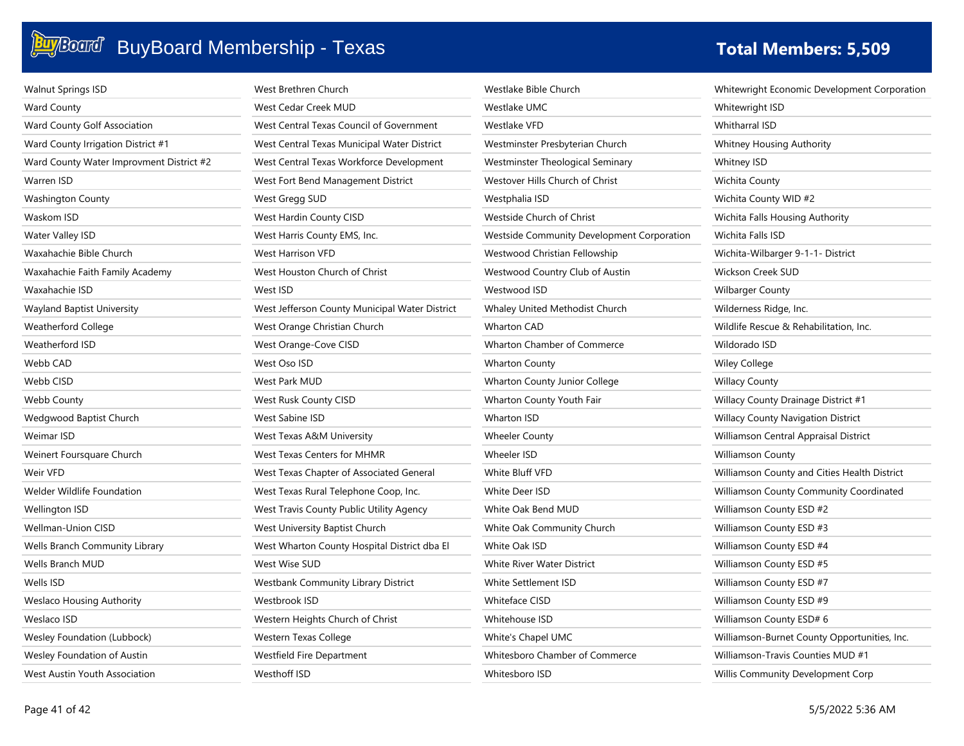| <b>Walnut Springs ISD</b>                | West Brethren Church                           | Westlake Bible Church                      | Whitewright Economic Development Corporation |
|------------------------------------------|------------------------------------------------|--------------------------------------------|----------------------------------------------|
| Ward County                              | West Cedar Creek MUD                           | Westlake UMC                               | Whitewright ISD                              |
| Ward County Golf Association             | West Central Texas Council of Government       | Westlake VFD                               | <b>Whitharral ISD</b>                        |
| Ward County Irrigation District #1       | West Central Texas Municipal Water District    | Westminster Presbyterian Church            | Whitney Housing Authority                    |
| Ward County Water Improvment District #2 | West Central Texas Workforce Development       | Westminster Theological Seminary           | Whitney ISD                                  |
| Warren ISD                               | West Fort Bend Management District             | Westover Hills Church of Christ            | Wichita County                               |
| <b>Washington County</b>                 | West Gregg SUD                                 | Westphalia ISD                             | Wichita County WID #2                        |
| Waskom ISD                               | West Hardin County CISD                        | Westside Church of Christ                  | Wichita Falls Housing Authority              |
| Water Valley ISD                         | West Harris County EMS, Inc.                   | Westside Community Development Corporation | Wichita Falls ISD                            |
| Waxahachie Bible Church                  | West Harrison VFD                              | Westwood Christian Fellowship              | Wichita-Wilbarger 9-1-1- District            |
| Waxahachie Faith Family Academy          | West Houston Church of Christ                  | Westwood Country Club of Austin            | Wickson Creek SUD                            |
| Waxahachie ISD                           | West ISD                                       | Westwood ISD                               | <b>Wilbarger County</b>                      |
| Wayland Baptist University               | West Jefferson County Municipal Water District | Whaley United Methodist Church             | Wilderness Ridge, Inc.                       |
| Weatherford College                      | West Orange Christian Church                   | <b>Wharton CAD</b>                         | Wildlife Rescue & Rehabilitation, Inc.       |
| Weatherford ISD                          | West Orange-Cove CISD                          | Wharton Chamber of Commerce                | Wildorado ISD                                |
| Webb CAD                                 | West Oso ISD                                   | <b>Wharton County</b>                      | Wiley College                                |
| Webb CISD                                | West Park MUD                                  | Wharton County Junior College              | <b>Willacy County</b>                        |
| Webb County                              | West Rusk County CISD                          | Wharton County Youth Fair                  | Willacy County Drainage District #1          |
| Wedgwood Baptist Church                  | West Sabine ISD                                | Wharton ISD                                | Willacy County Navigation District           |
| Weimar ISD                               | West Texas A&M University                      | <b>Wheeler County</b>                      | Williamson Central Appraisal District        |
| Weinert Foursquare Church                | <b>West Texas Centers for MHMR</b>             | Wheeler ISD                                | <b>Williamson County</b>                     |
| Weir VFD                                 | West Texas Chapter of Associated General       | White Bluff VFD                            | Williamson County and Cities Health District |
| Welder Wildlife Foundation               | West Texas Rural Telephone Coop, Inc.          | White Deer ISD                             | Williamson County Community Coordinated      |
| Wellington ISD                           | West Travis County Public Utility Agency       | White Oak Bend MUD                         | Williamson County ESD #2                     |
| Wellman-Union CISD                       | West University Baptist Church                 | White Oak Community Church                 | Williamson County ESD #3                     |
| Wells Branch Community Library           | West Wharton County Hospital District dba El   | White Oak ISD                              | Williamson County ESD #4                     |
| Wells Branch MUD                         | West Wise SUD                                  | White River Water District                 | Williamson County ESD #5                     |
| Wells ISD                                | Westbank Community Library District            | White Settlement ISD                       | Williamson County ESD #7                     |
| Weslaco Housing Authority                | Westbrook ISD                                  | <b>Whiteface CISD</b>                      | Williamson County ESD #9                     |
| Weslaco ISD                              | Western Heights Church of Christ               | Whitehouse ISD                             | Williamson County ESD# 6                     |
| Wesley Foundation (Lubbock)              | Western Texas College                          | White's Chapel UMC                         | Williamson-Burnet County Opportunities, Inc. |
| Wesley Foundation of Austin              | Westfield Fire Department                      | Whitesboro Chamber of Commerce             | Williamson-Travis Counties MUD #1            |
| West Austin Youth Association            | Westhoff ISD                                   | Whitesboro ISD                             | Willis Community Development Corp            |